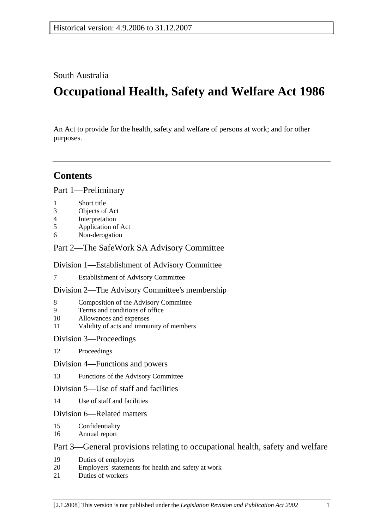## South Australia

# **Occupational Health, Safety and Welfare Act 1986**

An Act to provide for the health, safety and welfare of persons at work; and for other purposes.

## **Contents**

Part 1—Preliminary

- 1 Short title
- 3 Objects of Act
- 4 Interpretation
- 5 Application of Act
- 6 Non-derogation

## Part 2—The SafeWork SA Advisory Committee

## Division 1—Establishment of Advisory Committee

7 Establishment of Advisory Committee

#### Division 2—The Advisory Committee's membership

- 8 Composition of the Advisory Committee
- 9 Terms and conditions of office
- 10 Allowances and expenses
- 11 Validity of acts and immunity of members

#### Division 3—Proceedings

- 12 Proceedings
- Division 4—Functions and powers
- 13 Functions of the Advisory Committee

#### Division 5—Use of staff and facilities

14 Use of staff and facilities

#### Division 6—Related matters

- 15 Confidentiality
- 16 Annual report

## Part 3—General provisions relating to occupational health, safety and welfare

- 19 Duties of employers
- 20 Employers' statements for health and safety at work
- 21 Duties of workers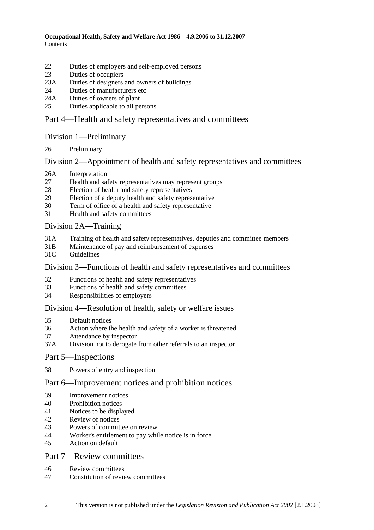- 22 Duties of employers and self-employed persons
- 23 Duties of occupiers
- 23A Duties of designers and owners of buildings
- 24 Duties of manufacturers etc
- 24A Duties of owners of plant
- 25 Duties applicable to all persons

## Part 4—Health and safety representatives and committees

## Division 1—Preliminary

26 Preliminary

## Division 2—Appointment of health and safety representatives and committees

- 26A Interpretation
- 27 Health and safety representatives may represent groups
- 28 Election of health and safety representatives
- 29 Election of a deputy health and safety representative
- 30 Term of office of a health and safety representative
- 31 Health and safety committees

## Division 2A—Training

- 31A Training of health and safety representatives, deputies and committee members
- 31B Maintenance of pay and reimbursement of expenses
- 31C Guidelines

## Division 3—Functions of health and safety representatives and committees

- 32 Functions of health and safety representatives
- 33 Functions of health and safety committees
- 34 Responsibilities of employers

## Division 4—Resolution of health, safety or welfare issues

- 35 Default notices
- 36 Action where the health and safety of a worker is threatened
- 37 Attendance by inspector
- 37A Division not to derogate from other referrals to an inspector

## Part 5—Inspections

38 Powers of entry and inspection

## Part 6—Improvement notices and prohibition notices

- 39 Improvement notices
- 40 Prohibition notices
- 41 Notices to be displayed
- 42 Review of notices
- 43 Powers of committee on review
- 44 Worker's entitlement to pay while notice is in force
- 45 Action on default

## Part 7—Review committees

- 46 Review committees
- 47 Constitution of review committees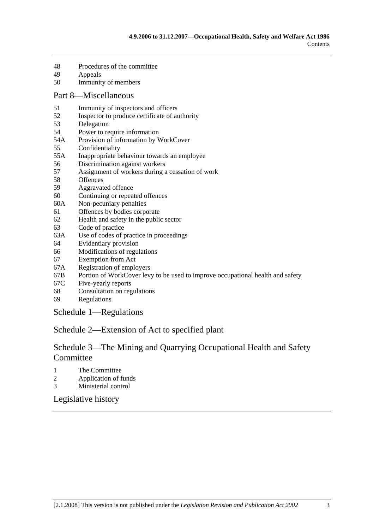- 48 Procedures of the committee
- 49 Appeals
- 50 Immunity of members

#### Part 8—Miscellaneous

- 51 Immunity of inspectors and officers
- 52 Inspector to produce certificate of authority
- 53 Delegation
- 54 Power to require information
- 54A Provision of information by WorkCover
- 55 Confidentiality
- 55A Inappropriate behaviour towards an employee
- 56 Discrimination against workers
- 57 Assignment of workers during a cessation of work
- 58 Offences
- 59 Aggravated offence
- 60 Continuing or repeated offences
- 60A Non-pecuniary penalties
- 61 Offences by bodies corporate
- 62 Health and safety in the public sector
- 63 Code of practice
- 63A Use of codes of practice in proceedings
- 64 Evidentiary provision
- 66 Modifications of regulations
- 67 Exemption from Act
- 67A Registration of employers
- 67B Portion of WorkCover levy to be used to improve occupational health and safety
- 67C Five-yearly reports
- 68 Consultation on regulations
- 69 Regulations

Schedule 1—Regulations

## Schedule 2—Extension of Act to specified plant

## Schedule 3—The Mining and Quarrying Occupational Health and Safety Committee

- 1 The Committee
- 2 Application of funds
- 3 Ministerial control

Legislative history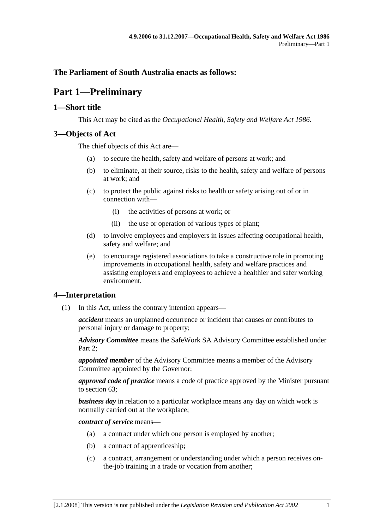## **The Parliament of South Australia enacts as follows:**

## **Part 1—Preliminary**

## **1—Short title**

This Act may be cited as the *Occupational Health, Safety and Welfare Act 1986*.

## **3—Objects of Act**

The chief objects of this Act are—

- (a) to secure the health, safety and welfare of persons at work; and
- (b) to eliminate, at their source, risks to the health, safety and welfare of persons at work; and
- (c) to protect the public against risks to health or safety arising out of or in connection with—
	- (i) the activities of persons at work; or
	- (ii) the use or operation of various types of plant;
- (d) to involve employees and employers in issues affecting occupational health, safety and welfare; and
- (e) to encourage registered associations to take a constructive role in promoting improvements in occupational health, safety and welfare practices and assisting employers and employees to achieve a healthier and safer working environment.

## **4—Interpretation**

(1) In this Act, unless the contrary intention appears—

*accident* means an unplanned occurrence or incident that causes or contributes to personal injury or damage to property;

*Advisory Committee* means the SafeWork SA Advisory Committee established under Part 2:

*appointed member* of the Advisory Committee means a member of the Advisory Committee appointed by the Governor;

*approved code of practice* means a code of practice approved by the Minister pursuant to section 63;

*business day* in relation to a particular workplace means any day on which work is normally carried out at the workplace;

*contract of service* means—

- (a) a contract under which one person is employed by another;
- (b) a contract of apprenticeship;
- (c) a contract, arrangement or understanding under which a person receives onthe-job training in a trade or vocation from another;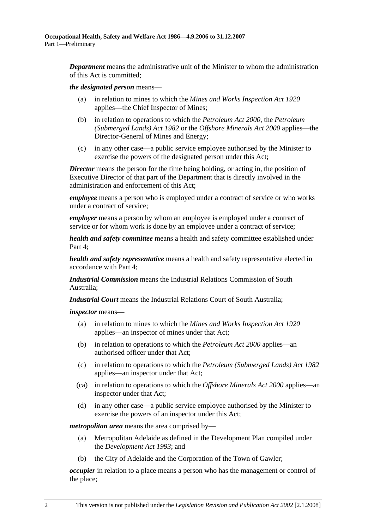*Department* means the administrative unit of the Minister to whom the administration of this Act is committed;

#### *the designated person* means—

- (a) in relation to mines to which the *Mines and Works Inspection Act 1920* applies—the Chief Inspector of Mines;
- (b) in relation to operations to which the *Petroleum Act 2000*, the *Petroleum (Submerged Lands) Act 1982* or the *Offshore Minerals Act 2000* applies—the Director-General of Mines and Energy;
- (c) in any other case—a public service employee authorised by the Minister to exercise the powers of the designated person under this Act;

*Director* means the person for the time being holding, or acting in, the position of Executive Director of that part of the Department that is directly involved in the administration and enforcement of this Act;

*employee* means a person who is employed under a contract of service or who works under a contract of service;

*employer* means a person by whom an employee is employed under a contract of service or for whom work is done by an employee under a contract of service;

*health and safety committee* means a health and safety committee established under Part 4;

*health and safety representative* means a health and safety representative elected in accordance with Part 4;

*Industrial Commission* means the Industrial Relations Commission of South Australia;

*Industrial Court* means the Industrial Relations Court of South Australia;

*inspector* means—

- (a) in relation to mines to which the *Mines and Works Inspection Act 1920* applies—an inspector of mines under that Act;
- (b) in relation to operations to which the *Petroleum Act 2000* applies—an authorised officer under that Act;
- (c) in relation to operations to which the *Petroleum (Submerged Lands) Act 1982* applies—an inspector under that Act;
- (ca) in relation to operations to which the *Offshore Minerals Act 2000* applies—an inspector under that Act;
- (d) in any other case—a public service employee authorised by the Minister to exercise the powers of an inspector under this Act;

*metropolitan area* means the area comprised by—

- (a) Metropolitan Adelaide as defined in the Development Plan compiled under the *Development Act 1993*; and
- (b) the City of Adelaide and the Corporation of the Town of Gawler;

*occupier* in relation to a place means a person who has the management or control of the place;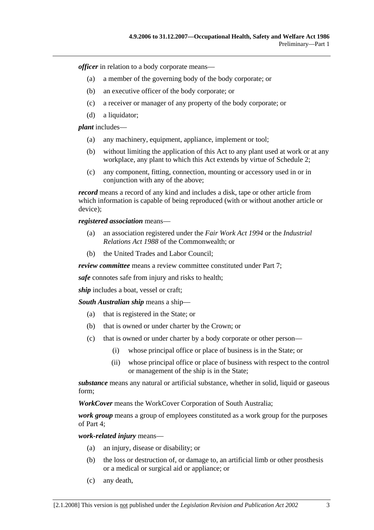*officer* in relation to a body corporate means—

- (a) a member of the governing body of the body corporate; or
- (b) an executive officer of the body corporate; or
- (c) a receiver or manager of any property of the body corporate; or
- (d) a liquidator;

*plant* includes—

- (a) any machinery, equipment, appliance, implement or tool;
- (b) without limiting the application of this Act to any plant used at work or at any workplace, any plant to which this Act extends by virtue of Schedule 2;
- (c) any component, fitting, connection, mounting or accessory used in or in conjunction with any of the above;

*record* means a record of any kind and includes a disk, tape or other article from which information is capable of being reproduced (with or without another article or device);

*registered association* means—

- (a) an association registered under the *Fair Work Act 1994* or the *Industrial Relations Act 1988* of the Commonwealth; or
- (b) the United Trades and Labor Council;

*review committee* means a review committee constituted under Part 7;

*safe* connotes safe from injury and risks to health;

*ship* includes a boat, vessel or craft;

*South Australian ship* means a ship—

- (a) that is registered in the State; or
- (b) that is owned or under charter by the Crown; or
- (c) that is owned or under charter by a body corporate or other person—
	- (i) whose principal office or place of business is in the State; or
	- (ii) whose principal office or place of business with respect to the control or management of the ship is in the State;

*substance* means any natural or artificial substance, whether in solid, liquid or gaseous form;

*WorkCover* means the WorkCover Corporation of South Australia;

*work group* means a group of employees constituted as a work group for the purposes of Part 4;

*work-related injury* means—

- (a) an injury, disease or disability; or
- (b) the loss or destruction of, or damage to, an artificial limb or other prosthesis or a medical or surgical aid or appliance; or
- (c) any death,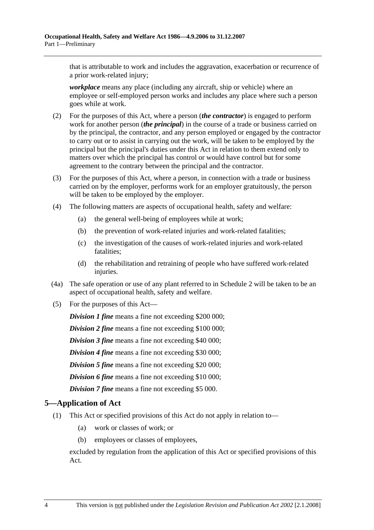that is attributable to work and includes the aggravation, exacerbation or recurrence of a prior work-related injury;

*workplace* means any place (including any aircraft, ship or vehicle) where an employee or self-employed person works and includes any place where such a person goes while at work.

- (2) For the purposes of this Act, where a person (*the contractor*) is engaged to perform work for another person (*the principal*) in the course of a trade or business carried on by the principal, the contractor, and any person employed or engaged by the contractor to carry out or to assist in carrying out the work, will be taken to be employed by the principal but the principal's duties under this Act in relation to them extend only to matters over which the principal has control or would have control but for some agreement to the contrary between the principal and the contractor.
- (3) For the purposes of this Act, where a person, in connection with a trade or business carried on by the employer, performs work for an employer gratuitously, the person will be taken to be employed by the employer.
- (4) The following matters are aspects of occupational health, safety and welfare:
	- (a) the general well-being of employees while at work;
	- (b) the prevention of work-related injuries and work-related fatalities;
	- (c) the investigation of the causes of work-related injuries and work-related fatalities;
	- (d) the rehabilitation and retraining of people who have suffered work-related injuries.
- (4a) The safe operation or use of any plant referred to in Schedule 2 will be taken to be an aspect of occupational health, safety and welfare.
- (5) For the purposes of this Act—

*Division 1 fine* means a fine not exceeding \$200 000;

*Division 2 fine* means a fine not exceeding \$100 000;

*Division 3 fine* means a fine not exceeding \$40 000;

*Division 4 fine* means a fine not exceeding \$30 000;

*Division 5 fine* means a fine not exceeding \$20 000;

*Division 6 fine* means a fine not exceeding \$10 000;

*Division 7 fine* means a fine not exceeding \$5 000.

## **5—Application of Act**

- (1) This Act or specified provisions of this Act do not apply in relation to—
	- (a) work or classes of work; or
	- (b) employees or classes of employees,

excluded by regulation from the application of this Act or specified provisions of this Act.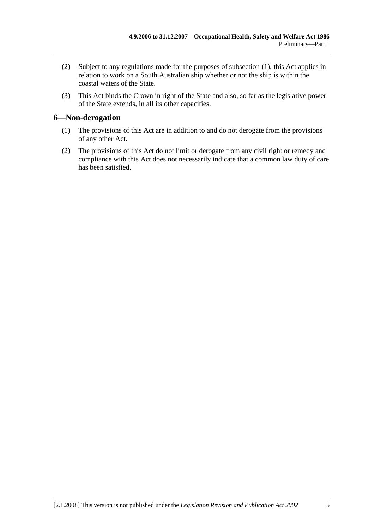- (2) Subject to any regulations made for the purposes of subsection (1), this Act applies in relation to work on a South Australian ship whether or not the ship is within the coastal waters of the State.
- (3) This Act binds the Crown in right of the State and also, so far as the legislative power of the State extends, in all its other capacities.

## **6—Non-derogation**

- (1) The provisions of this Act are in addition to and do not derogate from the provisions of any other Act.
- (2) The provisions of this Act do not limit or derogate from any civil right or remedy and compliance with this Act does not necessarily indicate that a common law duty of care has been satisfied.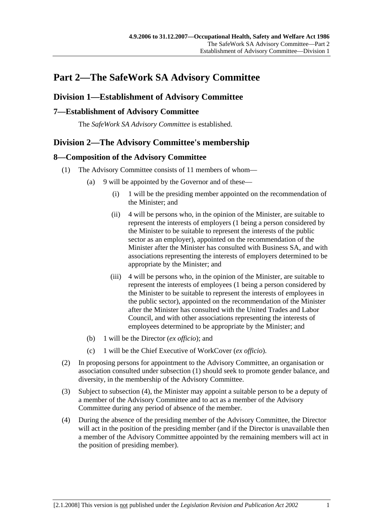## **Part 2—The SafeWork SA Advisory Committee**

## **Division 1—Establishment of Advisory Committee**

## **7—Establishment of Advisory Committee**

The *SafeWork SA Advisory Committee* is established.

## **Division 2—The Advisory Committee's membership**

## **8—Composition of the Advisory Committee**

- (1) The Advisory Committee consists of 11 members of whom—
	- (a) 9 will be appointed by the Governor and of these—
		- (i) 1 will be the presiding member appointed on the recommendation of the Minister; and
		- (ii) 4 will be persons who, in the opinion of the Minister, are suitable to represent the interests of employers (1 being a person considered by the Minister to be suitable to represent the interests of the public sector as an employer), appointed on the recommendation of the Minister after the Minister has consulted with Business SA, and with associations representing the interests of employers determined to be appropriate by the Minister; and
		- (iii) 4 will be persons who, in the opinion of the Minister, are suitable to represent the interests of employees (1 being a person considered by the Minister to be suitable to represent the interests of employees in the public sector), appointed on the recommendation of the Minister after the Minister has consulted with the United Trades and Labor Council, and with other associations representing the interests of employees determined to be appropriate by the Minister; and
	- (b) 1 will be the Director (*ex officio*); and
	- (c) 1 will be the Chief Executive of WorkCover (*ex officio*).
- (2) In proposing persons for appointment to the Advisory Committee, an organisation or association consulted under subsection (1) should seek to promote gender balance, and diversity, in the membership of the Advisory Committee.
- (3) Subject to subsection (4), the Minister may appoint a suitable person to be a deputy of a member of the Advisory Committee and to act as a member of the Advisory Committee during any period of absence of the member.
- (4) During the absence of the presiding member of the Advisory Committee, the Director will act in the position of the presiding member (and if the Director is unavailable then a member of the Advisory Committee appointed by the remaining members will act in the position of presiding member).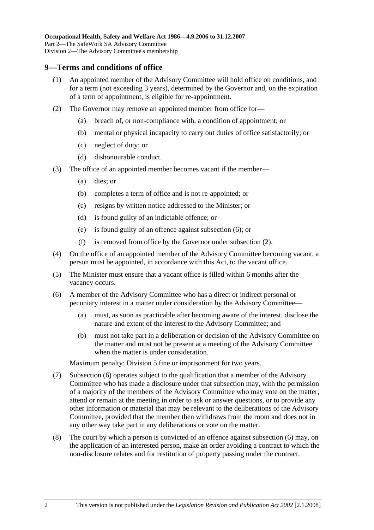#### **9—Terms and conditions of office**

- (1) An appointed member of the Advisory Committee will hold office on conditions, and for a term (not exceeding 3 years), determined by the Governor and, on the expiration of a term of appointment, is eligible for re-appointment.
- (2) The Governor may remove an appointed member from office for—
	- (a) breach of, or non-compliance with, a condition of appointment; or
	- (b) mental or physical incapacity to carry out duties of office satisfactorily; or
	- (c) neglect of duty; or
	- (d) dishonourable conduct.
- (3) The office of an appointed member becomes vacant if the member—
	- (a) dies; or
	- (b) completes a term of office and is not re-appointed; or
	- (c) resigns by written notice addressed to the Minister; or
	- (d) is found guilty of an indictable offence; or
	- (e) is found guilty of an offence against subsection (6); or
	- (f) is removed from office by the Governor under subsection (2).
- (4) On the office of an appointed member of the Advisory Committee becoming vacant, a person must be appointed, in accordance with this Act, to the vacant office.
- (5) The Minister must ensure that a vacant office is filled within 6 months after the vacancy occurs.
- (6) A member of the Advisory Committee who has a direct or indirect personal or pecuniary interest in a matter under consideration by the Advisory Committee—
	- (a) must, as soon as practicable after becoming aware of the interest, disclose the nature and extent of the interest to the Advisory Committee; and
	- (b) must not take part in a deliberation or decision of the Advisory Committee on the matter and must not be present at a meeting of the Advisory Committee when the matter is under consideration.

Maximum penalty: Division 5 fine or imprisonment for two years.

- (7) Subsection (6) operates subject to the qualification that a member of the Advisory Committee who has made a disclosure under that subsection may, with the permission of a majority of the members of the Advisory Committee who may vote on the matter, attend or remain at the meeting in order to ask or answer questions, or to provide any other information or material that may be relevant to the deliberations of the Advisory Committee, provided that the member then withdraws from the room and does not in any other way take part in any deliberations or vote on the matter.
- (8) The court by which a person is convicted of an offence against subsection (6) may, on the application of an interested person, make an order avoiding a contract to which the non-disclosure relates and for restitution of property passing under the contract.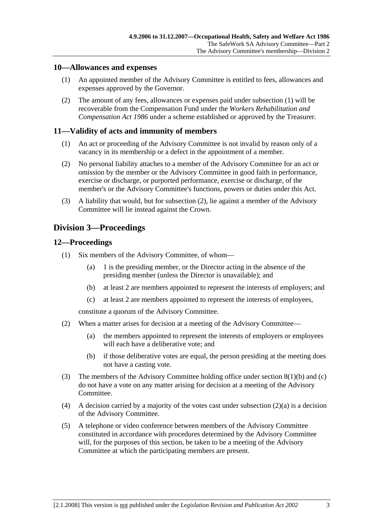## **10—Allowances and expenses**

- (1) An appointed member of the Advisory Committee is entitled to fees, allowances and expenses approved by the Governor.
- (2) The amount of any fees, allowances or expenses paid under subsection (1) will be recoverable from the Compensation Fund under the *Workers Rehabilitation and Compensation Act 1986* under a scheme established or approved by the Treasurer.

## **11—Validity of acts and immunity of members**

- (1) An act or proceeding of the Advisory Committee is not invalid by reason only of a vacancy in its membership or a defect in the appointment of a member.
- (2) No personal liability attaches to a member of the Advisory Committee for an act or omission by the member or the Advisory Committee in good faith in performance, exercise or discharge, or purported performance, exercise or discharge, of the member's or the Advisory Committee's functions, powers or duties under this Act.
- (3) A liability that would, but for subsection (2), lie against a member of the Advisory Committee will lie instead against the Crown.

## **Division 3—Proceedings**

## **12—Proceedings**

- (1) Six members of the Advisory Committee, of whom—
	- (a) 1 is the presiding member, or the Director acting in the absence of the presiding member (unless the Director is unavailable); and
	- (b) at least 2 are members appointed to represent the interests of employers; and
	- (c) at least 2 are members appointed to represent the interests of employees,

constitute a quorum of the Advisory Committee.

- (2) When a matter arises for decision at a meeting of the Advisory Committee—
	- (a) the members appointed to represent the interests of employers or employees will each have a deliberative vote; and
	- (b) if those deliberative votes are equal, the person presiding at the meeting does not have a casting vote.
- (3) The members of the Advisory Committee holding office under section 8(1)(b) and (c) do not have a vote on any matter arising for decision at a meeting of the Advisory Committee.
- (4) A decision carried by a majority of the votes cast under subsection  $(2)(a)$  is a decision of the Advisory Committee.
- (5) A telephone or video conference between members of the Advisory Committee constituted in accordance with procedures determined by the Advisory Committee will, for the purposes of this section, be taken to be a meeting of the Advisory Committee at which the participating members are present.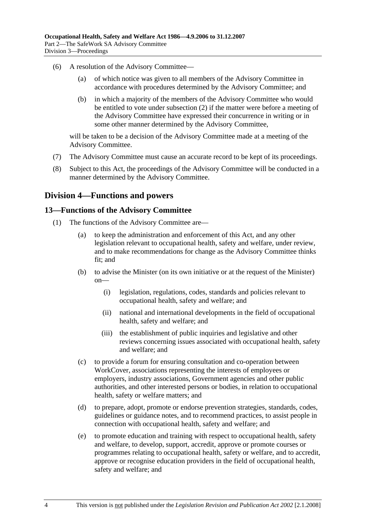- (6) A resolution of the Advisory Committee—
	- (a) of which notice was given to all members of the Advisory Committee in accordance with procedures determined by the Advisory Committee; and
	- (b) in which a majority of the members of the Advisory Committee who would be entitled to vote under subsection (2) if the matter were before a meeting of the Advisory Committee have expressed their concurrence in writing or in some other manner determined by the Advisory Committee,

will be taken to be a decision of the Advisory Committee made at a meeting of the Advisory Committee.

- (7) The Advisory Committee must cause an accurate record to be kept of its proceedings.
- (8) Subject to this Act, the proceedings of the Advisory Committee will be conducted in a manner determined by the Advisory Committee.

## **Division 4—Functions and powers**

#### **13—Functions of the Advisory Committee**

- (1) The functions of the Advisory Committee are—
	- (a) to keep the administration and enforcement of this Act, and any other legislation relevant to occupational health, safety and welfare, under review, and to make recommendations for change as the Advisory Committee thinks fit; and
	- (b) to advise the Minister (on its own initiative or at the request of the Minister) on—
		- (i) legislation, regulations, codes, standards and policies relevant to occupational health, safety and welfare; and
		- (ii) national and international developments in the field of occupational health, safety and welfare; and
		- (iii) the establishment of public inquiries and legislative and other reviews concerning issues associated with occupational health, safety and welfare; and
	- (c) to provide a forum for ensuring consultation and co-operation between WorkCover, associations representing the interests of employees or employers, industry associations, Government agencies and other public authorities, and other interested persons or bodies, in relation to occupational health, safety or welfare matters; and
	- (d) to prepare, adopt, promote or endorse prevention strategies, standards, codes, guidelines or guidance notes, and to recommend practices, to assist people in connection with occupational health, safety and welfare; and
	- (e) to promote education and training with respect to occupational health, safety and welfare, to develop, support, accredit, approve or promote courses or programmes relating to occupational health, safety or welfare, and to accredit, approve or recognise education providers in the field of occupational health, safety and welfare; and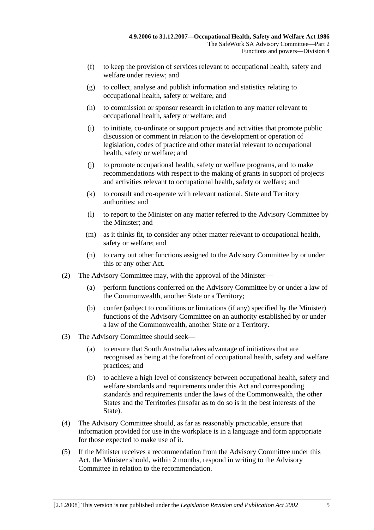- (f) to keep the provision of services relevant to occupational health, safety and welfare under review; and
- (g) to collect, analyse and publish information and statistics relating to occupational health, safety or welfare; and
- (h) to commission or sponsor research in relation to any matter relevant to occupational health, safety or welfare; and
- (i) to initiate, co-ordinate or support projects and activities that promote public discussion or comment in relation to the development or operation of legislation, codes of practice and other material relevant to occupational health, safety or welfare; and
- (j) to promote occupational health, safety or welfare programs, and to make recommendations with respect to the making of grants in support of projects and activities relevant to occupational health, safety or welfare; and
- (k) to consult and co-operate with relevant national, State and Territory authorities; and
- (l) to report to the Minister on any matter referred to the Advisory Committee by the Minister; and
- (m) as it thinks fit, to consider any other matter relevant to occupational health, safety or welfare; and
- (n) to carry out other functions assigned to the Advisory Committee by or under this or any other Act.
- (2) The Advisory Committee may, with the approval of the Minister—
	- (a) perform functions conferred on the Advisory Committee by or under a law of the Commonwealth, another State or a Territory;
	- (b) confer (subject to conditions or limitations (if any) specified by the Minister) functions of the Advisory Committee on an authority established by or under a law of the Commonwealth, another State or a Territory.
- (3) The Advisory Committee should seek—
	- (a) to ensure that South Australia takes advantage of initiatives that are recognised as being at the forefront of occupational health, safety and welfare practices; and
	- (b) to achieve a high level of consistency between occupational health, safety and welfare standards and requirements under this Act and corresponding standards and requirements under the laws of the Commonwealth, the other States and the Territories (insofar as to do so is in the best interests of the State).
- (4) The Advisory Committee should, as far as reasonably practicable, ensure that information provided for use in the workplace is in a language and form appropriate for those expected to make use of it.
- (5) If the Minister receives a recommendation from the Advisory Committee under this Act, the Minister should, within 2 months, respond in writing to the Advisory Committee in relation to the recommendation.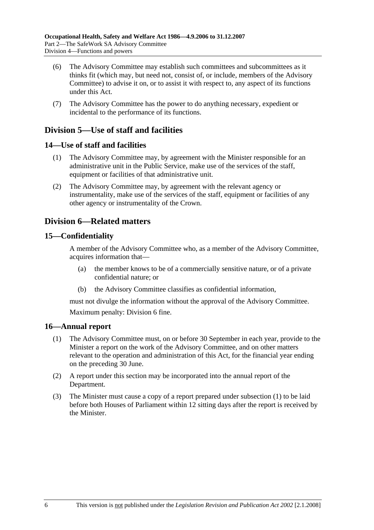- (6) The Advisory Committee may establish such committees and subcommittees as it thinks fit (which may, but need not, consist of, or include, members of the Advisory Committee) to advise it on, or to assist it with respect to, any aspect of its functions under this Act.
- (7) The Advisory Committee has the power to do anything necessary, expedient or incidental to the performance of its functions.

## **Division 5—Use of staff and facilities**

## **14—Use of staff and facilities**

- (1) The Advisory Committee may, by agreement with the Minister responsible for an administrative unit in the Public Service, make use of the services of the staff, equipment or facilities of that administrative unit.
- (2) The Advisory Committee may, by agreement with the relevant agency or instrumentality, make use of the services of the staff, equipment or facilities of any other agency or instrumentality of the Crown.

## **Division 6—Related matters**

## **15—Confidentiality**

A member of the Advisory Committee who, as a member of the Advisory Committee, acquires information that—

- (a) the member knows to be of a commercially sensitive nature, or of a private confidential nature; or
- (b) the Advisory Committee classifies as confidential information,

must not divulge the information without the approval of the Advisory Committee. Maximum penalty: Division 6 fine.

#### **16—Annual report**

- (1) The Advisory Committee must, on or before 30 September in each year, provide to the Minister a report on the work of the Advisory Committee, and on other matters relevant to the operation and administration of this Act, for the financial year ending on the preceding 30 June.
- (2) A report under this section may be incorporated into the annual report of the Department.
- (3) The Minister must cause a copy of a report prepared under subsection (1) to be laid before both Houses of Parliament within 12 sitting days after the report is received by the Minister.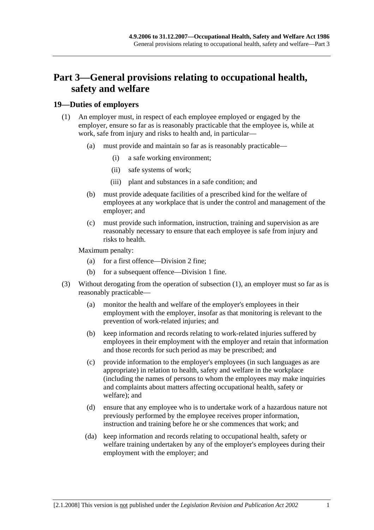## **Part 3—General provisions relating to occupational health, safety and welfare**

## **19—Duties of employers**

- (1) An employer must, in respect of each employee employed or engaged by the employer, ensure so far as is reasonably practicable that the employee is, while at work, safe from injury and risks to health and, in particular—
	- (a) must provide and maintain so far as is reasonably practicable—
		- (i) a safe working environment;
		- (ii) safe systems of work;
		- (iii) plant and substances in a safe condition; and
	- (b) must provide adequate facilities of a prescribed kind for the welfare of employees at any workplace that is under the control and management of the employer; and
	- (c) must provide such information, instruction, training and supervision as are reasonably necessary to ensure that each employee is safe from injury and risks to health.

Maximum penalty:

- (a) for a first offence—Division 2 fine;
- (b) for a subsequent offence—Division 1 fine.
- (3) Without derogating from the operation of subsection (1), an employer must so far as is reasonably practicable—
	- (a) monitor the health and welfare of the employer's employees in their employment with the employer, insofar as that monitoring is relevant to the prevention of work-related injuries; and
	- (b) keep information and records relating to work-related injuries suffered by employees in their employment with the employer and retain that information and those records for such period as may be prescribed; and
	- (c) provide information to the employer's employees (in such languages as are appropriate) in relation to health, safety and welfare in the workplace (including the names of persons to whom the employees may make inquiries and complaints about matters affecting occupational health, safety or welfare); and
	- (d) ensure that any employee who is to undertake work of a hazardous nature not previously performed by the employee receives proper information, instruction and training before he or she commences that work; and
	- (da) keep information and records relating to occupational health, safety or welfare training undertaken by any of the employer's employees during their employment with the employer; and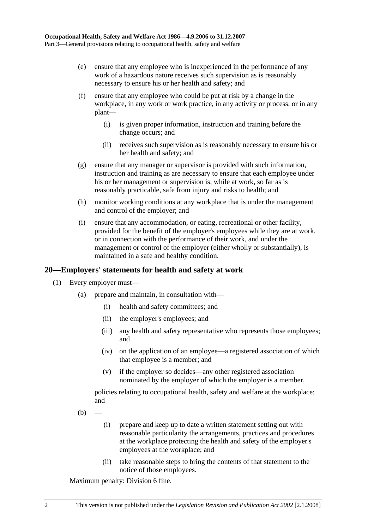- (e) ensure that any employee who is inexperienced in the performance of any work of a hazardous nature receives such supervision as is reasonably necessary to ensure his or her health and safety; and
- (f) ensure that any employee who could be put at risk by a change in the workplace, in any work or work practice, in any activity or process, or in any plant—
	- (i) is given proper information, instruction and training before the change occurs; and
	- (ii) receives such supervision as is reasonably necessary to ensure his or her health and safety; and
- (g) ensure that any manager or supervisor is provided with such information, instruction and training as are necessary to ensure that each employee under his or her management or supervision is, while at work, so far as is reasonably practicable, safe from injury and risks to health; and
- (h) monitor working conditions at any workplace that is under the management and control of the employer; and
- (i) ensure that any accommodation, or eating, recreational or other facility, provided for the benefit of the employer's employees while they are at work, or in connection with the performance of their work, and under the management or control of the employer (either wholly or substantially), is maintained in a safe and healthy condition.

## **20—Employers' statements for health and safety at work**

- (1) Every employer must—
	- (a) prepare and maintain, in consultation with—
		- (i) health and safety committees; and
		- (ii) the employer's employees; and
		- (iii) any health and safety representative who represents those employees; and
		- (iv) on the application of an employee—a registered association of which that employee is a member; and
		- (v) if the employer so decides—any other registered association nominated by the employer of which the employer is a member,

policies relating to occupational health, safety and welfare at the workplace; and

- $(b)$ 
	- (i) prepare and keep up to date a written statement setting out with reasonable particularity the arrangements, practices and procedures at the workplace protecting the health and safety of the employer's employees at the workplace; and
	- (ii) take reasonable steps to bring the contents of that statement to the notice of those employees.

Maximum penalty: Division 6 fine.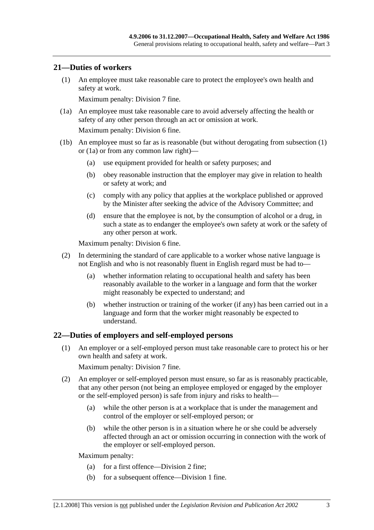#### **21—Duties of workers**

 (1) An employee must take reasonable care to protect the employee's own health and safety at work.

Maximum penalty: Division 7 fine.

 (1a) An employee must take reasonable care to avoid adversely affecting the health or safety of any other person through an act or omission at work.

Maximum penalty: Division 6 fine.

- (1b) An employee must so far as is reasonable (but without derogating from subsection (1) or (1a) or from any common law right)—
	- (a) use equipment provided for health or safety purposes; and
	- (b) obey reasonable instruction that the employer may give in relation to health or safety at work; and
	- (c) comply with any policy that applies at the workplace published or approved by the Minister after seeking the advice of the Advisory Committee; and
	- (d) ensure that the employee is not, by the consumption of alcohol or a drug, in such a state as to endanger the employee's own safety at work or the safety of any other person at work.

Maximum penalty: Division 6 fine.

- (2) In determining the standard of care applicable to a worker whose native language is not English and who is not reasonably fluent in English regard must be had to—
	- (a) whether information relating to occupational health and safety has been reasonably available to the worker in a language and form that the worker might reasonably be expected to understand; and
	- (b) whether instruction or training of the worker (if any) has been carried out in a language and form that the worker might reasonably be expected to understand.

#### **22—Duties of employers and self-employed persons**

 (1) An employer or a self-employed person must take reasonable care to protect his or her own health and safety at work.

Maximum penalty: Division 7 fine.

- (2) An employer or self-employed person must ensure, so far as is reasonably practicable, that any other person (not being an employee employed or engaged by the employer or the self-employed person) is safe from injury and risks to health—
	- (a) while the other person is at a workplace that is under the management and control of the employer or self-employed person; or
	- (b) while the other person is in a situation where he or she could be adversely affected through an act or omission occurring in connection with the work of the employer or self-employed person.

Maximum penalty:

- (a) for a first offence—Division 2 fine;
- (b) for a subsequent offence—Division 1 fine.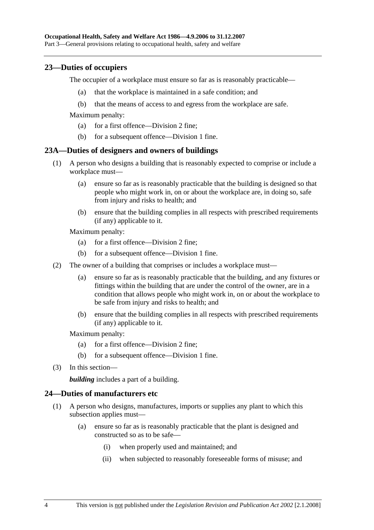## **23—Duties of occupiers**

The occupier of a workplace must ensure so far as is reasonably practicable—

- (a) that the workplace is maintained in a safe condition; and
- (b) that the means of access to and egress from the workplace are safe.

Maximum penalty:

- (a) for a first offence—Division 2 fine;
- (b) for a subsequent offence—Division 1 fine.

#### **23A—Duties of designers and owners of buildings**

- (1) A person who designs a building that is reasonably expected to comprise or include a workplace must—
	- (a) ensure so far as is reasonably practicable that the building is designed so that people who might work in, on or about the workplace are, in doing so, safe from injury and risks to health; and
	- (b) ensure that the building complies in all respects with prescribed requirements (if any) applicable to it.

Maximum penalty:

- (a) for a first offence—Division 2 fine;
- (b) for a subsequent offence—Division 1 fine.
- (2) The owner of a building that comprises or includes a workplace must—
	- (a) ensure so far as is reasonably practicable that the building, and any fixtures or fittings within the building that are under the control of the owner, are in a condition that allows people who might work in, on or about the workplace to be safe from injury and risks to health; and
	- (b) ensure that the building complies in all respects with prescribed requirements (if any) applicable to it.

Maximum penalty:

- (a) for a first offence—Division 2 fine;
- (b) for a subsequent offence—Division 1 fine.
- (3) In this section—

*building* includes a part of a building.

#### **24—Duties of manufacturers etc**

- (1) A person who designs, manufactures, imports or supplies any plant to which this subsection applies must—
	- (a) ensure so far as is reasonably practicable that the plant is designed and constructed so as to be safe—
		- (i) when properly used and maintained; and
		- (ii) when subjected to reasonably foreseeable forms of misuse; and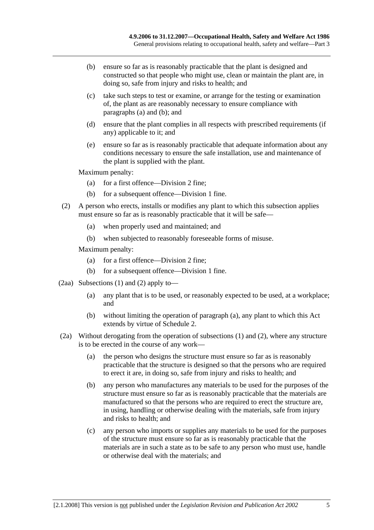- (b) ensure so far as is reasonably practicable that the plant is designed and constructed so that people who might use, clean or maintain the plant are, in doing so, safe from injury and risks to health; and
- (c) take such steps to test or examine, or arrange for the testing or examination of, the plant as are reasonably necessary to ensure compliance with paragraphs (a) and (b); and
- (d) ensure that the plant complies in all respects with prescribed requirements (if any) applicable to it; and
- (e) ensure so far as is reasonably practicable that adequate information about any conditions necessary to ensure the safe installation, use and maintenance of the plant is supplied with the plant.

Maximum penalty:

- (a) for a first offence—Division 2 fine;
- (b) for a subsequent offence—Division 1 fine.
- (2) A person who erects, installs or modifies any plant to which this subsection applies must ensure so far as is reasonably practicable that it will be safe—
	- (a) when properly used and maintained; and
	- (b) when subjected to reasonably foreseeable forms of misuse.

Maximum penalty:

- (a) for a first offence—Division 2 fine;
- (b) for a subsequent offence—Division 1 fine.
- (2aa) Subsections (1) and (2) apply to—
	- (a) any plant that is to be used, or reasonably expected to be used, at a workplace; and
	- (b) without limiting the operation of paragraph (a), any plant to which this Act extends by virtue of Schedule 2.
- (2a) Without derogating from the operation of subsections (1) and (2), where any structure is to be erected in the course of any work—
	- (a) the person who designs the structure must ensure so far as is reasonably practicable that the structure is designed so that the persons who are required to erect it are, in doing so, safe from injury and risks to health; and
	- (b) any person who manufactures any materials to be used for the purposes of the structure must ensure so far as is reasonably practicable that the materials are manufactured so that the persons who are required to erect the structure are, in using, handling or otherwise dealing with the materials, safe from injury and risks to health; and
	- (c) any person who imports or supplies any materials to be used for the purposes of the structure must ensure so far as is reasonably practicable that the materials are in such a state as to be safe to any person who must use, handle or otherwise deal with the materials; and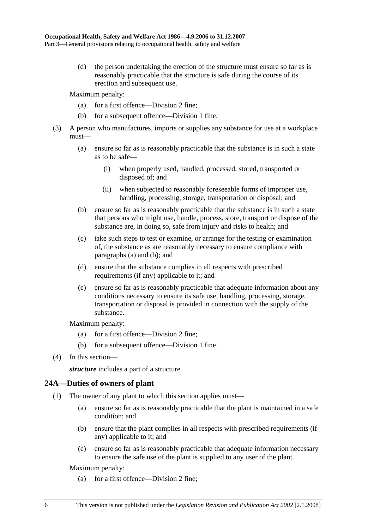(d) the person undertaking the erection of the structure must ensure so far as is reasonably practicable that the structure is safe during the course of its erection and subsequent use.

Maximum penalty:

- (a) for a first offence—Division 2 fine;
- (b) for a subsequent offence—Division 1 fine.
- (3) A person who manufactures, imports or supplies any substance for use at a workplace must—
	- (a) ensure so far as is reasonably practicable that the substance is in such a state as to be safe—
		- (i) when properly used, handled, processed, stored, transported or disposed of; and
		- (ii) when subjected to reasonably foreseeable forms of improper use, handling, processing, storage, transportation or disposal; and
	- (b) ensure so far as is reasonably practicable that the substance is in such a state that persons who might use, handle, process, store, transport or dispose of the substance are, in doing so, safe from injury and risks to health; and
	- (c) take such steps to test or examine, or arrange for the testing or examination of, the substance as are reasonably necessary to ensure compliance with paragraphs (a) and (b); and
	- (d) ensure that the substance complies in all respects with prescribed requirements (if any) applicable to it; and
	- (e) ensure so far as is reasonably practicable that adequate information about any conditions necessary to ensure its safe use, handling, processing, storage, transportation or disposal is provided in connection with the supply of the substance.

Maximum penalty:

- (a) for a first offence—Division 2 fine;
- (b) for a subsequent offence—Division 1 fine.
- (4) In this section—

*structure* includes a part of a structure.

## **24A—Duties of owners of plant**

- (1) The owner of any plant to which this section applies must—
	- (a) ensure so far as is reasonably practicable that the plant is maintained in a safe condition; and
	- (b) ensure that the plant complies in all respects with prescribed requirements (if any) applicable to it; and
	- (c) ensure so far as is reasonably practicable that adequate information necessary to ensure the safe use of the plant is supplied to any user of the plant.

Maximum penalty:

(a) for a first offence—Division 2 fine;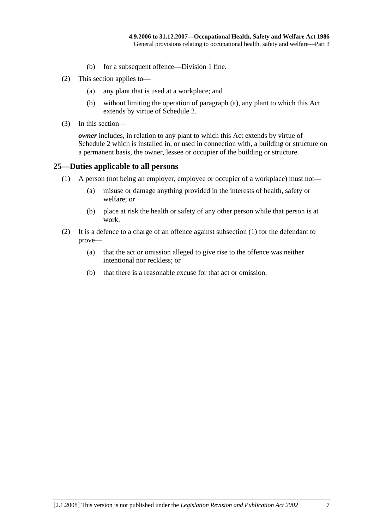- (b) for a subsequent offence—Division 1 fine.
- (2) This section applies to—
	- (a) any plant that is used at a workplace; and
	- (b) without limiting the operation of paragraph (a), any plant to which this Act extends by virtue of Schedule 2.
- (3) In this section—

*owner* includes, in relation to any plant to which this Act extends by virtue of Schedule 2 which is installed in, or used in connection with, a building or structure on a permanent basis, the owner, lessee or occupier of the building or structure.

## **25—Duties applicable to all persons**

- (1) A person (not being an employer, employee or occupier of a workplace) must not—
	- (a) misuse or damage anything provided in the interests of health, safety or welfare; or
	- (b) place at risk the health or safety of any other person while that person is at work.
- (2) It is a defence to a charge of an offence against subsection (1) for the defendant to prove—
	- (a) that the act or omission alleged to give rise to the offence was neither intentional nor reckless; or
	- (b) that there is a reasonable excuse for that act or omission.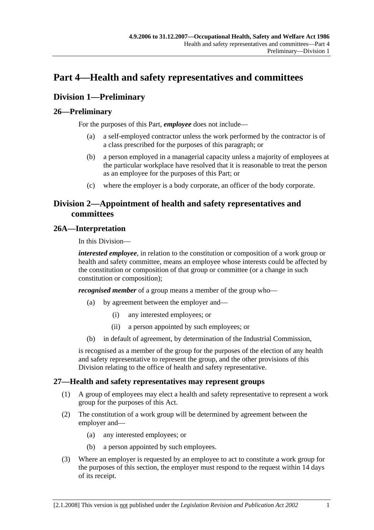## **Part 4—Health and safety representatives and committees**

## **Division 1—Preliminary**

## **26—Preliminary**

For the purposes of this Part, *employee* does not include—

- (a) a self-employed contractor unless the work performed by the contractor is of a class prescribed for the purposes of this paragraph; or
- (b) a person employed in a managerial capacity unless a majority of employees at the particular workplace have resolved that it is reasonable to treat the person as an employee for the purposes of this Part; or
- (c) where the employer is a body corporate, an officer of the body corporate.

## **Division 2—Appointment of health and safety representatives and committees**

## **26A—Interpretation**

In this Division—

*interested employee*, in relation to the constitution or composition of a work group or health and safety committee, means an employee whose interests could be affected by the constitution or composition of that group or committee (or a change in such constitution or composition);

*recognised member* of a group means a member of the group who—

- (a) by agreement between the employer and—
	- (i) any interested employees; or
	- (ii) a person appointed by such employees; or
- (b) in default of agreement, by determination of the Industrial Commission,

is recognised as a member of the group for the purposes of the election of any health and safety representative to represent the group, and the other provisions of this Division relating to the office of health and safety representative.

## **27—Health and safety representatives may represent groups**

- (1) A group of employees may elect a health and safety representative to represent a work group for the purposes of this Act.
- (2) The constitution of a work group will be determined by agreement between the employer and—
	- (a) any interested employees; or
	- (b) a person appointed by such employees.
- (3) Where an employer is requested by an employee to act to constitute a work group for the purposes of this section, the employer must respond to the request within 14 days of its receipt.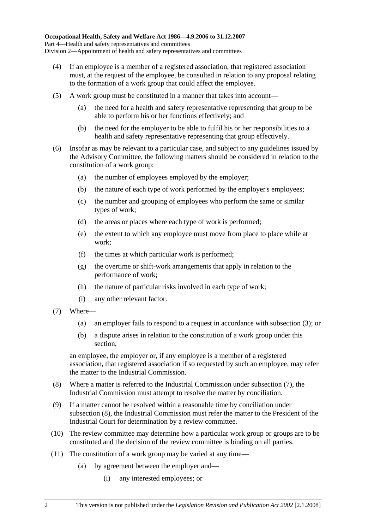- (4) If an employee is a member of a registered association, that registered association must, at the request of the employee, be consulted in relation to any proposal relating to the formation of a work group that could affect the employee.
- (5) A work group must be constituted in a manner that takes into account—
	- (a) the need for a health and safety representative representing that group to be able to perform his or her functions effectively; and
	- (b) the need for the employer to be able to fulfil his or her responsibilities to a health and safety representative representing that group effectively.
- (6) Insofar as may be relevant to a particular case, and subject to any guidelines issued by the Advisory Committee, the following matters should be considered in relation to the constitution of a work group:
	- (a) the number of employees employed by the employer;
	- (b) the nature of each type of work performed by the employer's employees;
	- (c) the number and grouping of employees who perform the same or similar types of work;
	- (d) the areas or places where each type of work is performed;
	- (e) the extent to which any employee must move from place to place while at work;
	- (f) the times at which particular work is performed;
	- (g) the overtime or shift-work arrangements that apply in relation to the performance of work;
	- (h) the nature of particular risks involved in each type of work;
	- (i) any other relevant factor.
- (7) Where—
	- (a) an employer fails to respond to a request in accordance with subsection (3); or
	- (b) a dispute arises in relation to the constitution of a work group under this section,

an employee, the employer or, if any employee is a member of a registered association, that registered association if so requested by such an employee, may refer the matter to the Industrial Commission.

- (8) Where a matter is referred to the Industrial Commission under subsection (7), the Industrial Commission must attempt to resolve the matter by conciliation.
- (9) If a matter cannot be resolved within a reasonable time by conciliation under subsection (8), the Industrial Commission must refer the matter to the President of the Industrial Court for determination by a review committee.
- (10) The review committee may determine how a particular work group or groups are to be constituted and the decision of the review committee is binding on all parties.
- (11) The constitution of a work group may be varied at any time—
	- (a) by agreement between the employer and—
		- (i) any interested employees; or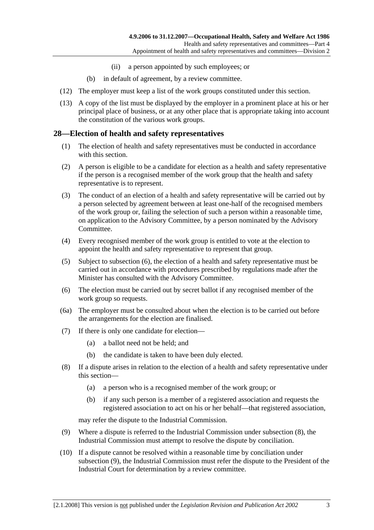- (ii) a person appointed by such employees; or
- (b) in default of agreement, by a review committee.
- (12) The employer must keep a list of the work groups constituted under this section.
- (13) A copy of the list must be displayed by the employer in a prominent place at his or her principal place of business, or at any other place that is appropriate taking into account the constitution of the various work groups.

## **28—Election of health and safety representatives**

- (1) The election of health and safety representatives must be conducted in accordance with this section.
- (2) A person is eligible to be a candidate for election as a health and safety representative if the person is a recognised member of the work group that the health and safety representative is to represent.
- (3) The conduct of an election of a health and safety representative will be carried out by a person selected by agreement between at least one-half of the recognised members of the work group or, failing the selection of such a person within a reasonable time, on application to the Advisory Committee, by a person nominated by the Advisory Committee.
- (4) Every recognised member of the work group is entitled to vote at the election to appoint the health and safety representative to represent that group.
- (5) Subject to subsection (6), the election of a health and safety representative must be carried out in accordance with procedures prescribed by regulations made after the Minister has consulted with the Advisory Committee.
- (6) The election must be carried out by secret ballot if any recognised member of the work group so requests.
- (6a) The employer must be consulted about when the election is to be carried out before the arrangements for the election are finalised.
- (7) If there is only one candidate for election—
	- (a) a ballot need not be held; and
	- (b) the candidate is taken to have been duly elected.
- (8) If a dispute arises in relation to the election of a health and safety representative under this section—
	- (a) a person who is a recognised member of the work group; or
	- (b) if any such person is a member of a registered association and requests the registered association to act on his or her behalf—that registered association,

may refer the dispute to the Industrial Commission.

- (9) Where a dispute is referred to the Industrial Commission under subsection (8), the Industrial Commission must attempt to resolve the dispute by conciliation.
- (10) If a dispute cannot be resolved within a reasonable time by conciliation under subsection (9), the Industrial Commission must refer the dispute to the President of the Industrial Court for determination by a review committee.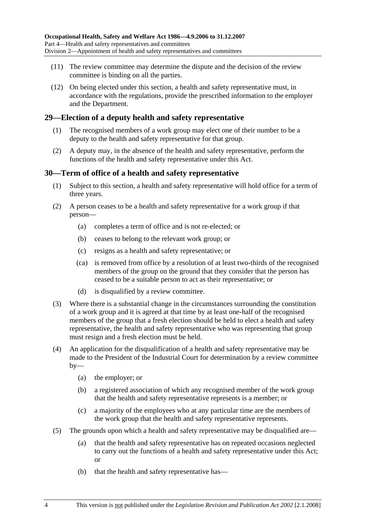- (11) The review committee may determine the dispute and the decision of the review committee is binding on all the parties.
- (12) On being elected under this section, a health and safety representative must, in accordance with the regulations, provide the prescribed information to the employer and the Department.

## **29—Election of a deputy health and safety representative**

- (1) The recognised members of a work group may elect one of their number to be a deputy to the health and safety representative for that group.
- (2) A deputy may, in the absence of the health and safety representative, perform the functions of the health and safety representative under this Act.

## **30—Term of office of a health and safety representative**

- (1) Subject to this section, a health and safety representative will hold office for a term of three years.
- (2) A person ceases to be a health and safety representative for a work group if that person—
	- (a) completes a term of office and is not re-elected; or
	- (b) ceases to belong to the relevant work group; or
	- (c) resigns as a health and safety representative; or
	- (ca) is removed from office by a resolution of at least two-thirds of the recognised members of the group on the ground that they consider that the person has ceased to be a suitable person to act as their representative; or
	- (d) is disqualified by a review committee.
- (3) Where there is a substantial change in the circumstances surrounding the constitution of a work group and it is agreed at that time by at least one-half of the recognised members of the group that a fresh election should be held to elect a health and safety representative, the health and safety representative who was representing that group must resign and a fresh election must be held.
- (4) An application for the disqualification of a health and safety representative may be made to the President of the Industrial Court for determination by a review committee  $by-$ 
	- (a) the employer; or
	- (b) a registered association of which any recognised member of the work group that the health and safety representative represents is a member; or
	- (c) a majority of the employees who at any particular time are the members of the work group that the health and safety representative represents.
- (5) The grounds upon which a health and safety representative may be disqualified are—
	- (a) that the health and safety representative has on repeated occasions neglected to carry out the functions of a health and safety representative under this Act; or
	- (b) that the health and safety representative has—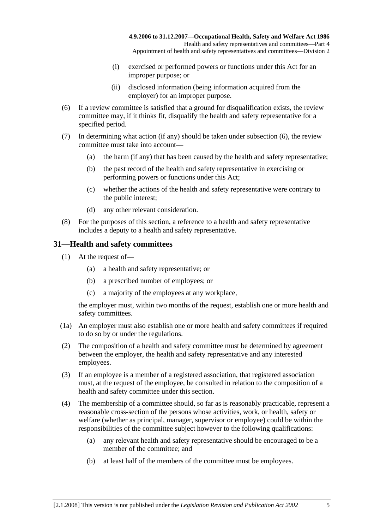- (i) exercised or performed powers or functions under this Act for an improper purpose; or
- (ii) disclosed information (being information acquired from the employer) for an improper purpose.
- (6) If a review committee is satisfied that a ground for disqualification exists, the review committee may, if it thinks fit, disqualify the health and safety representative for a specified period.
- (7) In determining what action (if any) should be taken under subsection (6), the review committee must take into account—
	- (a) the harm (if any) that has been caused by the health and safety representative;
	- (b) the past record of the health and safety representative in exercising or performing powers or functions under this Act;
	- (c) whether the actions of the health and safety representative were contrary to the public interest;
	- (d) any other relevant consideration.
- (8) For the purposes of this section, a reference to a health and safety representative includes a deputy to a health and safety representative.

## **31—Health and safety committees**

- (1) At the request of—
	- (a) a health and safety representative; or
	- (b) a prescribed number of employees; or
	- (c) a majority of the employees at any workplace,

the employer must, within two months of the request, establish one or more health and safety committees.

- (1a) An employer must also establish one or more health and safety committees if required to do so by or under the regulations.
- (2) The composition of a health and safety committee must be determined by agreement between the employer, the health and safety representative and any interested employees.
- (3) If an employee is a member of a registered association, that registered association must, at the request of the employee, be consulted in relation to the composition of a health and safety committee under this section.
- (4) The membership of a committee should, so far as is reasonably practicable, represent a reasonable cross-section of the persons whose activities, work, or health, safety or welfare (whether as principal, manager, supervisor or employee) could be within the responsibilities of the committee subject however to the following qualifications:
	- (a) any relevant health and safety representative should be encouraged to be a member of the committee; and
	- (b) at least half of the members of the committee must be employees.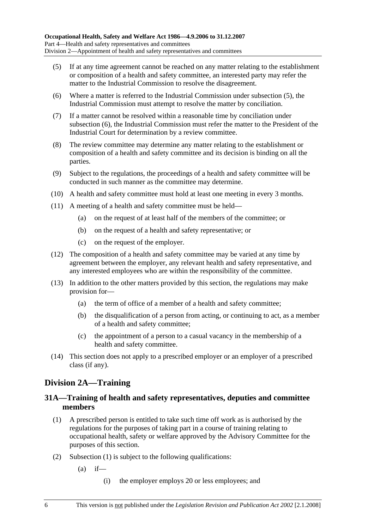- (5) If at any time agreement cannot be reached on any matter relating to the establishment or composition of a health and safety committee, an interested party may refer the matter to the Industrial Commission to resolve the disagreement.
- (6) Where a matter is referred to the Industrial Commission under subsection (5), the Industrial Commission must attempt to resolve the matter by conciliation.
- (7) If a matter cannot be resolved within a reasonable time by conciliation under subsection (6), the Industrial Commission must refer the matter to the President of the Industrial Court for determination by a review committee.
- (8) The review committee may determine any matter relating to the establishment or composition of a health and safety committee and its decision is binding on all the parties.
- (9) Subject to the regulations, the proceedings of a health and safety committee will be conducted in such manner as the committee may determine.
- (10) A health and safety committee must hold at least one meeting in every 3 months.
- (11) A meeting of a health and safety committee must be held—
	- (a) on the request of at least half of the members of the committee; or
	- (b) on the request of a health and safety representative; or
	- (c) on the request of the employer.
- (12) The composition of a health and safety committee may be varied at any time by agreement between the employer, any relevant health and safety representative, and any interested employees who are within the responsibility of the committee.
- (13) In addition to the other matters provided by this section, the regulations may make provision for—
	- (a) the term of office of a member of a health and safety committee;
	- (b) the disqualification of a person from acting, or continuing to act, as a member of a health and safety committee;
	- (c) the appointment of a person to a casual vacancy in the membership of a health and safety committee.
- (14) This section does not apply to a prescribed employer or an employer of a prescribed class (if any).

## **Division 2A—Training**

## **31A—Training of health and safety representatives, deputies and committee members**

- (1) A prescribed person is entitled to take such time off work as is authorised by the regulations for the purposes of taking part in a course of training relating to occupational health, safety or welfare approved by the Advisory Committee for the purposes of this section.
- (2) Subsection (1) is subject to the following qualifications:
	- $(a)$  if—
		- (i) the employer employs 20 or less employees; and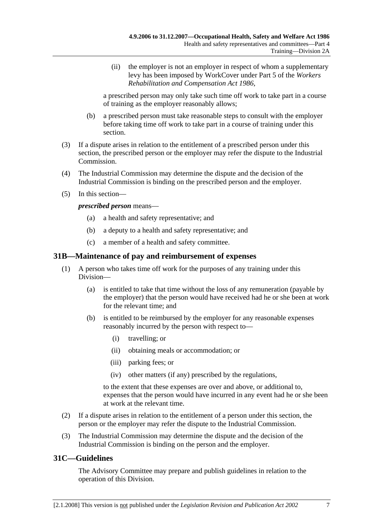(ii) the employer is not an employer in respect of whom a supplementary levy has been imposed by WorkCover under Part 5 of the *Workers Rehabilitation and Compensation Act 1986*,

a prescribed person may only take such time off work to take part in a course of training as the employer reasonably allows;

- (b) a prescribed person must take reasonable steps to consult with the employer before taking time off work to take part in a course of training under this section.
- (3) If a dispute arises in relation to the entitlement of a prescribed person under this section, the prescribed person or the employer may refer the dispute to the Industrial Commission.
- (4) The Industrial Commission may determine the dispute and the decision of the Industrial Commission is binding on the prescribed person and the employer.
- (5) In this section—

*prescribed person* means—

- (a) a health and safety representative; and
- (b) a deputy to a health and safety representative; and
- (c) a member of a health and safety committee.

## **31B—Maintenance of pay and reimbursement of expenses**

- (1) A person who takes time off work for the purposes of any training under this Division—
	- (a) is entitled to take that time without the loss of any remuneration (payable by the employer) that the person would have received had he or she been at work for the relevant time; and
	- (b) is entitled to be reimbursed by the employer for any reasonable expenses reasonably incurred by the person with respect to—
		- (i) travelling; or
		- (ii) obtaining meals or accommodation; or
		- (iii) parking fees; or
		- (iv) other matters (if any) prescribed by the regulations,

to the extent that these expenses are over and above, or additional to, expenses that the person would have incurred in any event had he or she been at work at the relevant time.

- (2) If a dispute arises in relation to the entitlement of a person under this section, the person or the employer may refer the dispute to the Industrial Commission.
- (3) The Industrial Commission may determine the dispute and the decision of the Industrial Commission is binding on the person and the employer.

## **31C—Guidelines**

The Advisory Committee may prepare and publish guidelines in relation to the operation of this Division.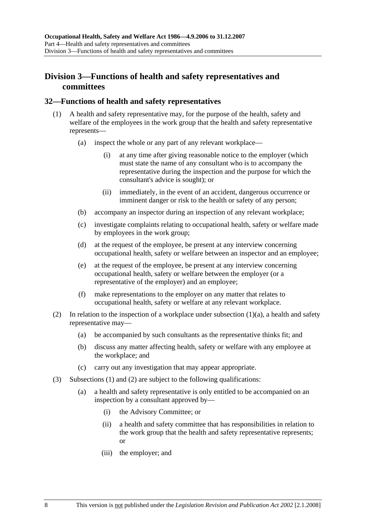## **Division 3—Functions of health and safety representatives and committees**

## **32—Functions of health and safety representatives**

- (1) A health and safety representative may, for the purpose of the health, safety and welfare of the employees in the work group that the health and safety representative represents—
	- (a) inspect the whole or any part of any relevant workplace—
		- (i) at any time after giving reasonable notice to the employer (which must state the name of any consultant who is to accompany the representative during the inspection and the purpose for which the consultant's advice is sought); or
		- (ii) immediately, in the event of an accident, dangerous occurrence or imminent danger or risk to the health or safety of any person;
	- (b) accompany an inspector during an inspection of any relevant workplace;
	- (c) investigate complaints relating to occupational health, safety or welfare made by employees in the work group;
	- (d) at the request of the employee, be present at any interview concerning occupational health, safety or welfare between an inspector and an employee;
	- (e) at the request of the employee, be present at any interview concerning occupational health, safety or welfare between the employer (or a representative of the employer) and an employee;
	- (f) make representations to the employer on any matter that relates to occupational health, safety or welfare at any relevant workplace.
- (2) In relation to the inspection of a workplace under subsection  $(1)(a)$ , a health and safety representative may—
	- (a) be accompanied by such consultants as the representative thinks fit; and
	- (b) discuss any matter affecting health, safety or welfare with any employee at the workplace; and
	- (c) carry out any investigation that may appear appropriate.
- (3) Subsections (1) and (2) are subject to the following qualifications:
	- (a) a health and safety representative is only entitled to be accompanied on an inspection by a consultant approved by—
		- (i) the Advisory Committee; or
		- (ii) a health and safety committee that has responsibilities in relation to the work group that the health and safety representative represents; or
		- (iii) the employer; and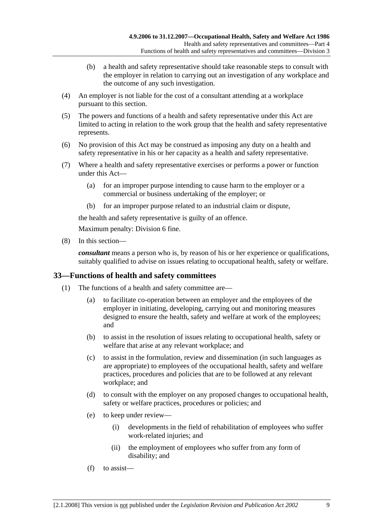- (b) a health and safety representative should take reasonable steps to consult with the employer in relation to carrying out an investigation of any workplace and the outcome of any such investigation.
- (4) An employer is not liable for the cost of a consultant attending at a workplace pursuant to this section.
- (5) The powers and functions of a health and safety representative under this Act are limited to acting in relation to the work group that the health and safety representative represents.
- (6) No provision of this Act may be construed as imposing any duty on a health and safety representative in his or her capacity as a health and safety representative.
- (7) Where a health and safety representative exercises or performs a power or function under this Act—
	- (a) for an improper purpose intending to cause harm to the employer or a commercial or business undertaking of the employer; or
	- (b) for an improper purpose related to an industrial claim or dispute,

the health and safety representative is guilty of an offence.

Maximum penalty: Division 6 fine.

(8) In this section—

*consultant* means a person who is, by reason of his or her experience or qualifications, suitably qualified to advise on issues relating to occupational health, safety or welfare.

## **33—Functions of health and safety committees**

- (1) The functions of a health and safety committee are—
	- (a) to facilitate co-operation between an employer and the employees of the employer in initiating, developing, carrying out and monitoring measures designed to ensure the health, safety and welfare at work of the employees; and
	- (b) to assist in the resolution of issues relating to occupational health, safety or welfare that arise at any relevant workplace; and
	- (c) to assist in the formulation, review and dissemination (in such languages as are appropriate) to employees of the occupational health, safety and welfare practices, procedures and policies that are to be followed at any relevant workplace; and
	- (d) to consult with the employer on any proposed changes to occupational health, safety or welfare practices, procedures or policies; and
	- (e) to keep under review—
		- (i) developments in the field of rehabilitation of employees who suffer work-related injuries; and
		- (ii) the employment of employees who suffer from any form of disability; and
	- (f) to assist—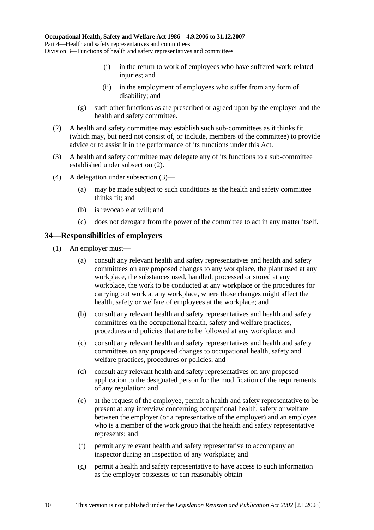- (i) in the return to work of employees who have suffered work-related injuries; and
- (ii) in the employment of employees who suffer from any form of disability; and
- (g) such other functions as are prescribed or agreed upon by the employer and the health and safety committee.
- (2) A health and safety committee may establish such sub-committees as it thinks fit (which may, but need not consist of, or include, members of the committee) to provide advice or to assist it in the performance of its functions under this Act.
- (3) A health and safety committee may delegate any of its functions to a sub-committee established under subsection (2).
- (4) A delegation under subsection (3)—
	- (a) may be made subject to such conditions as the health and safety committee thinks fit; and
	- (b) is revocable at will; and
	- (c) does not derogate from the power of the committee to act in any matter itself.

## **34—Responsibilities of employers**

- (1) An employer must—
	- (a) consult any relevant health and safety representatives and health and safety committees on any proposed changes to any workplace, the plant used at any workplace, the substances used, handled, processed or stored at any workplace, the work to be conducted at any workplace or the procedures for carrying out work at any workplace, where those changes might affect the health, safety or welfare of employees at the workplace; and
	- (b) consult any relevant health and safety representatives and health and safety committees on the occupational health, safety and welfare practices, procedures and policies that are to be followed at any workplace; and
	- (c) consult any relevant health and safety representatives and health and safety committees on any proposed changes to occupational health, safety and welfare practices, procedures or policies; and
	- (d) consult any relevant health and safety representatives on any proposed application to the designated person for the modification of the requirements of any regulation; and
	- (e) at the request of the employee, permit a health and safety representative to be present at any interview concerning occupational health, safety or welfare between the employer (or a representative of the employer) and an employee who is a member of the work group that the health and safety representative represents; and
	- (f) permit any relevant health and safety representative to accompany an inspector during an inspection of any workplace; and
	- (g) permit a health and safety representative to have access to such information as the employer possesses or can reasonably obtain—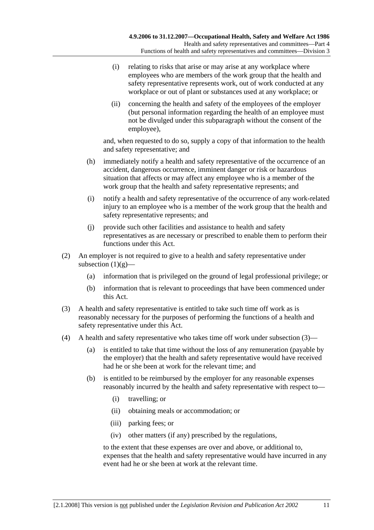- (i) relating to risks that arise or may arise at any workplace where employees who are members of the work group that the health and safety representative represents work, out of work conducted at any workplace or out of plant or substances used at any workplace; or
- (ii) concerning the health and safety of the employees of the employer (but personal information regarding the health of an employee must not be divulged under this subparagraph without the consent of the employee),

and, when requested to do so, supply a copy of that information to the health and safety representative; and

- (h) immediately notify a health and safety representative of the occurrence of an accident, dangerous occurrence, imminent danger or risk or hazardous situation that affects or may affect any employee who is a member of the work group that the health and safety representative represents; and
- (i) notify a health and safety representative of the occurrence of any work-related injury to an employee who is a member of the work group that the health and safety representative represents; and
- (j) provide such other facilities and assistance to health and safety representatives as are necessary or prescribed to enable them to perform their functions under this Act.
- (2) An employer is not required to give to a health and safety representative under subsection  $(1)(g)$ —
	- (a) information that is privileged on the ground of legal professional privilege; or
	- (b) information that is relevant to proceedings that have been commenced under this Act.
- (3) A health and safety representative is entitled to take such time off work as is reasonably necessary for the purposes of performing the functions of a health and safety representative under this Act.
- (4) A health and safety representative who takes time off work under subsection (3)—
	- (a) is entitled to take that time without the loss of any remuneration (payable by the employer) that the health and safety representative would have received had he or she been at work for the relevant time; and
	- (b) is entitled to be reimbursed by the employer for any reasonable expenses reasonably incurred by the health and safety representative with respect to—
		- (i) travelling; or
		- (ii) obtaining meals or accommodation; or
		- (iii) parking fees; or
		- (iv) other matters (if any) prescribed by the regulations,

to the extent that these expenses are over and above, or additional to, expenses that the health and safety representative would have incurred in any event had he or she been at work at the relevant time.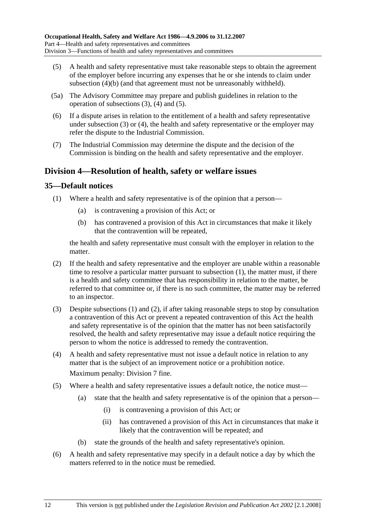- (5) A health and safety representative must take reasonable steps to obtain the agreement of the employer before incurring any expenses that he or she intends to claim under subsection (4)(b) (and that agreement must not be unreasonably withheld).
- (5a) The Advisory Committee may prepare and publish guidelines in relation to the operation of subsections (3), (4) and (5).
- (6) If a dispute arises in relation to the entitlement of a health and safety representative under subsection (3) or (4), the health and safety representative or the employer may refer the dispute to the Industrial Commission.
- (7) The Industrial Commission may determine the dispute and the decision of the Commission is binding on the health and safety representative and the employer.

## **Division 4—Resolution of health, safety or welfare issues**

## **35—Default notices**

- (1) Where a health and safety representative is of the opinion that a person—
	- (a) is contravening a provision of this Act; or
	- (b) has contravened a provision of this Act in circumstances that make it likely that the contravention will be repeated,

the health and safety representative must consult with the employer in relation to the matter.

- (2) If the health and safety representative and the employer are unable within a reasonable time to resolve a particular matter pursuant to subsection (1), the matter must, if there is a health and safety committee that has responsibility in relation to the matter, be referred to that committee or, if there is no such committee, the matter may be referred to an inspector.
- (3) Despite subsections (1) and (2), if after taking reasonable steps to stop by consultation a contravention of this Act or prevent a repeated contravention of this Act the health and safety representative is of the opinion that the matter has not been satisfactorily resolved, the health and safety representative may issue a default notice requiring the person to whom the notice is addressed to remedy the contravention.
- (4) A health and safety representative must not issue a default notice in relation to any matter that is the subject of an improvement notice or a prohibition notice. Maximum penalty: Division 7 fine.
- (5) Where a health and safety representative issues a default notice, the notice must—
	- (a) state that the health and safety representative is of the opinion that a person—
		- (i) is contravening a provision of this Act; or
		- (ii) has contravened a provision of this Act in circumstances that make it likely that the contravention will be repeated; and
	- (b) state the grounds of the health and safety representative's opinion.
- (6) A health and safety representative may specify in a default notice a day by which the matters referred to in the notice must be remedied.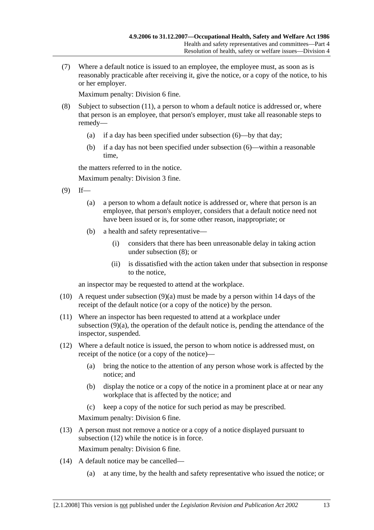(7) Where a default notice is issued to an employee, the employee must, as soon as is reasonably practicable after receiving it, give the notice, or a copy of the notice, to his or her employer.

Maximum penalty: Division 6 fine.

- (8) Subject to subsection (11), a person to whom a default notice is addressed or, where that person is an employee, that person's employer, must take all reasonable steps to remedy—
	- (a) if a day has been specified under subsection (6)—by that day;
	- (b) if a day has not been specified under subsection (6)—within a reasonable time,

the matters referred to in the notice.

Maximum penalty: Division 3 fine.

- $(9)$  If—
	- (a) a person to whom a default notice is addressed or, where that person is an employee, that person's employer, considers that a default notice need not have been issued or is, for some other reason, inappropriate; or
	- (b) a health and safety representative—
		- (i) considers that there has been unreasonable delay in taking action under subsection (8); or
		- (ii) is dissatisfied with the action taken under that subsection in response to the notice,

an inspector may be requested to attend at the workplace.

- (10) A request under subsection (9)(a) must be made by a person within 14 days of the receipt of the default notice (or a copy of the notice) by the person.
- (11) Where an inspector has been requested to attend at a workplace under subsection (9)(a), the operation of the default notice is, pending the attendance of the inspector, suspended.
- (12) Where a default notice is issued, the person to whom notice is addressed must, on receipt of the notice (or a copy of the notice)—
	- (a) bring the notice to the attention of any person whose work is affected by the notice; and
	- (b) display the notice or a copy of the notice in a prominent place at or near any workplace that is affected by the notice; and
	- (c) keep a copy of the notice for such period as may be prescribed.

Maximum penalty: Division 6 fine.

 (13) A person must not remove a notice or a copy of a notice displayed pursuant to subsection (12) while the notice is in force.

Maximum penalty: Division 6 fine.

- (14) A default notice may be cancelled—
	- (a) at any time, by the health and safety representative who issued the notice; or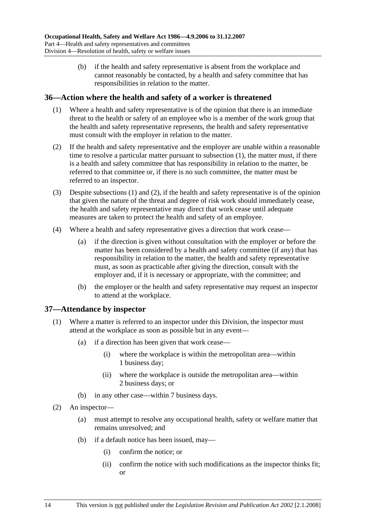(b) if the health and safety representative is absent from the workplace and cannot reasonably be contacted, by a health and safety committee that has responsibilities in relation to the matter.

## **36—Action where the health and safety of a worker is threatened**

- (1) Where a health and safety representative is of the opinion that there is an immediate threat to the health or safety of an employee who is a member of the work group that the health and safety representative represents, the health and safety representative must consult with the employer in relation to the matter.
- (2) If the health and safety representative and the employer are unable within a reasonable time to resolve a particular matter pursuant to subsection (1), the matter must, if there is a health and safety committee that has responsibility in relation to the matter, be referred to that committee or, if there is no such committee, the matter must be referred to an inspector.
- (3) Despite subsections (1) and (2), if the health and safety representative is of the opinion that given the nature of the threat and degree of risk work should immediately cease, the health and safety representative may direct that work cease until adequate measures are taken to protect the health and safety of an employee.
- (4) Where a health and safety representative gives a direction that work cease—
	- (a) if the direction is given without consultation with the employer or before the matter has been considered by a health and safety committee (if any) that has responsibility in relation to the matter, the health and safety representative must, as soon as practicable after giving the direction, consult with the employer and, if it is necessary or appropriate, with the committee; and
	- (b) the employer or the health and safety representative may request an inspector to attend at the workplace.

## **37—Attendance by inspector**

- (1) Where a matter is referred to an inspector under this Division, the inspector must attend at the workplace as soon as possible but in any event—
	- (a) if a direction has been given that work cease—
		- (i) where the workplace is within the metropolitan area—within 1 business day;
		- (ii) where the workplace is outside the metropolitan area—within 2 business days; or
	- (b) in any other case—within 7 business days.
- (2) An inspector—
	- (a) must attempt to resolve any occupational health, safety or welfare matter that remains unresolved; and
	- (b) if a default notice has been issued, may—
		- (i) confirm the notice; or
		- (ii) confirm the notice with such modifications as the inspector thinks fit; or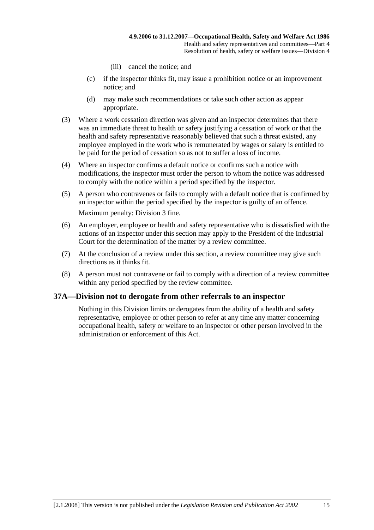- (iii) cancel the notice; and
- (c) if the inspector thinks fit, may issue a prohibition notice or an improvement notice; and
- (d) may make such recommendations or take such other action as appear appropriate.
- (3) Where a work cessation direction was given and an inspector determines that there was an immediate threat to health or safety justifying a cessation of work or that the health and safety representative reasonably believed that such a threat existed, any employee employed in the work who is remunerated by wages or salary is entitled to be paid for the period of cessation so as not to suffer a loss of income.
- (4) Where an inspector confirms a default notice or confirms such a notice with modifications, the inspector must order the person to whom the notice was addressed to comply with the notice within a period specified by the inspector.
- (5) A person who contravenes or fails to comply with a default notice that is confirmed by an inspector within the period specified by the inspector is guilty of an offence. Maximum penalty: Division 3 fine.
- (6) An employer, employee or health and safety representative who is dissatisfied with the actions of an inspector under this section may apply to the President of the Industrial Court for the determination of the matter by a review committee.
- (7) At the conclusion of a review under this section, a review committee may give such directions as it thinks fit.
- (8) A person must not contravene or fail to comply with a direction of a review committee within any period specified by the review committee.

# **37A—Division not to derogate from other referrals to an inspector**

Nothing in this Division limits or derogates from the ability of a health and safety representative, employee or other person to refer at any time any matter concerning occupational health, safety or welfare to an inspector or other person involved in the administration or enforcement of this Act.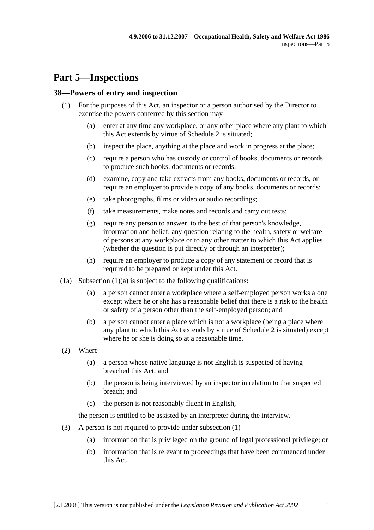# **Part 5—Inspections**

# **38—Powers of entry and inspection**

- (1) For the purposes of this Act, an inspector or a person authorised by the Director to exercise the powers conferred by this section may—
	- (a) enter at any time any workplace, or any other place where any plant to which this Act extends by virtue of Schedule 2 is situated;
	- (b) inspect the place, anything at the place and work in progress at the place;
	- (c) require a person who has custody or control of books, documents or records to produce such books, documents or records;
	- (d) examine, copy and take extracts from any books, documents or records, or require an employer to provide a copy of any books, documents or records;
	- (e) take photographs, films or video or audio recordings;
	- (f) take measurements, make notes and records and carry out tests;
	- (g) require any person to answer, to the best of that person's knowledge, information and belief, any question relating to the health, safety or welfare of persons at any workplace or to any other matter to which this Act applies (whether the question is put directly or through an interpreter);
	- (h) require an employer to produce a copy of any statement or record that is required to be prepared or kept under this Act.
- $(1a)$  Subsection  $(1)(a)$  is subject to the following qualifications:
	- (a) a person cannot enter a workplace where a self-employed person works alone except where he or she has a reasonable belief that there is a risk to the health or safety of a person other than the self-employed person; and
	- (b) a person cannot enter a place which is not a workplace (being a place where any plant to which this Act extends by virtue of Schedule 2 is situated) except where he or she is doing so at a reasonable time.
- (2) Where—
	- (a) a person whose native language is not English is suspected of having breached this Act; and
	- (b) the person is being interviewed by an inspector in relation to that suspected breach; and
	- (c) the person is not reasonably fluent in English,

the person is entitled to be assisted by an interpreter during the interview.

- (3) A person is not required to provide under subsection (1)—
	- (a) information that is privileged on the ground of legal professional privilege; or
	- (b) information that is relevant to proceedings that have been commenced under this Act.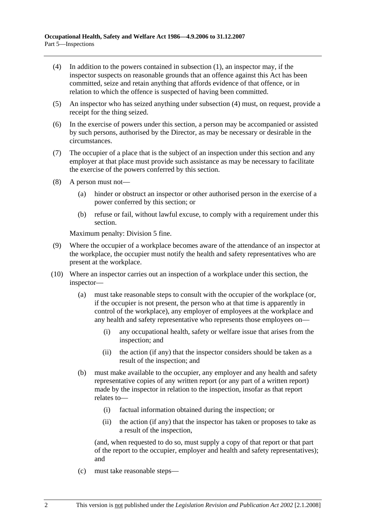- (4) In addition to the powers contained in subsection (1), an inspector may, if the inspector suspects on reasonable grounds that an offence against this Act has been committed, seize and retain anything that affords evidence of that offence, or in relation to which the offence is suspected of having been committed.
- (5) An inspector who has seized anything under subsection (4) must, on request, provide a receipt for the thing seized.
- (6) In the exercise of powers under this section, a person may be accompanied or assisted by such persons, authorised by the Director, as may be necessary or desirable in the circumstances.
- (7) The occupier of a place that is the subject of an inspection under this section and any employer at that place must provide such assistance as may be necessary to facilitate the exercise of the powers conferred by this section.
- (8) A person must not—
	- (a) hinder or obstruct an inspector or other authorised person in the exercise of a power conferred by this section; or
	- (b) refuse or fail, without lawful excuse, to comply with a requirement under this section.

Maximum penalty: Division 5 fine.

- (9) Where the occupier of a workplace becomes aware of the attendance of an inspector at the workplace, the occupier must notify the health and safety representatives who are present at the workplace.
- (10) Where an inspector carries out an inspection of a workplace under this section, the inspector—
	- (a) must take reasonable steps to consult with the occupier of the workplace (or, if the occupier is not present, the person who at that time is apparently in control of the workplace), any employer of employees at the workplace and any health and safety representative who represents those employees on—
		- (i) any occupational health, safety or welfare issue that arises from the inspection; and
		- (ii) the action (if any) that the inspector considers should be taken as a result of the inspection; and
	- (b) must make available to the occupier, any employer and any health and safety representative copies of any written report (or any part of a written report) made by the inspector in relation to the inspection, insofar as that report relates to—
		- (i) factual information obtained during the inspection; or
		- (ii) the action (if any) that the inspector has taken or proposes to take as a result of the inspection,

(and, when requested to do so, must supply a copy of that report or that part of the report to the occupier, employer and health and safety representatives); and

(c) must take reasonable steps—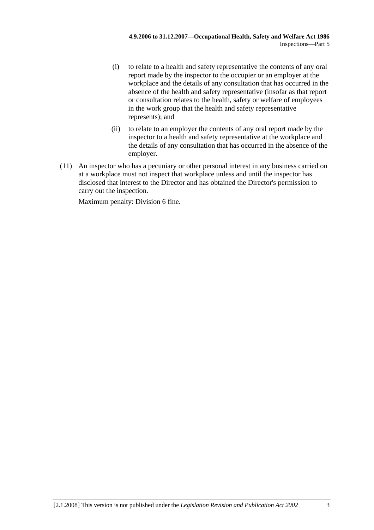- (i) to relate to a health and safety representative the contents of any oral report made by the inspector to the occupier or an employer at the workplace and the details of any consultation that has occurred in the absence of the health and safety representative (insofar as that report or consultation relates to the health, safety or welfare of employees in the work group that the health and safety representative represents); and
- (ii) to relate to an employer the contents of any oral report made by the inspector to a health and safety representative at the workplace and the details of any consultation that has occurred in the absence of the employer.
- (11) An inspector who has a pecuniary or other personal interest in any business carried on at a workplace must not inspect that workplace unless and until the inspector has disclosed that interest to the Director and has obtained the Director's permission to carry out the inspection.

Maximum penalty: Division 6 fine.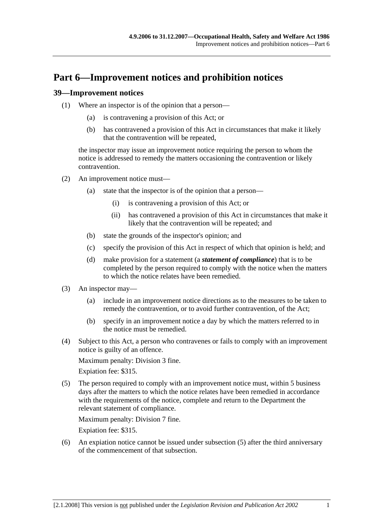# **Part 6—Improvement notices and prohibition notices**

## **39—Improvement notices**

- (1) Where an inspector is of the opinion that a person—
	- (a) is contravening a provision of this Act; or
	- (b) has contravened a provision of this Act in circumstances that make it likely that the contravention will be repeated,

the inspector may issue an improvement notice requiring the person to whom the notice is addressed to remedy the matters occasioning the contravention or likely contravention.

- (2) An improvement notice must—
	- (a) state that the inspector is of the opinion that a person—
		- (i) is contravening a provision of this Act; or
		- (ii) has contravened a provision of this Act in circumstances that make it likely that the contravention will be repeated; and
	- (b) state the grounds of the inspector's opinion; and
	- (c) specify the provision of this Act in respect of which that opinion is held; and
	- (d) make provision for a statement (a *statement of compliance*) that is to be completed by the person required to comply with the notice when the matters to which the notice relates have been remedied.
- (3) An inspector may—
	- (a) include in an improvement notice directions as to the measures to be taken to remedy the contravention, or to avoid further contravention, of the Act;
	- (b) specify in an improvement notice a day by which the matters referred to in the notice must be remedied.
- (4) Subject to this Act, a person who contravenes or fails to comply with an improvement notice is guilty of an offence.

Maximum penalty: Division 3 fine.

Expiation fee: \$315.

 (5) The person required to comply with an improvement notice must, within 5 business days after the matters to which the notice relates have been remedied in accordance with the requirements of the notice, complete and return to the Department the relevant statement of compliance.

Maximum penalty: Division 7 fine.

Expiation fee: \$315.

 (6) An expiation notice cannot be issued under subsection (5) after the third anniversary of the commencement of that subsection.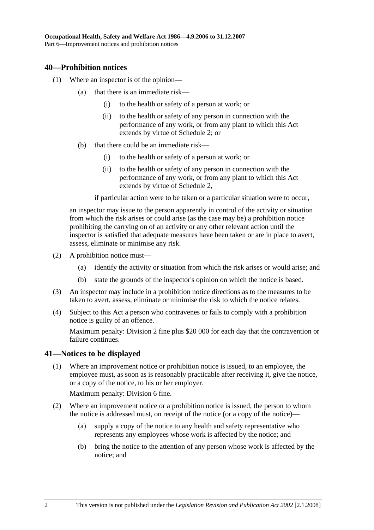## **40—Prohibition notices**

- (1) Where an inspector is of the opinion—
	- (a) that there is an immediate risk—
		- (i) to the health or safety of a person at work; or
		- (ii) to the health or safety of any person in connection with the performance of any work, or from any plant to which this Act extends by virtue of Schedule 2; or
	- (b) that there could be an immediate risk—
		- (i) to the health or safety of a person at work; or
		- (ii) to the health or safety of any person in connection with the performance of any work, or from any plant to which this Act extends by virtue of Schedule 2,

if particular action were to be taken or a particular situation were to occur,

an inspector may issue to the person apparently in control of the activity or situation from which the risk arises or could arise (as the case may be) a prohibition notice prohibiting the carrying on of an activity or any other relevant action until the inspector is satisfied that adequate measures have been taken or are in place to avert, assess, eliminate or minimise any risk.

- (2) A prohibition notice must—
	- (a) identify the activity or situation from which the risk arises or would arise; and
	- (b) state the grounds of the inspector's opinion on which the notice is based.
- (3) An inspector may include in a prohibition notice directions as to the measures to be taken to avert, assess, eliminate or minimise the risk to which the notice relates.
- (4) Subject to this Act a person who contravenes or fails to comply with a prohibition notice is guilty of an offence.

Maximum penalty: Division 2 fine plus \$20 000 for each day that the contravention or failure continues.

# **41—Notices to be displayed**

 (1) Where an improvement notice or prohibition notice is issued, to an employee, the employee must, as soon as is reasonably practicable after receiving it, give the notice, or a copy of the notice, to his or her employer.

Maximum penalty: Division 6 fine.

- (2) Where an improvement notice or a prohibition notice is issued, the person to whom the notice is addressed must, on receipt of the notice (or a copy of the notice)—
	- (a) supply a copy of the notice to any health and safety representative who represents any employees whose work is affected by the notice; and
	- (b) bring the notice to the attention of any person whose work is affected by the notice; and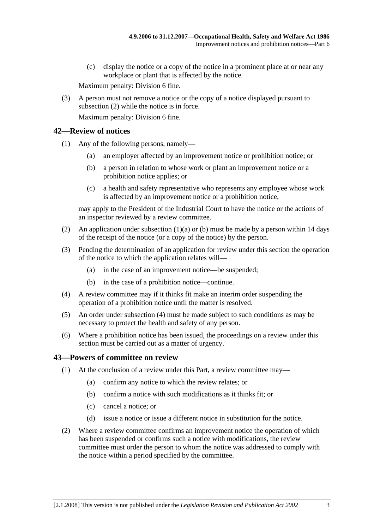(c) display the notice or a copy of the notice in a prominent place at or near any workplace or plant that is affected by the notice.

Maximum penalty: Division 6 fine.

 (3) A person must not remove a notice or the copy of a notice displayed pursuant to subsection (2) while the notice is in force.

Maximum penalty: Division 6 fine.

## **42—Review of notices**

- (1) Any of the following persons, namely—
	- (a) an employer affected by an improvement notice or prohibition notice; or
	- (b) a person in relation to whose work or plant an improvement notice or a prohibition notice applies; or
	- (c) a health and safety representative who represents any employee whose work is affected by an improvement notice or a prohibition notice,

may apply to the President of the Industrial Court to have the notice or the actions of an inspector reviewed by a review committee.

- (2) An application under subsection  $(1)(a)$  or (b) must be made by a person within 14 days of the receipt of the notice (or a copy of the notice) by the person.
- (3) Pending the determination of an application for review under this section the operation of the notice to which the application relates will—
	- (a) in the case of an improvement notice—be suspended;
	- (b) in the case of a prohibition notice—continue.
- (4) A review committee may if it thinks fit make an interim order suspending the operation of a prohibition notice until the matter is resolved.
- (5) An order under subsection (4) must be made subject to such conditions as may be necessary to protect the health and safety of any person.
- (6) Where a prohibition notice has been issued, the proceedings on a review under this section must be carried out as a matter of urgency.

## **43—Powers of committee on review**

- (1) At the conclusion of a review under this Part, a review committee may—
	- (a) confirm any notice to which the review relates; or
	- (b) confirm a notice with such modifications as it thinks fit; or
	- (c) cancel a notice; or
	- (d) issue a notice or issue a different notice in substitution for the notice.
- (2) Where a review committee confirms an improvement notice the operation of which has been suspended or confirms such a notice with modifications, the review committee must order the person to whom the notice was addressed to comply with the notice within a period specified by the committee.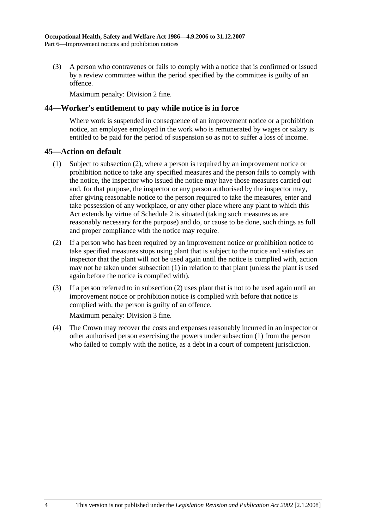(3) A person who contravenes or fails to comply with a notice that is confirmed or issued by a review committee within the period specified by the committee is guilty of an offence.

Maximum penalty: Division 2 fine.

## **44—Worker's entitlement to pay while notice is in force**

Where work is suspended in consequence of an improvement notice or a prohibition notice, an employee employed in the work who is remunerated by wages or salary is entitled to be paid for the period of suspension so as not to suffer a loss of income.

## **45—Action on default**

- (1) Subject to subsection (2), where a person is required by an improvement notice or prohibition notice to take any specified measures and the person fails to comply with the notice, the inspector who issued the notice may have those measures carried out and, for that purpose, the inspector or any person authorised by the inspector may, after giving reasonable notice to the person required to take the measures, enter and take possession of any workplace, or any other place where any plant to which this Act extends by virtue of Schedule 2 is situated (taking such measures as are reasonably necessary for the purpose) and do, or cause to be done, such things as full and proper compliance with the notice may require.
- (2) If a person who has been required by an improvement notice or prohibition notice to take specified measures stops using plant that is subject to the notice and satisfies an inspector that the plant will not be used again until the notice is complied with, action may not be taken under subsection (1) in relation to that plant (unless the plant is used again before the notice is complied with).
- (3) If a person referred to in subsection (2) uses plant that is not to be used again until an improvement notice or prohibition notice is complied with before that notice is complied with, the person is guilty of an offence.

Maximum penalty: Division 3 fine.

 (4) The Crown may recover the costs and expenses reasonably incurred in an inspector or other authorised person exercising the powers under subsection (1) from the person who failed to comply with the notice, as a debt in a court of competent jurisdiction.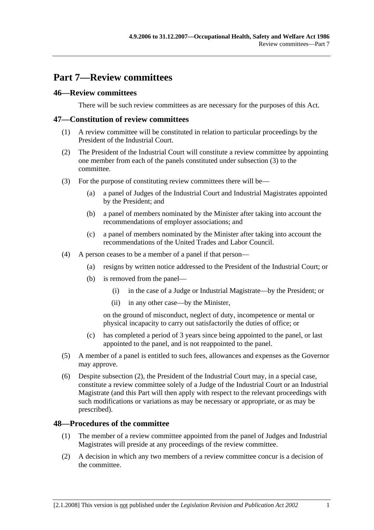# **Part 7—Review committees**

# **46—Review committees**

There will be such review committees as are necessary for the purposes of this Act.

## **47—Constitution of review committees**

- (1) A review committee will be constituted in relation to particular proceedings by the President of the Industrial Court.
- (2) The President of the Industrial Court will constitute a review committee by appointing one member from each of the panels constituted under subsection (3) to the committee.
- (3) For the purpose of constituting review committees there will be—
	- (a) a panel of Judges of the Industrial Court and Industrial Magistrates appointed by the President; and
	- (b) a panel of members nominated by the Minister after taking into account the recommendations of employer associations; and
	- (c) a panel of members nominated by the Minister after taking into account the recommendations of the United Trades and Labor Council.
- (4) A person ceases to be a member of a panel if that person—
	- (a) resigns by written notice addressed to the President of the Industrial Court; or
	- (b) is removed from the panel—
		- (i) in the case of a Judge or Industrial Magistrate—by the President; or
		- (ii) in any other case—by the Minister,

on the ground of misconduct, neglect of duty, incompetence or mental or physical incapacity to carry out satisfactorily the duties of office; or

- (c) has completed a period of 3 years since being appointed to the panel, or last appointed to the panel, and is not reappointed to the panel.
- (5) A member of a panel is entitled to such fees, allowances and expenses as the Governor may approve.
- (6) Despite subsection (2), the President of the Industrial Court may, in a special case, constitute a review committee solely of a Judge of the Industrial Court or an Industrial Magistrate (and this Part will then apply with respect to the relevant proceedings with such modifications or variations as may be necessary or appropriate, or as may be prescribed).

## **48—Procedures of the committee**

- (1) The member of a review committee appointed from the panel of Judges and Industrial Magistrates will preside at any proceedings of the review committee.
- (2) A decision in which any two members of a review committee concur is a decision of the committee.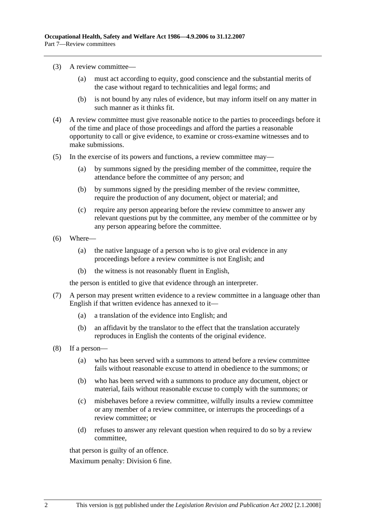- (3) A review committee—
	- (a) must act according to equity, good conscience and the substantial merits of the case without regard to technicalities and legal forms; and
	- (b) is not bound by any rules of evidence, but may inform itself on any matter in such manner as it thinks fit.
- (4) A review committee must give reasonable notice to the parties to proceedings before it of the time and place of those proceedings and afford the parties a reasonable opportunity to call or give evidence, to examine or cross-examine witnesses and to make submissions.
- (5) In the exercise of its powers and functions, a review committee may—
	- (a) by summons signed by the presiding member of the committee, require the attendance before the committee of any person; and
	- (b) by summons signed by the presiding member of the review committee, require the production of any document, object or material; and
	- (c) require any person appearing before the review committee to answer any relevant questions put by the committee, any member of the committee or by any person appearing before the committee.
- (6) Where—
	- (a) the native language of a person who is to give oral evidence in any proceedings before a review committee is not English; and
	- (b) the witness is not reasonably fluent in English,

the person is entitled to give that evidence through an interpreter.

- (7) A person may present written evidence to a review committee in a language other than English if that written evidence has annexed to it—
	- (a) a translation of the evidence into English; and
	- (b) an affidavit by the translator to the effect that the translation accurately reproduces in English the contents of the original evidence.
- (8) If a person—
	- (a) who has been served with a summons to attend before a review committee fails without reasonable excuse to attend in obedience to the summons; or
	- (b) who has been served with a summons to produce any document, object or material, fails without reasonable excuse to comply with the summons; or
	- (c) misbehaves before a review committee, wilfully insults a review committee or any member of a review committee, or interrupts the proceedings of a review committee; or
	- (d) refuses to answer any relevant question when required to do so by a review committee,

that person is guilty of an offence.

Maximum penalty: Division 6 fine.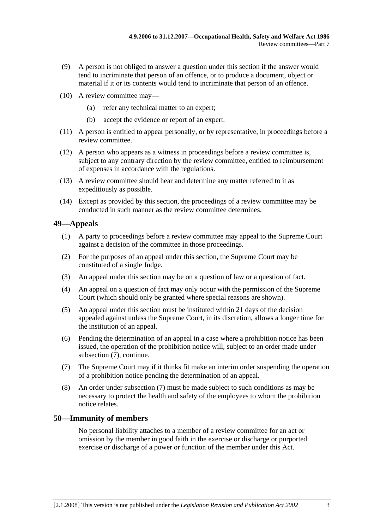- (9) A person is not obliged to answer a question under this section if the answer would tend to incriminate that person of an offence, or to produce a document, object or material if it or its contents would tend to incriminate that person of an offence.
- (10) A review committee may—
	- (a) refer any technical matter to an expert;
	- (b) accept the evidence or report of an expert.
- (11) A person is entitled to appear personally, or by representative, in proceedings before a review committee.
- (12) A person who appears as a witness in proceedings before a review committee is, subject to any contrary direction by the review committee, entitled to reimbursement of expenses in accordance with the regulations.
- (13) A review committee should hear and determine any matter referred to it as expeditiously as possible.
- (14) Except as provided by this section, the proceedings of a review committee may be conducted in such manner as the review committee determines.

# **49—Appeals**

- (1) A party to proceedings before a review committee may appeal to the Supreme Court against a decision of the committee in those proceedings.
- (2) For the purposes of an appeal under this section, the Supreme Court may be constituted of a single Judge.
- (3) An appeal under this section may be on a question of law or a question of fact.
- (4) An appeal on a question of fact may only occur with the permission of the Supreme Court (which should only be granted where special reasons are shown).
- (5) An appeal under this section must be instituted within 21 days of the decision appealed against unless the Supreme Court, in its discretion, allows a longer time for the institution of an appeal.
- (6) Pending the determination of an appeal in a case where a prohibition notice has been issued, the operation of the prohibition notice will, subject to an order made under subsection (7), continue.
- (7) The Supreme Court may if it thinks fit make an interim order suspending the operation of a prohibition notice pending the determination of an appeal.
- (8) An order under subsection (7) must be made subject to such conditions as may be necessary to protect the health and safety of the employees to whom the prohibition notice relates.

# **50—Immunity of members**

No personal liability attaches to a member of a review committee for an act or omission by the member in good faith in the exercise or discharge or purported exercise or discharge of a power or function of the member under this Act.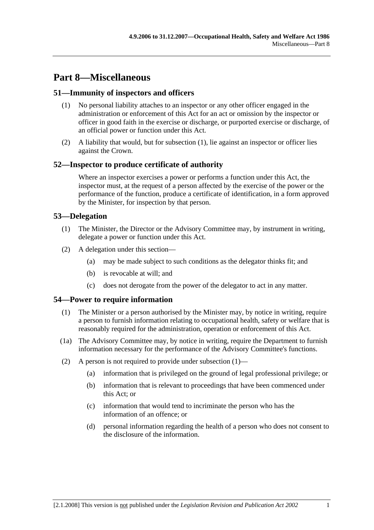# **Part 8—Miscellaneous**

# **51—Immunity of inspectors and officers**

- (1) No personal liability attaches to an inspector or any other officer engaged in the administration or enforcement of this Act for an act or omission by the inspector or officer in good faith in the exercise or discharge, or purported exercise or discharge, of an official power or function under this Act.
- (2) A liability that would, but for subsection (1), lie against an inspector or officer lies against the Crown.

# **52—Inspector to produce certificate of authority**

Where an inspector exercises a power or performs a function under this Act, the inspector must, at the request of a person affected by the exercise of the power or the performance of the function, produce a certificate of identification, in a form approved by the Minister, for inspection by that person.

# **53—Delegation**

- (1) The Minister, the Director or the Advisory Committee may, by instrument in writing, delegate a power or function under this Act.
- (2) A delegation under this section—
	- (a) may be made subject to such conditions as the delegator thinks fit; and
	- (b) is revocable at will; and
	- (c) does not derogate from the power of the delegator to act in any matter.

# **54—Power to require information**

- (1) The Minister or a person authorised by the Minister may, by notice in writing, require a person to furnish information relating to occupational health, safety or welfare that is reasonably required for the administration, operation or enforcement of this Act.
- (1a) The Advisory Committee may, by notice in writing, require the Department to furnish information necessary for the performance of the Advisory Committee's functions.
- (2) A person is not required to provide under subsection  $(1)$ 
	- (a) information that is privileged on the ground of legal professional privilege; or
	- (b) information that is relevant to proceedings that have been commenced under this Act; or
	- (c) information that would tend to incriminate the person who has the information of an offence; or
	- (d) personal information regarding the health of a person who does not consent to the disclosure of the information.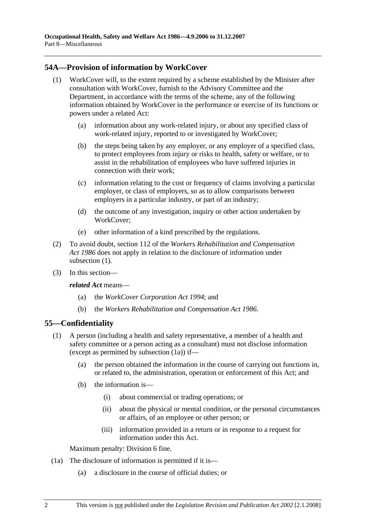# **54A—Provision of information by WorkCover**

- (1) WorkCover will, to the extent required by a scheme established by the Minister after consultation with WorkCover, furnish to the Advisory Committee and the Department, in accordance with the terms of the scheme, any of the following information obtained by WorkCover in the performance or exercise of its functions or powers under a related Act:
	- (a) information about any work-related injury, or about any specified class of work-related injury, reported to or investigated by WorkCover;
	- (b) the steps being taken by any employer, or any employer of a specified class, to protect employees from injury or risks to health, safety or welfare, or to assist in the rehabilitation of employees who have suffered injuries in connection with their work;
	- (c) information relating to the cost or frequency of claims involving a particular employer, or class of employers, so as to allow comparisons between employers in a particular industry, or part of an industry;
	- (d) the outcome of any investigation, inquiry or other action undertaken by WorkCover;
	- (e) other information of a kind prescribed by the regulations.
- (2) To avoid doubt, section 112 of the *Workers Rehabilitation and Compensation Act 1986* does not apply in relation to the disclosure of information under subsection  $(1)$ .
- (3) In this section—

*related Act* means—

- (a) the *WorkCover Corporation Act 1994*; and
- (b) the *Workers Rehabilitation and Compensation Act 1986*.

# **55—Confidentiality**

- (1) A person (including a health and safety representative, a member of a health and safety committee or a person acting as a consultant) must not disclose information (except as permitted by subsection (1a)) if—
	- (a) the person obtained the information in the course of carrying out functions in, or related to, the administration, operation or enforcement of this Act; and
	- (b) the information is—
		- (i) about commercial or trading operations; or
		- (ii) about the physical or mental condition, or the personal circumstances or affairs, of an employee or other person; or
		- (iii) information provided in a return or in response to a request for information under this Act.

Maximum penalty: Division 6 fine.

- (1a) The disclosure of information is permitted if it is—
	- (a) a disclosure in the course of official duties; or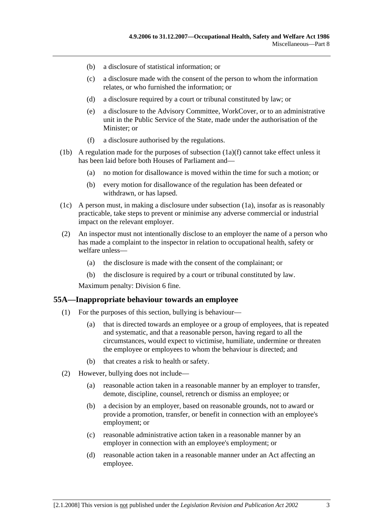- (b) a disclosure of statistical information; or
- (c) a disclosure made with the consent of the person to whom the information relates, or who furnished the information; or
- (d) a disclosure required by a court or tribunal constituted by law; or
- (e) a disclosure to the Advisory Committee, WorkCover, or to an administrative unit in the Public Service of the State, made under the authorisation of the Minister; or
- (f) a disclosure authorised by the regulations.
- (1b) A regulation made for the purposes of subsection  $(1a)(f)$  cannot take effect unless it has been laid before both Houses of Parliament and—
	- (a) no motion for disallowance is moved within the time for such a motion; or
	- (b) every motion for disallowance of the regulation has been defeated or withdrawn, or has lapsed.
- (1c) A person must, in making a disclosure under subsection (1a), insofar as is reasonably practicable, take steps to prevent or minimise any adverse commercial or industrial impact on the relevant employer.
- (2) An inspector must not intentionally disclose to an employer the name of a person who has made a complaint to the inspector in relation to occupational health, safety or welfare unless—
	- (a) the disclosure is made with the consent of the complainant; or
	- (b) the disclosure is required by a court or tribunal constituted by law.

Maximum penalty: Division 6 fine.

#### **55A—Inappropriate behaviour towards an employee**

- (1) For the purposes of this section, bullying is behaviour—
	- (a) that is directed towards an employee or a group of employees, that is repeated and systematic, and that a reasonable person, having regard to all the circumstances, would expect to victimise, humiliate, undermine or threaten the employee or employees to whom the behaviour is directed; and
	- (b) that creates a risk to health or safety.
- (2) However, bullying does not include—
	- (a) reasonable action taken in a reasonable manner by an employer to transfer, demote, discipline, counsel, retrench or dismiss an employee; or
	- (b) a decision by an employer, based on reasonable grounds, not to award or provide a promotion, transfer, or benefit in connection with an employee's employment; or
	- (c) reasonable administrative action taken in a reasonable manner by an employer in connection with an employee's employment; or
	- (d) reasonable action taken in a reasonable manner under an Act affecting an employee.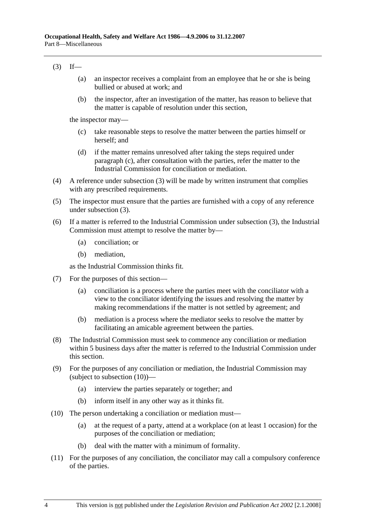## $(3)$  If—

- (a) an inspector receives a complaint from an employee that he or she is being bullied or abused at work; and
- (b) the inspector, after an investigation of the matter, has reason to believe that the matter is capable of resolution under this section,

the inspector may—

- (c) take reasonable steps to resolve the matter between the parties himself or herself; and
- (d) if the matter remains unresolved after taking the steps required under paragraph (c), after consultation with the parties, refer the matter to the Industrial Commission for conciliation or mediation.
- (4) A reference under subsection (3) will be made by written instrument that complies with any prescribed requirements.
- (5) The inspector must ensure that the parties are furnished with a copy of any reference under subsection (3).
- (6) If a matter is referred to the Industrial Commission under subsection (3), the Industrial Commission must attempt to resolve the matter by—
	- (a) conciliation; or
	- (b) mediation,

as the Industrial Commission thinks fit.

- (7) For the purposes of this section—
	- (a) conciliation is a process where the parties meet with the conciliator with a view to the conciliator identifying the issues and resolving the matter by making recommendations if the matter is not settled by agreement; and
	- (b) mediation is a process where the mediator seeks to resolve the matter by facilitating an amicable agreement between the parties.
- (8) The Industrial Commission must seek to commence any conciliation or mediation within 5 business days after the matter is referred to the Industrial Commission under this section.
- (9) For the purposes of any conciliation or mediation, the Industrial Commission may (subject to subsection (10))—
	- (a) interview the parties separately or together; and
	- (b) inform itself in any other way as it thinks fit.
- (10) The person undertaking a conciliation or mediation must—
	- (a) at the request of a party, attend at a workplace (on at least 1 occasion) for the purposes of the conciliation or mediation;
	- (b) deal with the matter with a minimum of formality.
- (11) For the purposes of any conciliation, the conciliator may call a compulsory conference of the parties.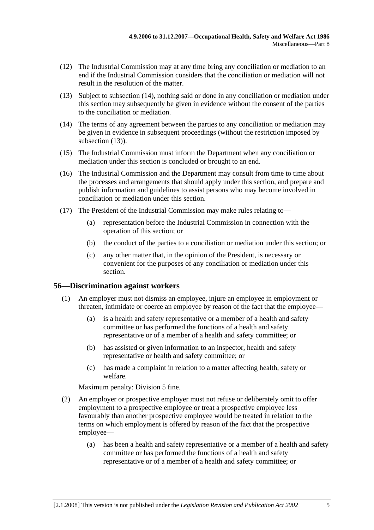- (12) The Industrial Commission may at any time bring any conciliation or mediation to an end if the Industrial Commission considers that the conciliation or mediation will not result in the resolution of the matter.
- (13) Subject to subsection (14), nothing said or done in any conciliation or mediation under this section may subsequently be given in evidence without the consent of the parties to the conciliation or mediation.
- (14) The terms of any agreement between the parties to any conciliation or mediation may be given in evidence in subsequent proceedings (without the restriction imposed by subsection  $(13)$ ).
- (15) The Industrial Commission must inform the Department when any conciliation or mediation under this section is concluded or brought to an end.
- (16) The Industrial Commission and the Department may consult from time to time about the processes and arrangements that should apply under this section, and prepare and publish information and guidelines to assist persons who may become involved in conciliation or mediation under this section.
- (17) The President of the Industrial Commission may make rules relating to—
	- (a) representation before the Industrial Commission in connection with the operation of this section; or
	- (b) the conduct of the parties to a conciliation or mediation under this section; or
	- (c) any other matter that, in the opinion of the President, is necessary or convenient for the purposes of any conciliation or mediation under this section.

## **56—Discrimination against workers**

- (1) An employer must not dismiss an employee, injure an employee in employment or threaten, intimidate or coerce an employee by reason of the fact that the employee—
	- (a) is a health and safety representative or a member of a health and safety committee or has performed the functions of a health and safety representative or of a member of a health and safety committee; or
	- (b) has assisted or given information to an inspector, health and safety representative or health and safety committee; or
	- (c) has made a complaint in relation to a matter affecting health, safety or welfare.

Maximum penalty: Division 5 fine.

- (2) An employer or prospective employer must not refuse or deliberately omit to offer employment to a prospective employee or treat a prospective employee less favourably than another prospective employee would be treated in relation to the terms on which employment is offered by reason of the fact that the prospective employee—
	- (a) has been a health and safety representative or a member of a health and safety committee or has performed the functions of a health and safety representative or of a member of a health and safety committee; or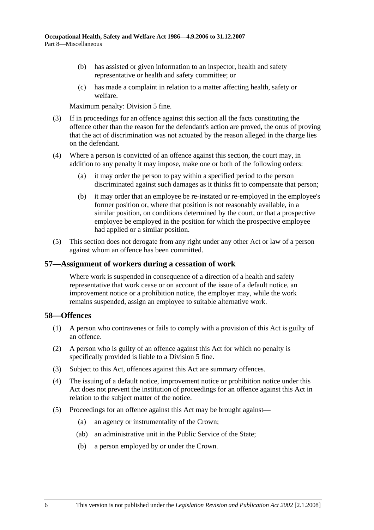- (b) has assisted or given information to an inspector, health and safety representative or health and safety committee; or
- (c) has made a complaint in relation to a matter affecting health, safety or welfare.

Maximum penalty: Division 5 fine.

- (3) If in proceedings for an offence against this section all the facts constituting the offence other than the reason for the defendant's action are proved, the onus of proving that the act of discrimination was not actuated by the reason alleged in the charge lies on the defendant.
- (4) Where a person is convicted of an offence against this section, the court may, in addition to any penalty it may impose, make one or both of the following orders:
	- (a) it may order the person to pay within a specified period to the person discriminated against such damages as it thinks fit to compensate that person;
	- (b) it may order that an employee be re-instated or re-employed in the employee's former position or, where that position is not reasonably available, in a similar position, on conditions determined by the court, or that a prospective employee be employed in the position for which the prospective employee had applied or a similar position.
- (5) This section does not derogate from any right under any other Act or law of a person against whom an offence has been committed.

## **57—Assignment of workers during a cessation of work**

Where work is suspended in consequence of a direction of a health and safety representative that work cease or on account of the issue of a default notice, an improvement notice or a prohibition notice, the employer may, while the work remains suspended, assign an employee to suitable alternative work.

## **58—Offences**

- (1) A person who contravenes or fails to comply with a provision of this Act is guilty of an offence.
- (2) A person who is guilty of an offence against this Act for which no penalty is specifically provided is liable to a Division 5 fine.
- (3) Subject to this Act, offences against this Act are summary offences.
- (4) The issuing of a default notice, improvement notice or prohibition notice under this Act does not prevent the institution of proceedings for an offence against this Act in relation to the subject matter of the notice.
- (5) Proceedings for an offence against this Act may be brought against—
	- (a) an agency or instrumentality of the Crown;
	- (ab) an administrative unit in the Public Service of the State;
	- (b) a person employed by or under the Crown.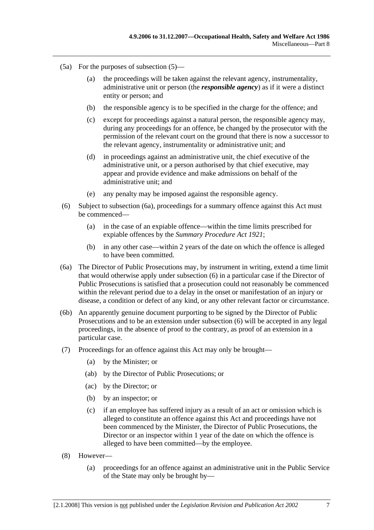- (5a) For the purposes of subsection (5)—
	- (a) the proceedings will be taken against the relevant agency, instrumentality, administrative unit or person (the *responsible agency*) as if it were a distinct entity or person; and
	- (b) the responsible agency is to be specified in the charge for the offence; and
	- (c) except for proceedings against a natural person, the responsible agency may, during any proceedings for an offence, be changed by the prosecutor with the permission of the relevant court on the ground that there is now a successor to the relevant agency, instrumentality or administrative unit; and
	- (d) in proceedings against an administrative unit, the chief executive of the administrative unit, or a person authorised by that chief executive, may appear and provide evidence and make admissions on behalf of the administrative unit; and
	- (e) any penalty may be imposed against the responsible agency.
- (6) Subject to subsection (6a), proceedings for a summary offence against this Act must be commenced—
	- (a) in the case of an expiable offence—within the time limits prescribed for expiable offences by the *Summary Procedure Act 1921*;
	- (b) in any other case—within 2 years of the date on which the offence is alleged to have been committed.
- (6a) The Director of Public Prosecutions may, by instrument in writing, extend a time limit that would otherwise apply under subsection (6) in a particular case if the Director of Public Prosecutions is satisfied that a prosecution could not reasonably be commenced within the relevant period due to a delay in the onset or manifestation of an injury or disease, a condition or defect of any kind, or any other relevant factor or circumstance.
- (6b) An apparently genuine document purporting to be signed by the Director of Public Prosecutions and to be an extension under subsection (6) will be accepted in any legal proceedings, in the absence of proof to the contrary, as proof of an extension in a particular case.
- (7) Proceedings for an offence against this Act may only be brought—
	- (a) by the Minister; or
	- (ab) by the Director of Public Prosecutions; or
	- (ac) by the Director; or
	- (b) by an inspector; or
	- (c) if an employee has suffered injury as a result of an act or omission which is alleged to constitute an offence against this Act and proceedings have not been commenced by the Minister, the Director of Public Prosecutions, the Director or an inspector within 1 year of the date on which the offence is alleged to have been committed—by the employee.
- (8) However—
	- (a) proceedings for an offence against an administrative unit in the Public Service of the State may only be brought by—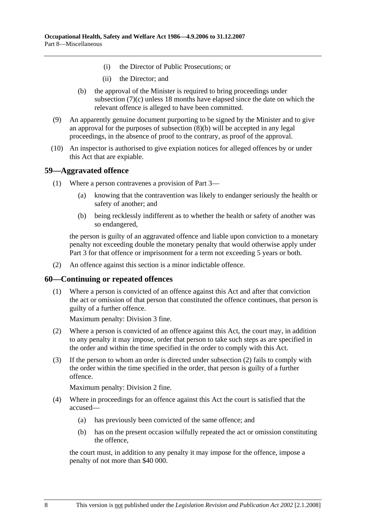- (i) the Director of Public Prosecutions; or
- (ii) the Director; and
- (b) the approval of the Minister is required to bring proceedings under subsection (7)(c) unless 18 months have elapsed since the date on which the relevant offence is alleged to have been committed.
- (9) An apparently genuine document purporting to be signed by the Minister and to give an approval for the purposes of subsection (8)(b) will be accepted in any legal proceedings, in the absence of proof to the contrary, as proof of the approval.
- (10) An inspector is authorised to give expiation notices for alleged offences by or under this Act that are expiable.

## **59—Aggravated offence**

- (1) Where a person contravenes a provision of Part 3—
	- (a) knowing that the contravention was likely to endanger seriously the health or safety of another; and
	- (b) being recklessly indifferent as to whether the health or safety of another was so endangered,

the person is guilty of an aggravated offence and liable upon conviction to a monetary penalty not exceeding double the monetary penalty that would otherwise apply under Part 3 for that offence or imprisonment for a term not exceeding 5 years or both.

(2) An offence against this section is a minor indictable offence.

## **60—Continuing or repeated offences**

 (1) Where a person is convicted of an offence against this Act and after that conviction the act or omission of that person that constituted the offence continues, that person is guilty of a further offence.

Maximum penalty: Division 3 fine.

- (2) Where a person is convicted of an offence against this Act, the court may, in addition to any penalty it may impose, order that person to take such steps as are specified in the order and within the time specified in the order to comply with this Act.
- (3) If the person to whom an order is directed under subsection (2) fails to comply with the order within the time specified in the order, that person is guilty of a further offence.

Maximum penalty: Division 2 fine.

- (4) Where in proceedings for an offence against this Act the court is satisfied that the accused—
	- (a) has previously been convicted of the same offence; and
	- (b) has on the present occasion wilfully repeated the act or omission constituting the offence,

the court must, in addition to any penalty it may impose for the offence, impose a penalty of not more than \$40 000.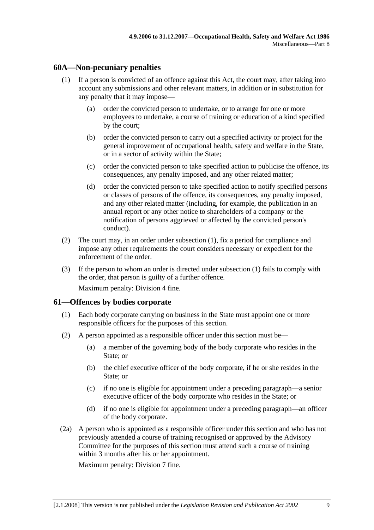## **60A—Non-pecuniary penalties**

- (1) If a person is convicted of an offence against this Act, the court may, after taking into account any submissions and other relevant matters, in addition or in substitution for any penalty that it may impose—
	- (a) order the convicted person to undertake, or to arrange for one or more employees to undertake, a course of training or education of a kind specified by the court;
	- (b) order the convicted person to carry out a specified activity or project for the general improvement of occupational health, safety and welfare in the State, or in a sector of activity within the State;
	- (c) order the convicted person to take specified action to publicise the offence, its consequences, any penalty imposed, and any other related matter;
	- (d) order the convicted person to take specified action to notify specified persons or classes of persons of the offence, its consequences, any penalty imposed, and any other related matter (including, for example, the publication in an annual report or any other notice to shareholders of a company or the notification of persons aggrieved or affected by the convicted person's conduct).
- (2) The court may, in an order under subsection (1), fix a period for compliance and impose any other requirements the court considers necessary or expedient for the enforcement of the order.
- (3) If the person to whom an order is directed under subsection (1) fails to comply with the order, that person is guilty of a further offence. Maximum penalty: Division 4 fine.

## **61—Offences by bodies corporate**

- (1) Each body corporate carrying on business in the State must appoint one or more responsible officers for the purposes of this section.
- (2) A person appointed as a responsible officer under this section must be—
	- (a) a member of the governing body of the body corporate who resides in the State; or
	- (b) the chief executive officer of the body corporate, if he or she resides in the State; or
	- (c) if no one is eligible for appointment under a preceding paragraph—a senior executive officer of the body corporate who resides in the State; or
	- (d) if no one is eligible for appointment under a preceding paragraph—an officer of the body corporate.
- (2a) A person who is appointed as a responsible officer under this section and who has not previously attended a course of training recognised or approved by the Advisory Committee for the purposes of this section must attend such a course of training within 3 months after his or her appointment.

Maximum penalty: Division 7 fine.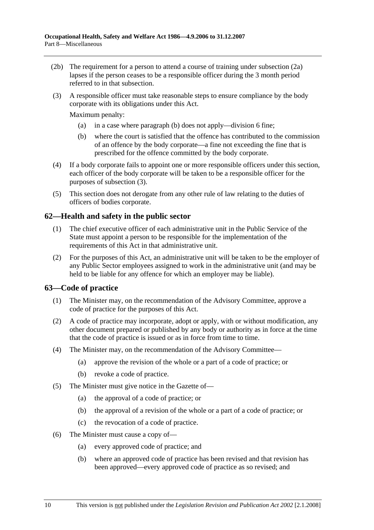- (2b) The requirement for a person to attend a course of training under subsection (2a) lapses if the person ceases to be a responsible officer during the 3 month period referred to in that subsection.
- (3) A responsible officer must take reasonable steps to ensure compliance by the body corporate with its obligations under this Act.

Maximum penalty:

- (a) in a case where paragraph (b) does not apply—division 6 fine;
- (b) where the court is satisfied that the offence has contributed to the commission of an offence by the body corporate—a fine not exceeding the fine that is prescribed for the offence committed by the body corporate.
- (4) If a body corporate fails to appoint one or more responsible officers under this section, each officer of the body corporate will be taken to be a responsible officer for the purposes of subsection (3).
- (5) This section does not derogate from any other rule of law relating to the duties of officers of bodies corporate.

# **62—Health and safety in the public sector**

- (1) The chief executive officer of each administrative unit in the Public Service of the State must appoint a person to be responsible for the implementation of the requirements of this Act in that administrative unit.
- (2) For the purposes of this Act, an administrative unit will be taken to be the employer of any Public Sector employees assigned to work in the administrative unit (and may be held to be liable for any offence for which an employer may be liable).

## **63—Code of practice**

- (1) The Minister may, on the recommendation of the Advisory Committee, approve a code of practice for the purposes of this Act.
- (2) A code of practice may incorporate, adopt or apply, with or without modification, any other document prepared or published by any body or authority as in force at the time that the code of practice is issued or as in force from time to time.
- (4) The Minister may, on the recommendation of the Advisory Committee—
	- (a) approve the revision of the whole or a part of a code of practice; or
	- (b) revoke a code of practice.
- (5) The Minister must give notice in the Gazette of—
	- (a) the approval of a code of practice; or
	- (b) the approval of a revision of the whole or a part of a code of practice; or
	- (c) the revocation of a code of practice.
- (6) The Minister must cause a copy of—
	- (a) every approved code of practice; and
	- (b) where an approved code of practice has been revised and that revision has been approved—every approved code of practice as so revised; and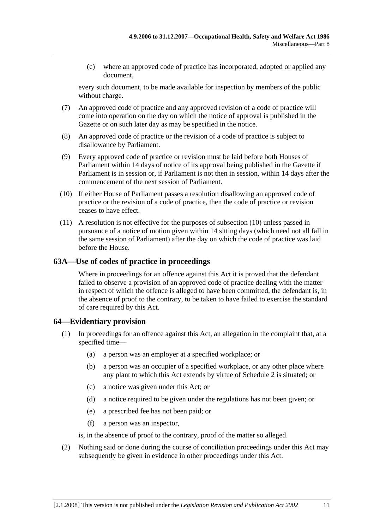(c) where an approved code of practice has incorporated, adopted or applied any document,

every such document, to be made available for inspection by members of the public without charge.

- (7) An approved code of practice and any approved revision of a code of practice will come into operation on the day on which the notice of approval is published in the Gazette or on such later day as may be specified in the notice.
- (8) An approved code of practice or the revision of a code of practice is subject to disallowance by Parliament.
- (9) Every approved code of practice or revision must be laid before both Houses of Parliament within 14 days of notice of its approval being published in the Gazette if Parliament is in session or, if Parliament is not then in session, within 14 days after the commencement of the next session of Parliament.
- (10) If either House of Parliament passes a resolution disallowing an approved code of practice or the revision of a code of practice, then the code of practice or revision ceases to have effect.
- (11) A resolution is not effective for the purposes of subsection (10) unless passed in pursuance of a notice of motion given within 14 sitting days (which need not all fall in the same session of Parliament) after the day on which the code of practice was laid before the House.

## **63A—Use of codes of practice in proceedings**

Where in proceedings for an offence against this Act it is proved that the defendant failed to observe a provision of an approved code of practice dealing with the matter in respect of which the offence is alleged to have been committed, the defendant is, in the absence of proof to the contrary, to be taken to have failed to exercise the standard of care required by this Act.

# **64—Evidentiary provision**

- (1) In proceedings for an offence against this Act, an allegation in the complaint that, at a specified time—
	- (a) a person was an employer at a specified workplace; or
	- (b) a person was an occupier of a specified workplace, or any other place where any plant to which this Act extends by virtue of Schedule 2 is situated; or
	- (c) a notice was given under this Act; or
	- (d) a notice required to be given under the regulations has not been given; or
	- (e) a prescribed fee has not been paid; or
	- (f) a person was an inspector,

is, in the absence of proof to the contrary, proof of the matter so alleged.

 (2) Nothing said or done during the course of conciliation proceedings under this Act may subsequently be given in evidence in other proceedings under this Act.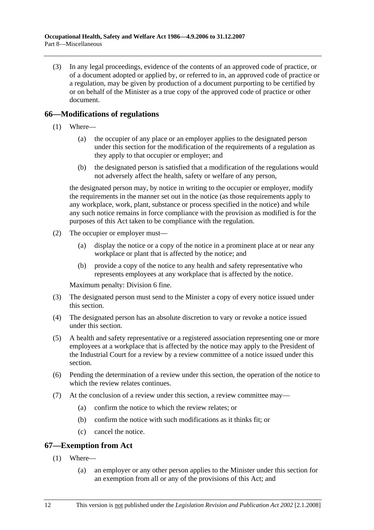(3) In any legal proceedings, evidence of the contents of an approved code of practice, or of a document adopted or applied by, or referred to in, an approved code of practice or a regulation, may be given by production of a document purporting to be certified by or on behalf of the Minister as a true copy of the approved code of practice or other document.

# **66—Modifications of regulations**

- (1) Where—
	- (a) the occupier of any place or an employer applies to the designated person under this section for the modification of the requirements of a regulation as they apply to that occupier or employer; and
	- (b) the designated person is satisfied that a modification of the regulations would not adversely affect the health, safety or welfare of any person,

the designated person may, by notice in writing to the occupier or employer, modify the requirements in the manner set out in the notice (as those requirements apply to any workplace, work, plant, substance or process specified in the notice) and while any such notice remains in force compliance with the provision as modified is for the purposes of this Act taken to be compliance with the regulation.

- (2) The occupier or employer must—
	- (a) display the notice or a copy of the notice in a prominent place at or near any workplace or plant that is affected by the notice; and
	- (b) provide a copy of the notice to any health and safety representative who represents employees at any workplace that is affected by the notice.

Maximum penalty: Division 6 fine.

- (3) The designated person must send to the Minister a copy of every notice issued under this section.
- (4) The designated person has an absolute discretion to vary or revoke a notice issued under this section.
- (5) A health and safety representative or a registered association representing one or more employees at a workplace that is affected by the notice may apply to the President of the Industrial Court for a review by a review committee of a notice issued under this section.
- (6) Pending the determination of a review under this section, the operation of the notice to which the review relates continues.
- (7) At the conclusion of a review under this section, a review committee may—
	- (a) confirm the notice to which the review relates; or
	- (b) confirm the notice with such modifications as it thinks fit; or
	- (c) cancel the notice.

# **67—Exemption from Act**

- (1) Where—
	- (a) an employer or any other person applies to the Minister under this section for an exemption from all or any of the provisions of this Act; and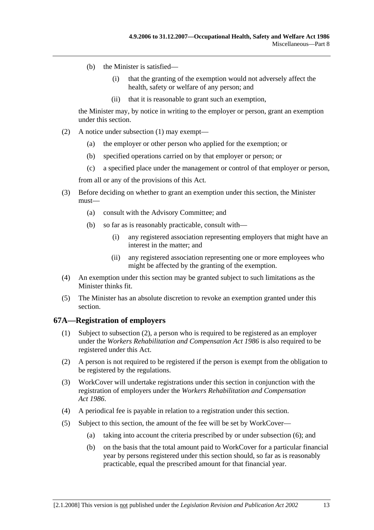- (b) the Minister is satisfied—
	- (i) that the granting of the exemption would not adversely affect the health, safety or welfare of any person; and
	- (ii) that it is reasonable to grant such an exemption,

the Minister may, by notice in writing to the employer or person, grant an exemption under this section.

- (2) A notice under subsection (1) may exempt—
	- (a) the employer or other person who applied for the exemption; or
	- (b) specified operations carried on by that employer or person; or
	- (c) a specified place under the management or control of that employer or person,

from all or any of the provisions of this Act.

- (3) Before deciding on whether to grant an exemption under this section, the Minister must—
	- (a) consult with the Advisory Committee; and
	- (b) so far as is reasonably practicable, consult with—
		- (i) any registered association representing employers that might have an interest in the matter; and
		- (ii) any registered association representing one or more employees who might be affected by the granting of the exemption.
- (4) An exemption under this section may be granted subject to such limitations as the Minister thinks fit.
- (5) The Minister has an absolute discretion to revoke an exemption granted under this section.

## **67A—Registration of employers**

- (1) Subject to subsection (2), a person who is required to be registered as an employer under the *Workers Rehabilitation and Compensation Act 1986* is also required to be registered under this Act.
- (2) A person is not required to be registered if the person is exempt from the obligation to be registered by the regulations.
- (3) WorkCover will undertake registrations under this section in conjunction with the registration of employers under the *Workers Rehabilitation and Compensation Act 1986*.
- (4) A periodical fee is payable in relation to a registration under this section.
- (5) Subject to this section, the amount of the fee will be set by WorkCover—
	- (a) taking into account the criteria prescribed by or under subsection (6); and
	- (b) on the basis that the total amount paid to WorkCover for a particular financial year by persons registered under this section should, so far as is reasonably practicable, equal the prescribed amount for that financial year.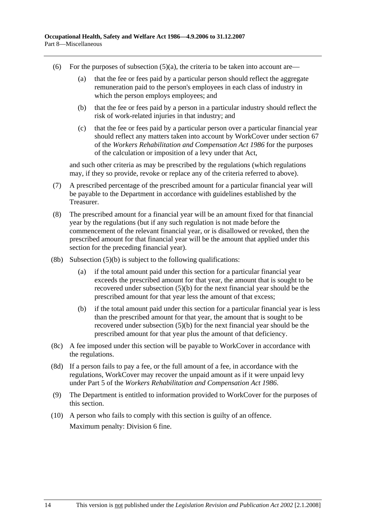- (6) For the purposes of subsection  $(5)(a)$ , the criteria to be taken into account are—
	- (a) that the fee or fees paid by a particular person should reflect the aggregate remuneration paid to the person's employees in each class of industry in which the person employs employees; and
	- (b) that the fee or fees paid by a person in a particular industry should reflect the risk of work-related injuries in that industry; and
	- (c) that the fee or fees paid by a particular person over a particular financial year should reflect any matters taken into account by WorkCover under section 67 of the *Workers Rehabilitation and Compensation Act 1986* for the purposes of the calculation or imposition of a levy under that Act,

and such other criteria as may be prescribed by the regulations (which regulations may, if they so provide, revoke or replace any of the criteria referred to above).

- (7) A prescribed percentage of the prescribed amount for a particular financial year will be payable to the Department in accordance with guidelines established by the Treasurer.
- (8) The prescribed amount for a financial year will be an amount fixed for that financial year by the regulations (but if any such regulation is not made before the commencement of the relevant financial year, or is disallowed or revoked, then the prescribed amount for that financial year will be the amount that applied under this section for the preceding financial year).
- $(8b)$  Subsection  $(5)(b)$  is subject to the following qualifications:
	- (a) if the total amount paid under this section for a particular financial year exceeds the prescribed amount for that year, the amount that is sought to be recovered under subsection (5)(b) for the next financial year should be the prescribed amount for that year less the amount of that excess;
	- (b) if the total amount paid under this section for a particular financial year is less than the prescribed amount for that year, the amount that is sought to be recovered under subsection (5)(b) for the next financial year should be the prescribed amount for that year plus the amount of that deficiency.
- (8c) A fee imposed under this section will be payable to WorkCover in accordance with the regulations.
- (8d) If a person fails to pay a fee, or the full amount of a fee, in accordance with the regulations, WorkCover may recover the unpaid amount as if it were unpaid levy under Part 5 of the *Workers Rehabilitation and Compensation Act 1986*.
- (9) The Department is entitled to information provided to WorkCover for the purposes of this section.
- (10) A person who fails to comply with this section is guilty of an offence. Maximum penalty: Division 6 fine.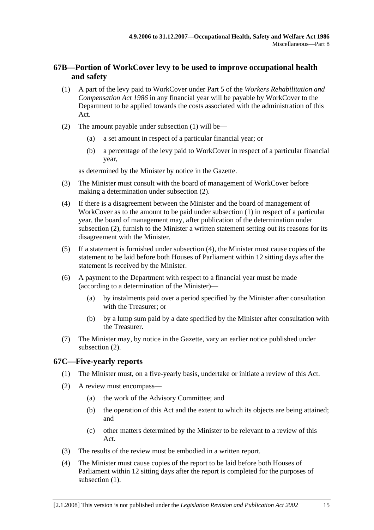# **67B—Portion of WorkCover levy to be used to improve occupational health and safety**

- (1) A part of the levy paid to WorkCover under Part 5 of the *Workers Rehabilitation and Compensation Act 1986* in any financial year will be payable by WorkCover to the Department to be applied towards the costs associated with the administration of this Act.
- (2) The amount payable under subsection (1) will be—
	- (a) a set amount in respect of a particular financial year; or
	- (b) a percentage of the levy paid to WorkCover in respect of a particular financial year,

as determined by the Minister by notice in the Gazette.

- (3) The Minister must consult with the board of management of WorkCover before making a determination under subsection (2).
- (4) If there is a disagreement between the Minister and the board of management of WorkCover as to the amount to be paid under subsection (1) in respect of a particular year, the board of management may, after publication of the determination under subsection (2), furnish to the Minister a written statement setting out its reasons for its disagreement with the Minister.
- (5) If a statement is furnished under subsection (4), the Minister must cause copies of the statement to be laid before both Houses of Parliament within 12 sitting days after the statement is received by the Minister.
- (6) A payment to the Department with respect to a financial year must be made (according to a determination of the Minister)—
	- (a) by instalments paid over a period specified by the Minister after consultation with the Treasurer; or
	- (b) by a lump sum paid by a date specified by the Minister after consultation with the Treasurer.
- (7) The Minister may, by notice in the Gazette, vary an earlier notice published under subsection (2).

# **67C—Five-yearly reports**

- (1) The Minister must, on a five-yearly basis, undertake or initiate a review of this Act.
- (2) A review must encompass—
	- (a) the work of the Advisory Committee; and
	- (b) the operation of this Act and the extent to which its objects are being attained; and
	- (c) other matters determined by the Minister to be relevant to a review of this Act.
- (3) The results of the review must be embodied in a written report.
- (4) The Minister must cause copies of the report to be laid before both Houses of Parliament within 12 sitting days after the report is completed for the purposes of subsection  $(1)$ .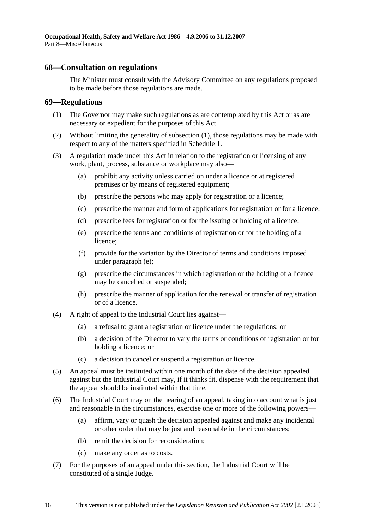## **68—Consultation on regulations**

The Minister must consult with the Advisory Committee on any regulations proposed to be made before those regulations are made.

#### **69—Regulations**

- (1) The Governor may make such regulations as are contemplated by this Act or as are necessary or expedient for the purposes of this Act.
- (2) Without limiting the generality of subsection (1), those regulations may be made with respect to any of the matters specified in Schedule 1.
- (3) A regulation made under this Act in relation to the registration or licensing of any work, plant, process, substance or workplace may also—
	- (a) prohibit any activity unless carried on under a licence or at registered premises or by means of registered equipment;
	- (b) prescribe the persons who may apply for registration or a licence;
	- (c) prescribe the manner and form of applications for registration or for a licence;
	- (d) prescribe fees for registration or for the issuing or holding of a licence;
	- (e) prescribe the terms and conditions of registration or for the holding of a licence;
	- (f) provide for the variation by the Director of terms and conditions imposed under paragraph (e);
	- (g) prescribe the circumstances in which registration or the holding of a licence may be cancelled or suspended;
	- (h) prescribe the manner of application for the renewal or transfer of registration or of a licence.
- (4) A right of appeal to the Industrial Court lies against—
	- (a) a refusal to grant a registration or licence under the regulations; or
	- (b) a decision of the Director to vary the terms or conditions of registration or for holding a licence; or
	- (c) a decision to cancel or suspend a registration or licence.
- (5) An appeal must be instituted within one month of the date of the decision appealed against but the Industrial Court may, if it thinks fit, dispense with the requirement that the appeal should be instituted within that time.
- (6) The Industrial Court may on the hearing of an appeal, taking into account what is just and reasonable in the circumstances, exercise one or more of the following powers—
	- (a) affirm, vary or quash the decision appealed against and make any incidental or other order that may be just and reasonable in the circumstances;
	- (b) remit the decision for reconsideration;
	- (c) make any order as to costs.
- (7) For the purposes of an appeal under this section, the Industrial Court will be constituted of a single Judge.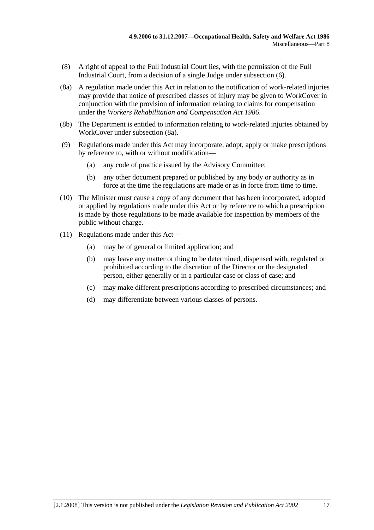- (8) A right of appeal to the Full Industrial Court lies, with the permission of the Full Industrial Court, from a decision of a single Judge under subsection (6).
- (8a) A regulation made under this Act in relation to the notification of work-related injuries may provide that notice of prescribed classes of injury may be given to WorkCover in conjunction with the provision of information relating to claims for compensation under the *Workers Rehabilitation and Compensation Act 1986*.
- (8b) The Department is entitled to information relating to work-related injuries obtained by WorkCover under subsection (8a).
- (9) Regulations made under this Act may incorporate, adopt, apply or make prescriptions by reference to, with or without modification—
	- (a) any code of practice issued by the Advisory Committee;
	- (b) any other document prepared or published by any body or authority as in force at the time the regulations are made or as in force from time to time.
- (10) The Minister must cause a copy of any document that has been incorporated, adopted or applied by regulations made under this Act or by reference to which a prescription is made by those regulations to be made available for inspection by members of the public without charge.
- (11) Regulations made under this Act—
	- (a) may be of general or limited application; and
	- (b) may leave any matter or thing to be determined, dispensed with, regulated or prohibited according to the discretion of the Director or the designated person, either generally or in a particular case or class of case; and
	- (c) may make different prescriptions according to prescribed circumstances; and
	- (d) may differentiate between various classes of persons.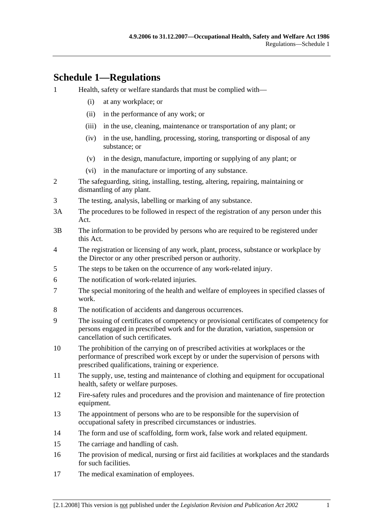# **Schedule 1—Regulations**

- 1 Health, safety or welfare standards that must be complied with—
	- (i) at any workplace; or
	- (ii) in the performance of any work; or
	- (iii) in the use, cleaning, maintenance or transportation of any plant; or
	- (iv) in the use, handling, processing, storing, transporting or disposal of any substance; or
	- (v) in the design, manufacture, importing or supplying of any plant; or
	- (vi) in the manufacture or importing of any substance.
- 2 The safeguarding, siting, installing, testing, altering, repairing, maintaining or dismantling of any plant.
- 3 The testing, analysis, labelling or marking of any substance.
- 3A The procedures to be followed in respect of the registration of any person under this Act.
- 3B The information to be provided by persons who are required to be registered under this Act.
- 4 The registration or licensing of any work, plant, process, substance or workplace by the Director or any other prescribed person or authority.
- 5 The steps to be taken on the occurrence of any work-related injury.
- 6 The notification of work-related injuries.
- 7 The special monitoring of the health and welfare of employees in specified classes of work.
- 8 The notification of accidents and dangerous occurrences.
- 9 The issuing of certificates of competency or provisional certificates of competency for persons engaged in prescribed work and for the duration, variation, suspension or cancellation of such certificates.
- 10 The prohibition of the carrying on of prescribed activities at workplaces or the performance of prescribed work except by or under the supervision of persons with prescribed qualifications, training or experience.
- 11 The supply, use, testing and maintenance of clothing and equipment for occupational health, safety or welfare purposes.
- 12 Fire-safety rules and procedures and the provision and maintenance of fire protection equipment.
- 13 The appointment of persons who are to be responsible for the supervision of occupational safety in prescribed circumstances or industries.
- 14 The form and use of scaffolding, form work, false work and related equipment.
- 15 The carriage and handling of cash.
- 16 The provision of medical, nursing or first aid facilities at workplaces and the standards for such facilities.
- 17 The medical examination of employees.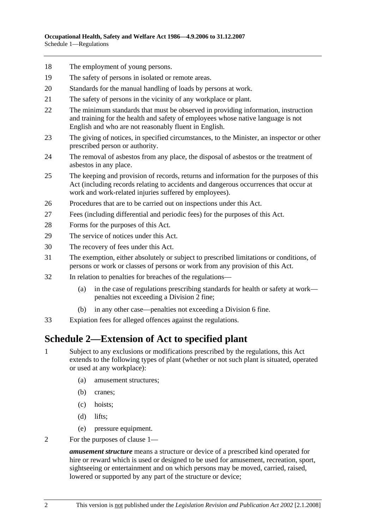- 18 The employment of young persons.
- 19 The safety of persons in isolated or remote areas.
- 20 Standards for the manual handling of loads by persons at work.
- 21 The safety of persons in the vicinity of any workplace or plant.
- 22 The minimum standards that must be observed in providing information, instruction and training for the health and safety of employees whose native language is not English and who are not reasonably fluent in English.
- 23 The giving of notices, in specified circumstances, to the Minister, an inspector or other prescribed person or authority.
- 24 The removal of asbestos from any place, the disposal of asbestos or the treatment of asbestos in any place.
- 25 The keeping and provision of records, returns and information for the purposes of this Act (including records relating to accidents and dangerous occurrences that occur at work and work-related injuries suffered by employees).
- 26 Procedures that are to be carried out on inspections under this Act.
- 27 Fees (including differential and periodic fees) for the purposes of this Act.
- 28 Forms for the purposes of this Act.
- 29 The service of notices under this Act.
- 30 The recovery of fees under this Act.
- 31 The exemption, either absolutely or subject to prescribed limitations or conditions, of persons or work or classes of persons or work from any provision of this Act.
- 32 In relation to penalties for breaches of the regulations—
	- (a) in the case of regulations prescribing standards for health or safety at work penalties not exceeding a Division 2 fine;
	- (b) in any other case—penalties not exceeding a Division 6 fine.
- 33 Expiation fees for alleged offences against the regulations.

# **Schedule 2—Extension of Act to specified plant**

- 1 Subject to any exclusions or modifications prescribed by the regulations, this Act extends to the following types of plant (whether or not such plant is situated, operated or used at any workplace):
	- (a) amusement structures;
	- (b) cranes;
	- (c) hoists;
	- (d) lifts;
	- (e) pressure equipment.
- 2 For the purposes of clause 1—

*amusement structure* means a structure or device of a prescribed kind operated for hire or reward which is used or designed to be used for amusement, recreation, sport, sightseeing or entertainment and on which persons may be moved, carried, raised, lowered or supported by any part of the structure or device;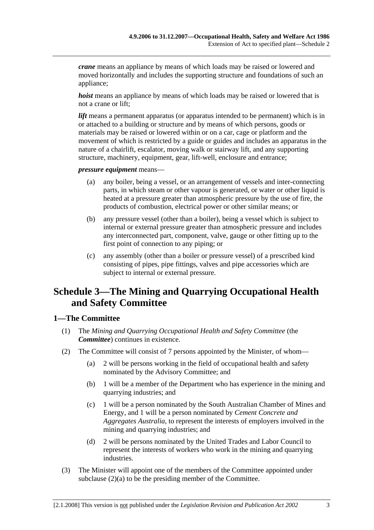*crane* means an appliance by means of which loads may be raised or lowered and moved horizontally and includes the supporting structure and foundations of such an appliance;

*hoist* means an appliance by means of which loads may be raised or lowered that is not a crane or lift;

*lift* means a permanent apparatus (or apparatus intended to be permanent) which is in or attached to a building or structure and by means of which persons, goods or materials may be raised or lowered within or on a car, cage or platform and the movement of which is restricted by a guide or guides and includes an apparatus in the nature of a chairlift, escalator, moving walk or stairway lift, and any supporting structure, machinery, equipment, gear, lift-well, enclosure and entrance;

*pressure equipment* means—

- (a) any boiler, being a vessel, or an arrangement of vessels and inter-connecting parts, in which steam or other vapour is generated, or water or other liquid is heated at a pressure greater than atmospheric pressure by the use of fire, the products of combustion, electrical power or other similar means; or
- (b) any pressure vessel (other than a boiler), being a vessel which is subject to internal or external pressure greater than atmospheric pressure and includes any interconnected part, component, valve, gauge or other fitting up to the first point of connection to any piping; or
- (c) any assembly (other than a boiler or pressure vessel) of a prescribed kind consisting of pipes, pipe fittings, valves and pipe accessories which are subject to internal or external pressure.

# **Schedule 3—The Mining and Quarrying Occupational Health and Safety Committee**

# **1—The Committee**

- (1) The *Mining and Quarrying Occupational Health and Safety Committee* (the *Committee*) continues in existence.
- (2) The Committee will consist of 7 persons appointed by the Minister, of whom—
	- (a) 2 will be persons working in the field of occupational health and safety nominated by the Advisory Committee; and
	- (b) 1 will be a member of the Department who has experience in the mining and quarrying industries; and
	- (c) 1 will be a person nominated by the South Australian Chamber of Mines and Energy, and 1 will be a person nominated by *Cement Concrete and Aggregates Australia*, to represent the interests of employers involved in the mining and quarrying industries; and
	- (d) 2 will be persons nominated by the United Trades and Labor Council to represent the interests of workers who work in the mining and quarrying industries.
- (3) The Minister will appoint one of the members of the Committee appointed under subclause (2)(a) to be the presiding member of the Committee.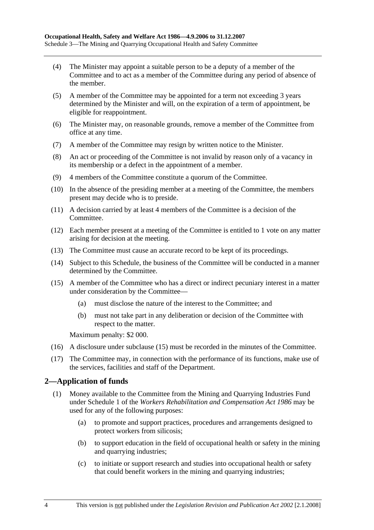- (4) The Minister may appoint a suitable person to be a deputy of a member of the Committee and to act as a member of the Committee during any period of absence of the member.
- (5) A member of the Committee may be appointed for a term not exceeding 3 years determined by the Minister and will, on the expiration of a term of appointment, be eligible for reappointment.
- (6) The Minister may, on reasonable grounds, remove a member of the Committee from office at any time.
- (7) A member of the Committee may resign by written notice to the Minister.
- (8) An act or proceeding of the Committee is not invalid by reason only of a vacancy in its membership or a defect in the appointment of a member.
- (9) 4 members of the Committee constitute a quorum of the Committee.
- (10) In the absence of the presiding member at a meeting of the Committee, the members present may decide who is to preside.
- (11) A decision carried by at least 4 members of the Committee is a decision of the Committee.
- (12) Each member present at a meeting of the Committee is entitled to 1 vote on any matter arising for decision at the meeting.
- (13) The Committee must cause an accurate record to be kept of its proceedings.
- (14) Subject to this Schedule, the business of the Committee will be conducted in a manner determined by the Committee.
- (15) A member of the Committee who has a direct or indirect pecuniary interest in a matter under consideration by the Committee—
	- (a) must disclose the nature of the interest to the Committee; and
	- (b) must not take part in any deliberation or decision of the Committee with respect to the matter.

Maximum penalty: \$2 000.

- (16) A disclosure under subclause (15) must be recorded in the minutes of the Committee.
- (17) The Committee may, in connection with the performance of its functions, make use of the services, facilities and staff of the Department.

# **2—Application of funds**

- (1) Money available to the Committee from the Mining and Quarrying Industries Fund under Schedule 1 of the *Workers Rehabilitation and Compensation Act 1986* may be used for any of the following purposes:
	- (a) to promote and support practices, procedures and arrangements designed to protect workers from silicosis;
	- (b) to support education in the field of occupational health or safety in the mining and quarrying industries;
	- (c) to initiate or support research and studies into occupational health or safety that could benefit workers in the mining and quarrying industries;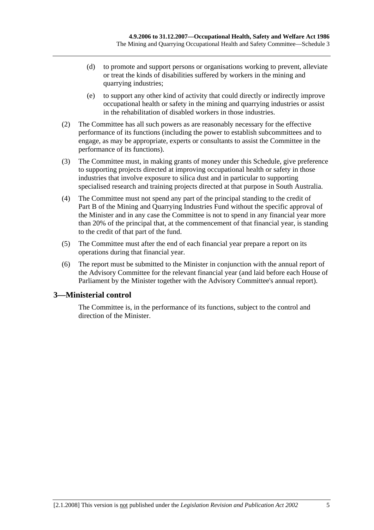- (d) to promote and support persons or organisations working to prevent, alleviate or treat the kinds of disabilities suffered by workers in the mining and quarrying industries;
- (e) to support any other kind of activity that could directly or indirectly improve occupational health or safety in the mining and quarrying industries or assist in the rehabilitation of disabled workers in those industries.
- (2) The Committee has all such powers as are reasonably necessary for the effective performance of its functions (including the power to establish subcommittees and to engage, as may be appropriate, experts or consultants to assist the Committee in the performance of its functions).
- (3) The Committee must, in making grants of money under this Schedule, give preference to supporting projects directed at improving occupational health or safety in those industries that involve exposure to silica dust and in particular to supporting specialised research and training projects directed at that purpose in South Australia.
- (4) The Committee must not spend any part of the principal standing to the credit of Part B of the Mining and Quarrying Industries Fund without the specific approval of the Minister and in any case the Committee is not to spend in any financial year more than 20% of the principal that, at the commencement of that financial year, is standing to the credit of that part of the fund.
- (5) The Committee must after the end of each financial year prepare a report on its operations during that financial year.
- (6) The report must be submitted to the Minister in conjunction with the annual report of the Advisory Committee for the relevant financial year (and laid before each House of Parliament by the Minister together with the Advisory Committee's annual report).

# **3—Ministerial control**

The Committee is, in the performance of its functions, subject to the control and direction of the Minister.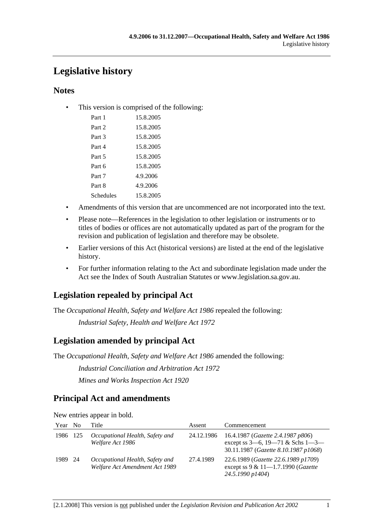# **Legislative history**

# **Notes**

• This version is comprised of the following:

| Part 1    | 15.8.2005 |
|-----------|-----------|
| Part 2    | 15.8.2005 |
| Part 3    | 15.8.2005 |
| Part 4    | 15.8.2005 |
| Part 5    | 15.8.2005 |
| Part 6    | 15.8.2005 |
| Part 7    | 4.9.2006  |
| Part 8    | 4.9.2006  |
| Schedules | 15.8.2005 |
|           |           |

- Amendments of this version that are uncommenced are not incorporated into the text.
- Please note—References in the legislation to other legislation or instruments or to titles of bodies or offices are not automatically updated as part of the program for the revision and publication of legislation and therefore may be obsolete.
- Earlier versions of this Act (historical versions) are listed at the end of the legislative history.
- For further information relating to the Act and subordinate legislation made under the Act see the Index of South Australian Statutes or www.legislation.sa.gov.au.

# **Legislation repealed by principal Act**

The *Occupational Health, Safety and Welfare Act 1986* repealed the following:

*Industrial Safety, Health and Welfare Act 1972*

# **Legislation amended by principal Act**

The *Occupational Health, Safety and Welfare Act 1986* amended the following:

*Industrial Conciliation and Arbitration Act 1972*

*Mines and Works Inspection Act 1920*

# **Principal Act and amendments**

New entries appear in bold.

| Year     | N <sub>0</sub> | Title                                                             | Assent     | Commencement                                                                                                                  |
|----------|----------------|-------------------------------------------------------------------|------------|-------------------------------------------------------------------------------------------------------------------------------|
| 1986 125 |                | Occupational Health, Safety and<br>Welfare Act 1986               | 24.12.1986 | 16.4.1987 ( <i>Gazette 2.4.1987 p806</i> )<br>except ss $3-6$ , $19-71$ & Schs $1-3-$<br>30.11.1987 (Gazette 8.10.1987 p1068) |
| 1989 24  |                | Occupational Health, Safety and<br>Welfare Act Amendment Act 1989 | 27.4.1989  | 22.6.1989 (Gazette 22.6.1989 p1709)<br>except ss $9 & 11 - 1.7.1990$ (Gazette<br>24.5.1990 p1404)                             |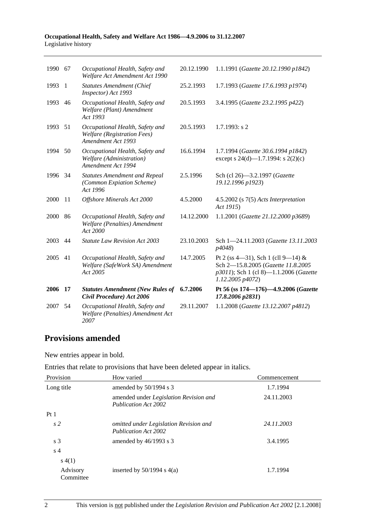#### **Occupational Health, Safety and Welfare Act 1986—4.9.2006 to 31.12.2007**  Legislative history

| 1990 67 |                | Occupational Health, Safety and<br>Welfare Act Amendment Act 1990                           | 20.12.1990 | 1.1.1991 (Gazette 20.12.1990 p1842)                                                                                                    |
|---------|----------------|---------------------------------------------------------------------------------------------|------------|----------------------------------------------------------------------------------------------------------------------------------------|
| 1993    | $\overline{1}$ | <b>Statutes Amendment (Chief</b><br>Inspector) Act 1993                                     | 25.2.1993  | 1.7.1993 (Gazette 17.6.1993 p1974)                                                                                                     |
| 1993    | 46             | Occupational Health, Safety and<br>Welfare (Plant) Amendment<br>Act 1993                    | 20.5.1993  | 3.4.1995 (Gazette 23.2.1995 p422)                                                                                                      |
| 1993    | 51             | Occupational Health, Safety and<br><b>Welfare</b> (Registration Fees)<br>Amendment Act 1993 | 20.5.1993  | $1.7.1993$ : s 2                                                                                                                       |
| 1994    | 50             | Occupational Health, Safety and<br>Welfare (Administration)<br>Amendment Act 1994           | 16.6.1994  | 1.7.1994 (Gazette 30.6.1994 p1842)<br>except s 24(d)—1.7.1994: s 2(2)(c)                                                               |
| 1996    | 34             | <b>Statutes Amendment and Repeal</b><br>(Common Expiation Scheme)<br>Act 1996               | 2.5.1996   | Sch (cl 26)-3.2.1997 (Gazette<br>19.12.1996 p1923)                                                                                     |
| 2000    | 11             | Offshore Minerals Act 2000                                                                  | 4.5.2000   | 4.5.2002 (s 7(5) Acts Interpretation<br>Act 1915)                                                                                      |
| 2000    | 86             | Occupational Health, Safety and<br>Welfare (Penalties) Amendment<br>Act 2000                | 14.12.2000 | 1.1.2001 (Gazette 21.12.2000 p3689)                                                                                                    |
| 2003    | 44             | <b>Statute Law Revision Act 2003</b>                                                        | 23.10.2003 | Sch 1-24.11.2003 (Gazette 13.11.2003<br>p4048)                                                                                         |
| 2005    | 41             | Occupational Health, Safety and<br>Welfare (SafeWork SA) Amendment<br>Act 2005              | 14.7.2005  | Pt 2 (ss 4-31), Sch 1 (cll 9-14) &<br>Sch 2-15.8.2005 (Gazette 11.8.2005<br>p3011); Sch 1 (cl 8)-1.1.2006 (Gazette<br>1.12.2005 p4072) |
| 2006    | 17             | <b>Statutes Amendment (New Rules of</b><br>Civil Procedure) Act 2006                        | 6.7.2006   | Pt 56 (ss 174-176)-4.9.2006 (Gazette<br>17.8.2006 p2831)                                                                               |
| 2007    | 54             | Occupational Health, Safety and<br>Welfare (Penalties) Amendment Act<br>2007                | 29.11.2007 | 1.1.2008 (Gazette 13.12.2007 p4812)                                                                                                    |

# **Provisions amended**

New entries appear in bold.

|  |  |  | Entries that relate to provisions that have been deleted appear in italics. |
|--|--|--|-----------------------------------------------------------------------------|
|--|--|--|-----------------------------------------------------------------------------|

| Provision             | How varied                                                            | Commencement |
|-----------------------|-----------------------------------------------------------------------|--------------|
| Long title            | amended by $50/1994$ s 3                                              | 1.7.1994     |
|                       | amended under Legislation Revision and<br><b>Publication Act 2002</b> | 24.11.2003   |
| Pt <sub>1</sub>       |                                                                       |              |
| s <sub>2</sub>        | omitted under Legislation Revision and<br><b>Publication Act 2002</b> | 24.11.2003   |
| s <sub>3</sub>        | amended by $46/1993$ s 3                                              | 3.4.1995     |
| s <sub>4</sub>        |                                                                       |              |
| s(4(1))               |                                                                       |              |
| Advisory<br>Committee | inserted by $50/1994$ s $4(a)$                                        | 1.7.1994     |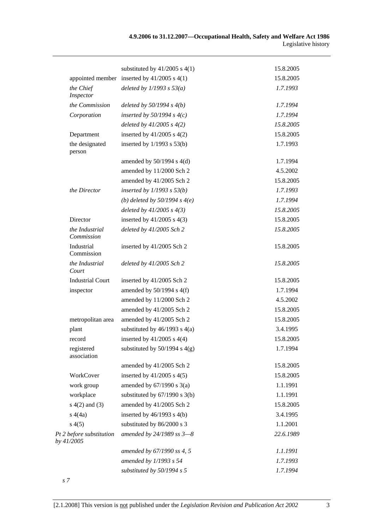|                                        | substituted by $41/2005$ s $4(1)$               | 15.8.2005 |
|----------------------------------------|-------------------------------------------------|-----------|
|                                        | appointed member inserted by $41/2005$ s $4(1)$ | 15.8.2005 |
| the Chief<br>Inspector                 | deleted by $1/1993$ s $53(a)$                   | 1.7.1993  |
| the Commission                         | deleted by $50/1994 s 4(b)$                     | 1.7.1994  |
| Corporation                            | inserted by $50/1994$ s $4(c)$                  | 1.7.1994  |
|                                        | deleted by $41/2005 s 4(2)$                     | 15.8.2005 |
| Department                             | inserted by $41/2005$ s $4(2)$                  | 15.8.2005 |
| the designated<br>person               | inserted by $1/1993$ s $53(b)$                  | 1.7.1993  |
|                                        | amended by $50/1994$ s $4(d)$                   | 1.7.1994  |
|                                        | amended by 11/2000 Sch 2                        | 4.5.2002  |
|                                        | amended by 41/2005 Sch 2                        | 15.8.2005 |
| the Director                           | inserted by $1/1993$ s $53(b)$                  | 1.7.1993  |
|                                        | (b) deleted by $50/1994 s 4(e)$                 | 1.7.1994  |
|                                        | deleted by $41/2005 s 4(3)$                     | 15.8.2005 |
| Director                               | inserted by $41/2005$ s $4(3)$                  | 15.8.2005 |
| the Industrial<br>Commission           | deleted by 41/2005 Sch 2                        | 15.8.2005 |
| Industrial<br>Commission               | inserted by 41/2005 Sch 2                       | 15.8.2005 |
| the Industrial<br>Court                | deleted by 41/2005 Sch 2                        | 15.8.2005 |
| <b>Industrial Court</b>                | inserted by 41/2005 Sch 2                       | 15.8.2005 |
| inspector                              | amended by $50/1994$ s $4(f)$                   | 1.7.1994  |
|                                        | amended by 11/2000 Sch 2                        | 4.5.2002  |
|                                        | amended by 41/2005 Sch 2                        | 15.8.2005 |
| metropolitan area                      | amended by 41/2005 Sch 2                        | 15.8.2005 |
| plant                                  | substituted by $46/1993$ s $4(a)$               | 3.4.1995  |
| record                                 | inserted by $41/2005$ s $4(4)$                  | 15.8.2005 |
| registered<br>association              | substituted by $50/1994$ s $4(g)$               | 1.7.1994  |
|                                        | amended by 41/2005 Sch 2                        | 15.8.2005 |
| WorkCover                              | inserted by $41/2005$ s $4(5)$                  | 15.8.2005 |
| work group                             | amended by $67/1990$ s $3(a)$                   | 1.1.1991  |
| workplace                              | substituted by $67/1990$ s 3(b)                 | 1.1.1991  |
| $s(4(2)$ and $(3)$                     | amended by 41/2005 Sch 2                        | 15.8.2005 |
| s(4a)                                  | inserted by $46/1993$ s $4(b)$                  | 3.4.1995  |
| s(4(5)                                 | substituted by 86/2000 s 3                      | 1.1.2001  |
| Pt 2 before substitution<br>by 41/2005 | amended by 24/1989 ss 3-8                       | 22.6.1989 |
|                                        | amended by 67/1990 ss 4, 5                      | 1.1.1991  |
|                                        | amended by 1/1993 s 54                          | 1.7.1993  |
|                                        | substituted by $50/1994 s 5$                    | 1.7.1994  |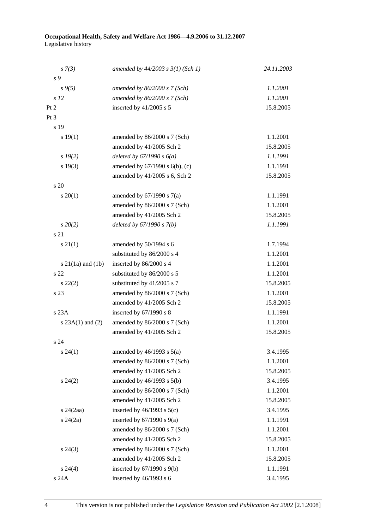#### **Occupational Health, Safety and Welfare Act 1986—4.9.2006 to 31.12.2007**  Legislative history

| $s \, 7(3)$           | amended by $44/2003$ s $3(1)$ (Sch 1) | 24.11.2003 |
|-----------------------|---------------------------------------|------------|
| s 9                   |                                       |            |
| $s \, 9(5)$           | amended by $86/2000 s$ 7 (Sch)        | 1.1.2001   |
| s <sub>12</sub>       | amended by $86/2000 s$ 7 (Sch)        | 1.1.2001   |
| Pt 2                  | inserted by 41/2005 s 5               | 15.8.2005  |
| Pt <sub>3</sub>       |                                       |            |
| s 19                  |                                       |            |
| s 19(1)               | amended by $86/2000$ s 7 (Sch)        | 1.1.2001   |
|                       | amended by 41/2005 Sch 2              | 15.8.2005  |
| $s$ 19(2)             | deleted by $67/1990 s 6(a)$           | 1.1.1991   |
| s 19(3)               | amended by $67/1990$ s $6(b)$ , (c)   | 1.1.1991   |
|                       | amended by 41/2005 s 6, Sch 2         | 15.8.2005  |
| s 20                  |                                       |            |
| $s \ 20(1)$           | amended by $67/1990$ s $7(a)$         | 1.1.1991   |
|                       | amended by 86/2000 s 7 (Sch)          | 1.1.2001   |
|                       | amended by 41/2005 Sch 2              | 15.8.2005  |
| $s\,20(2)$            | deleted by $67/1990 s 7(b)$           | 1.1.1991   |
| s 21                  |                                       |            |
| $s \, 21(1)$          | amended by 50/1994 s 6                | 1.7.1994   |
|                       | substituted by 86/2000 s 4            | 1.1.2001   |
| s $21(1a)$ and $(1b)$ | inserted by 86/2000 s 4               | 1.1.2001   |
| s 22                  | substituted by 86/2000 s 5            | 1.1.2001   |
| $s\ 22(2)$            | substituted by 41/2005 s 7            | 15.8.2005  |
| s 23                  | amended by 86/2000 s 7 (Sch)          | 1.1.2001   |
|                       | amended by 41/2005 Sch 2              | 15.8.2005  |
| s 23A                 | inserted by 67/1990 s 8               | 1.1.1991   |
| s $23A(1)$ and $(2)$  | amended by 86/2000 s 7 (Sch)          | 1.1.2001   |
|                       | amended by 41/2005 Sch 2              | 15.8.2005  |
| s 24                  |                                       |            |
| $s\,24(1)$            | amended by $46/1993$ s $5(a)$         | 3.4.1995   |
|                       | amended by 86/2000 s 7 (Sch)          | 1.1.2001   |
|                       | amended by 41/2005 Sch 2              | 15.8.2005  |
| $s\,24(2)$            | amended by 46/1993 s 5(b)             | 3.4.1995   |
|                       | amended by 86/2000 s 7 (Sch)          | 1.1.2001   |
|                       | amended by 41/2005 Sch 2              | 15.8.2005  |
| $s$ 24 $(2aa)$        | inserted by $46/1993$ s $5(c)$        | 3.4.1995   |
| $s\,24(2a)$           | inserted by $67/1990$ s $9(a)$        | 1.1.1991   |
|                       | amended by 86/2000 s 7 (Sch)          | 1.1.2001   |
|                       | amended by 41/2005 Sch 2              | 15.8.2005  |
| $s\,24(3)$            | amended by 86/2000 s 7 (Sch)          | 1.1.2001   |
|                       | amended by 41/2005 Sch 2              | 15.8.2005  |
| $s\,24(4)$            | inserted by $67/1990$ s $9(b)$        | 1.1.1991   |
| s 24A                 | inserted by 46/1993 s 6               | 3.4.1995   |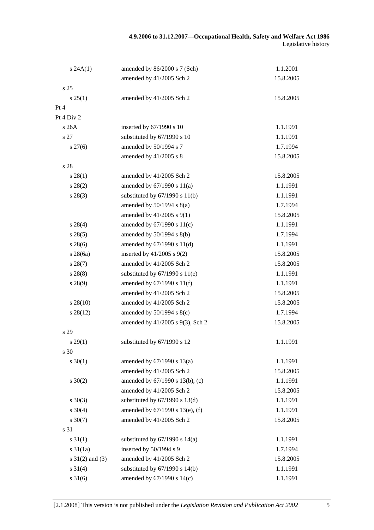| s 24A(1)            | amended by 86/2000 s 7 (Sch)       | 1.1.2001  |
|---------------------|------------------------------------|-----------|
|                     | amended by 41/2005 Sch 2           | 15.8.2005 |
| s 25                |                                    |           |
| s 25(1)             | amended by 41/2005 Sch 2           | 15.8.2005 |
| Pt 4                |                                    |           |
| Pt 4 Div 2          |                                    |           |
| s 26A               | inserted by 67/1990 s 10           | 1.1.1991  |
| s 27                | substituted by 67/1990 s 10        | 1.1.1991  |
| $s \, 27(6)$        | amended by 50/1994 s 7             | 1.7.1994  |
|                     | amended by 41/2005 s 8             | 15.8.2005 |
| s 28                |                                    |           |
| s 28(1)             | amended by 41/2005 Sch 2           | 15.8.2005 |
| $s\,28(2)$          | amended by $67/1990$ s $11(a)$     | 1.1.1991  |
| $s\,28(3)$          | substituted by $67/1990$ s $11(b)$ | 1.1.1991  |
|                     | amended by $50/1994$ s $8(a)$      | 1.7.1994  |
|                     | amended by $41/2005$ s $9(1)$      | 15.8.2005 |
| $s\,28(4)$          | amended by $67/1990$ s $11(c)$     | 1.1.1991  |
| s 28(5)             | amended by 50/1994 s 8(b)          | 1.7.1994  |
| $s\,28(6)$          | amended by 67/1990 s 11(d)         | 1.1.1991  |
| $s\,28(6a)$         | inserted by $41/2005$ s $9(2)$     | 15.8.2005 |
| $s\,28(7)$          | amended by 41/2005 Sch 2           | 15.8.2005 |
| $s\,28(8)$          | substituted by $67/1990$ s $11(e)$ | 1.1.1991  |
| s 28(9)             | amended by 67/1990 s 11(f)         | 1.1.1991  |
|                     | amended by 41/2005 Sch 2           | 15.8.2005 |
| $s\,28(10)$         | amended by 41/2005 Sch 2           | 15.8.2005 |
| $s\,28(12)$         | amended by $50/1994$ s $8(c)$      | 1.7.1994  |
|                     | amended by 41/2005 s 9(3), Sch 2   | 15.8.2005 |
| s 29                |                                    |           |
| $s\,29(1)$          | substituted by 67/1990 s 12        | 1.1.1991  |
| s 30                |                                    |           |
| $s \ 30(1)$         | amended by $67/1990$ s $13(a)$     | 1.1.1991  |
|                     | amended by 41/2005 Sch 2           | 15.8.2005 |
| $s \ 30(2)$         | amended by 67/1990 s 13(b), (c)    | 1.1.1991  |
|                     | amended by 41/2005 Sch 2           | 15.8.2005 |
| $s \ 30(3)$         | substituted by $67/1990$ s $13(d)$ | 1.1.1991  |
| $s \ 30(4)$         | amended by 67/1990 s 13(e), (f)    | 1.1.1991  |
| $s \ 30(7)$         | amended by 41/2005 Sch 2           | 15.8.2005 |
| s 31                |                                    |           |
| $s \, 31(1)$        | substituted by $67/1990$ s $14(a)$ | 1.1.1991  |
| $s \frac{31}{1a}$   | inserted by 50/1994 s 9            | 1.7.1994  |
| $s \ 31(2)$ and (3) | amended by 41/2005 Sch 2           | 15.8.2005 |
| $s \, 31(4)$        | substituted by $67/1990$ s $14(b)$ | 1.1.1991  |
| $s \, 31(6)$        | amended by 67/1990 s 14(c)         | 1.1.1991  |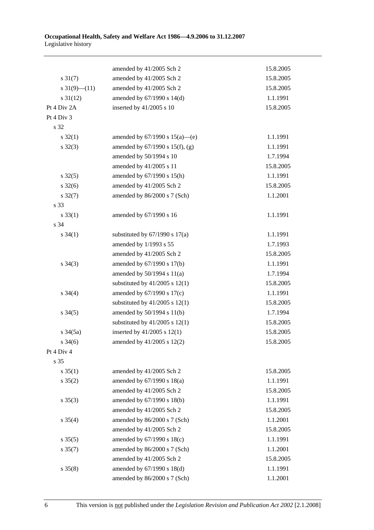|                          | amended by 41/2005 Sch 2             | 15.8.2005 |
|--------------------------|--------------------------------------|-----------|
| $s \, 31(7)$             | amended by 41/2005 Sch 2             | 15.8.2005 |
| $s \frac{31(9)-(11)}{2}$ | amended by 41/2005 Sch 2             | 15.8.2005 |
| $s \frac{31(12)}{2}$     | amended by 67/1990 s 14(d)           | 1.1.1991  |
| Pt 4 Div 2A              | inserted by 41/2005 s 10             | 15.8.2005 |
| Pt 4 Div 3               |                                      |           |
| s 32                     |                                      |           |
| $s \, 32(1)$             | amended by $67/1990$ s $15(a)$ —(e)  | 1.1.1991  |
| $s \, 32(3)$             | amended by $67/1990$ s $15(f)$ , (g) | 1.1.1991  |
|                          | amended by 50/1994 s 10              | 1.7.1994  |
|                          | amended by 41/2005 s 11              | 15.8.2005 |
| $s \, 32(5)$             | amended by 67/1990 s 15(h)           | 1.1.1991  |
| $s \frac{32(6)}{2}$      | amended by 41/2005 Sch 2             | 15.8.2005 |
| $s \frac{32(7)}{2}$      | amended by 86/2000 s 7 (Sch)         | 1.1.2001  |
| s 33                     |                                      |           |
| $s \, 33(1)$             | amended by 67/1990 s 16              | 1.1.1991  |
| s 34                     |                                      |           |
| $s \, 34(1)$             | substituted by $67/1990$ s $17(a)$   | 1.1.1991  |
|                          | amended by 1/1993 s 55               | 1.7.1993  |
|                          | amended by 41/2005 Sch 2             | 15.8.2005 |
| $s \; 34(3)$             | amended by 67/1990 s 17(b)           | 1.1.1991  |
|                          | amended by $50/1994$ s $11(a)$       | 1.7.1994  |
|                          | substituted by $41/2005$ s $12(1)$   | 15.8.2005 |
| $s \; 34(4)$             | amended by $67/1990$ s $17(c)$       | 1.1.1991  |
|                          | substituted by $41/2005$ s $12(1)$   | 15.8.2005 |
| $s \, 34(5)$             | amended by 50/1994 s 11(b)           | 1.7.1994  |
|                          | substituted by $41/2005$ s $12(1)$   | 15.8.2005 |
| $s \frac{34(5a)}{2}$     | inserted by $41/2005$ s $12(1)$      | 15.8.2005 |
| $s \, 34(6)$             | amended by $41/2005$ s $12(2)$       | 15.8.2005 |
| Pt 4 Div 4               |                                      |           |
| s 35                     |                                      |           |
| $s \; 35(1)$             | amended by 41/2005 Sch 2             | 15.8.2005 |
| $s \; 35(2)$             | amended by 67/1990 s 18(a)           | 1.1.1991  |
|                          | amended by 41/2005 Sch 2             | 15.8.2005 |
| $s \; 35(3)$             | amended by 67/1990 s 18(b)           | 1.1.1991  |
|                          | amended by 41/2005 Sch 2             | 15.8.2005 |
| $s \; 35(4)$             | amended by 86/2000 s 7 (Sch)         | 1.1.2001  |
|                          | amended by 41/2005 Sch 2             | 15.8.2005 |
| $s \; 35(5)$             | amended by 67/1990 s 18(c)           | 1.1.1991  |
| $s \, 35(7)$             | amended by 86/2000 s 7 (Sch)         | 1.1.2001  |
|                          | amended by 41/2005 Sch 2             | 15.8.2005 |
| $s \; 35(8)$             | amended by 67/1990 s 18(d)           | 1.1.1991  |
|                          | amended by 86/2000 s 7 (Sch)         | 1.1.2001  |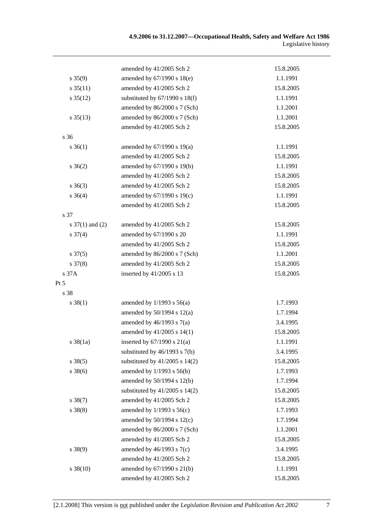|                      | amended by 41/2005 Sch 2           | 15.8.2005 |
|----------------------|------------------------------------|-----------|
| $s \, 35(9)$         | amended by 67/1990 s 18(e)         | 1.1.1991  |
| $s \, 35(11)$        | amended by 41/2005 Sch 2           | 15.8.2005 |
| $s \frac{35(12)}{2}$ | substituted by $67/1990$ s $18(f)$ | 1.1.1991  |
|                      | amended by 86/2000 s 7 (Sch)       | 1.1.2001  |
| $s \, 35(13)$        | amended by 86/2000 s 7 (Sch)       | 1.1.2001  |
|                      | amended by 41/2005 Sch 2           | 15.8.2005 |
| s 36                 |                                    |           |
| $s \; 36(1)$         | amended by $67/1990$ s $19(a)$     | 1.1.1991  |
|                      | amended by 41/2005 Sch 2           | 15.8.2005 |
| $s \; 36(2)$         | amended by 67/1990 s 19(b)         | 1.1.1991  |
|                      | amended by 41/2005 Sch 2           | 15.8.2005 |
| $s \; 36(3)$         | amended by 41/2005 Sch 2           | 15.8.2005 |
| $s \; 36(4)$         | amended by 67/1990 s 19(c)         | 1.1.1991  |
|                      | amended by 41/2005 Sch 2           | 15.8.2005 |
| s 37                 |                                    |           |
| s $37(1)$ and (2)    | amended by 41/2005 Sch 2           | 15.8.2005 |
| $s \frac{37(4)}{2}$  | amended by 67/1990 s 20            | 1.1.1991  |
|                      | amended by 41/2005 Sch 2           | 15.8.2005 |
| $s \frac{37(5)}{2}$  | amended by 86/2000 s 7 (Sch)       | 1.1.2001  |
| $s \frac{37(8)}{2}$  | amended by 41/2005 Sch 2           | 15.8.2005 |
| s 37A                | inserted by 41/2005 s 13           | 15.8.2005 |
| Pt 5                 |                                    |           |
| s 38                 |                                    |           |
| $s \ 38(1)$          | amended by $1/1993$ s $56(a)$      | 1.7.1993  |
|                      | amended by $50/1994$ s $12(a)$     | 1.7.1994  |
|                      | amended by $46/1993$ s $7(a)$      | 3.4.1995  |
|                      | amended by 41/2005 s 14(1)         | 15.8.2005 |
| $s \, 38(1a)$        | inserted by $67/1990$ s $21(a)$    | 1.1.1991  |
|                      | substituted by 46/1993 s 7(b)      | 3.4.1995  |
| $s \ 38(5)$          | substituted by $41/2005$ s $14(2)$ | 15.8.2005 |
| $s \, 38(6)$         | amended by 1/1993 s 56(b)          | 1.7.1993  |
|                      | amended by 50/1994 s 12(b)         | 1.7.1994  |
|                      | substituted by $41/2005$ s $14(2)$ | 15.8.2005 |
| $s \ 38(7)$          | amended by 41/2005 Sch 2           | 15.8.2005 |
| $s \ 38(8)$          | amended by $1/1993$ s $56(c)$      | 1.7.1993  |
|                      | amended by 50/1994 s 12(c)         | 1.7.1994  |
|                      | amended by 86/2000 s 7 (Sch)       | 1.1.2001  |
|                      | amended by 41/2005 Sch 2           | 15.8.2005 |
| $s \ 38(9)$          | amended by $46/1993$ s $7(c)$      | 3.4.1995  |
|                      | amended by 41/2005 Sch 2           | 15.8.2005 |
| $s \ 38(10)$         | amended by 67/1990 s 21(b)         | 1.1.1991  |
|                      | amended by 41/2005 Sch 2           | 15.8.2005 |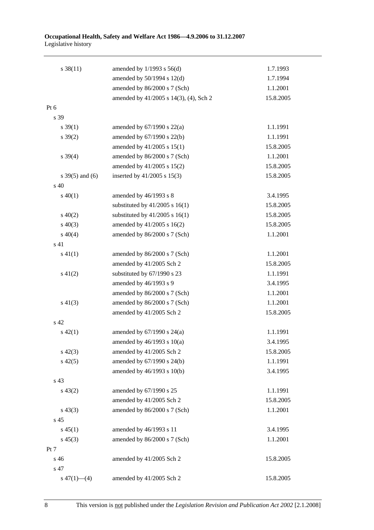#### **Occupational Health, Safety and Welfare Act 1986—4.9.2006 to 31.12.2007**  Legislative history

| $s \, 38(11)$     | amended by $1/1993$ s $56(d)$          | 1.7.1993  |
|-------------------|----------------------------------------|-----------|
|                   | amended by 50/1994 s 12(d)             | 1.7.1994  |
|                   | amended by 86/2000 s 7 (Sch)           | 1.1.2001  |
|                   | amended by 41/2005 s 14(3), (4), Sch 2 | 15.8.2005 |
| Pt 6              |                                        |           |
| s 39              |                                        |           |
| $s \, 39(1)$      | amended by $67/1990$ s $22(a)$         | 1.1.1991  |
| $s \, 39(2)$      | amended by 67/1990 s 22(b)             | 1.1.1991  |
|                   | amended by 41/2005 s 15(1)             | 15.8.2005 |
| $s \; 39(4)$      | amended by 86/2000 s 7 (Sch)           | 1.1.2001  |
|                   | amended by 41/2005 s 15(2)             | 15.8.2005 |
| s $39(5)$ and (6) | inserted by $41/2005$ s $15(3)$        | 15.8.2005 |
| $\rm s$ 40        |                                        |           |
| $s\ 40(1)$        | amended by 46/1993 s 8                 | 3.4.1995  |
|                   | substituted by $41/2005$ s $16(1)$     | 15.8.2005 |
| $s\ 40(2)$        | substituted by $41/2005$ s $16(1)$     | 15.8.2005 |
| $s\ 40(3)$        | amended by 41/2005 s 16(2)             | 15.8.2005 |
| $s\ 40(4)$        | amended by 86/2000 s 7 (Sch)           | 1.1.2001  |
| s 41              |                                        |           |
| $s\ 41(1)$        | amended by 86/2000 s 7 (Sch)           | 1.1.2001  |
|                   | amended by 41/2005 Sch 2               | 15.8.2005 |
| $s\ 41(2)$        | substituted by 67/1990 s 23            | 1.1.1991  |
|                   | amended by 46/1993 s 9                 | 3.4.1995  |
|                   | amended by 86/2000 s 7 (Sch)           | 1.1.2001  |
| $s\ 41(3)$        | amended by 86/2000 s 7 (Sch)           | 1.1.2001  |
|                   | amended by 41/2005 Sch 2               | 15.8.2005 |
| s <sub>42</sub>   |                                        |           |
| $s\ 42(1)$        | amended by 67/1990 s 24(a)             | 1.1.1991  |
|                   | amended by $46/1993$ s $10(a)$         | 3.4.1995  |
| $s\ 42(3)$        | amended by 41/2005 Sch 2               | 15.8.2005 |
| $s\ 42(5)$        | amended by 67/1990 s 24(b)             | 1.1.1991  |
|                   | amended by 46/1993 s 10(b)             | 3.4.1995  |
| s 43              |                                        |           |
| $s\ 43(2)$        | amended by 67/1990 s 25                | 1.1.1991  |
|                   | amended by 41/2005 Sch 2               | 15.8.2005 |
| $s\,43(3)$        | amended by 86/2000 s 7 (Sch)           | 1.1.2001  |
| s <sub>45</sub>   |                                        |           |
| $s\,45(1)$        | amended by 46/1993 s 11                | 3.4.1995  |
| $s\,45(3)$        | amended by 86/2000 s 7 (Sch)           | 1.1.2001  |
| Pt 7              |                                        |           |
| s 46              | amended by 41/2005 Sch 2               | 15.8.2005 |
| s 47              |                                        |           |
| $s\ 47(1)$ (4)    | amended by 41/2005 Sch 2               | 15.8.2005 |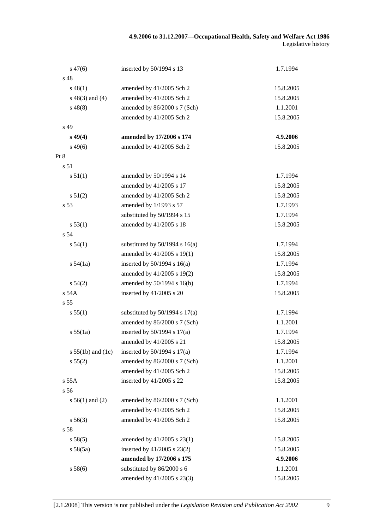| $s\,47(6)$            | inserted by 50/1994 s 13           | 1.7.1994  |
|-----------------------|------------------------------------|-----------|
| s 48                  |                                    |           |
| $s\,48(1)$            | amended by 41/2005 Sch 2           | 15.8.2005 |
| $s\ 48(3)$ and (4)    | amended by 41/2005 Sch 2           | 15.8.2005 |
| $s\,48(8)$            | amended by 86/2000 s 7 (Sch)       | 1.1.2001  |
|                       | amended by 41/2005 Sch 2           | 15.8.2005 |
| s 49                  |                                    |           |
| $s\,49(4)$            | amended by 17/2006 s 174           | 4.9.2006  |
| $s\,49(6)$            | amended by 41/2005 Sch 2           | 15.8.2005 |
| Pt 8                  |                                    |           |
| s 51                  |                                    |           |
| s 51(1)               | amended by 50/1994 s 14            | 1.7.1994  |
|                       | amended by 41/2005 s 17            | 15.8.2005 |
| s 51(2)               | amended by 41/2005 Sch 2           | 15.8.2005 |
| s 53                  | amended by 1/1993 s 57             | 1.7.1993  |
|                       | substituted by 50/1994 s 15        | 1.7.1994  |
| s 53(1)               | amended by 41/2005 s 18            | 15.8.2005 |
| s 54                  |                                    |           |
| s 54(1)               | substituted by $50/1994$ s $16(a)$ | 1.7.1994  |
|                       | amended by 41/2005 s 19(1)         | 15.8.2005 |
| s 54(1a)              | inserted by $50/1994$ s $16(a)$    | 1.7.1994  |
|                       | amended by 41/2005 s 19(2)         | 15.8.2005 |
| s 54(2)               | amended by 50/1994 s 16(b)         | 1.7.1994  |
| s 54A                 | inserted by $41/2005$ s 20         | 15.8.2005 |
| s 55                  |                                    |           |
| s 55(1)               | substituted by $50/1994$ s $17(a)$ | 1.7.1994  |
|                       | amended by 86/2000 s 7 (Sch)       | 1.1.2001  |
| s 55(1a)              | inserted by $50/1994$ s $17(a)$    | 1.7.1994  |
|                       | amended by 41/2005 s 21            | 15.8.2005 |
| s $55(1b)$ and $(1c)$ | inserted by $50/1994$ s $17(a)$    | 1.7.1994  |
| s 55(2)               | amended by 86/2000 s 7 (Sch)       | 1.1.2001  |
|                       | amended by 41/2005 Sch 2           | 15.8.2005 |
| s 55A                 | inserted by 41/2005 s 22           | 15.8.2005 |
| s 56                  |                                    |           |
| $s 56(1)$ and (2)     | amended by 86/2000 s 7 (Sch)       | 1.1.2001  |
|                       | amended by 41/2005 Sch 2           | 15.8.2005 |
| $s\,56(3)$            | amended by 41/2005 Sch 2           | 15.8.2005 |
| s 58                  |                                    |           |
| s 58(5)               | amended by 41/2005 s 23(1)         | 15.8.2005 |
| s 58(5a)              | inserted by 41/2005 s 23(2)        | 15.8.2005 |
|                       | amended by 17/2006 s 175           | 4.9.2006  |
| s 58(6)               | substituted by 86/2000 s 6         | 1.1.2001  |
|                       | amended by 41/2005 s 23(3)         | 15.8.2005 |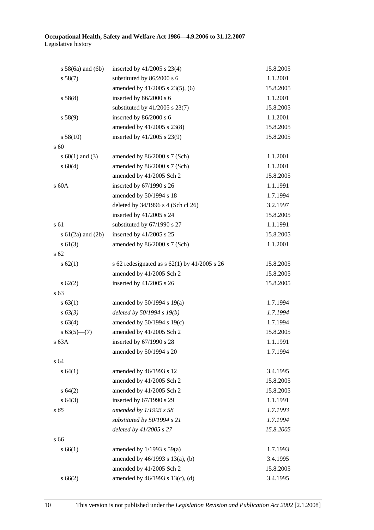| $s$ 58(6a) and (6b)   | inserted by $41/2005$ s 23(4)                    | 15.8.2005 |
|-----------------------|--------------------------------------------------|-----------|
| s 58(7)               | substituted by 86/2000 s 6                       | 1.1.2001  |
|                       | amended by 41/2005 s 23(5), (6)                  | 15.8.2005 |
| s 58(8)               | inserted by 86/2000 s 6                          | 1.1.2001  |
|                       | substituted by $41/2005$ s 23(7)                 | 15.8.2005 |
| s 58(9)               | inserted by 86/2000 s 6                          | 1.1.2001  |
|                       | amended by 41/2005 s 23(8)                       | 15.8.2005 |
| s 58(10)              | inserted by 41/2005 s 23(9)                      | 15.8.2005 |
| s 60                  |                                                  |           |
| s $60(1)$ and $(3)$   | amended by 86/2000 s 7 (Sch)                     | 1.1.2001  |
| s 60(4)               | amended by 86/2000 s 7 (Sch)                     | 1.1.2001  |
|                       | amended by 41/2005 Sch 2                         | 15.8.2005 |
| s 60A                 | inserted by 67/1990 s 26                         | 1.1.1991  |
|                       | amended by 50/1994 s 18                          | 1.7.1994  |
|                       | deleted by 34/1996 s 4 (Sch cl 26)               | 3.2.1997  |
|                       | inserted by 41/2005 s 24                         | 15.8.2005 |
| s 61                  | substituted by 67/1990 s 27                      | 1.1.1991  |
| s $61(2a)$ and $(2b)$ | inserted by 41/2005 s 25                         | 15.8.2005 |
| $s \ 61(3)$           | amended by 86/2000 s 7 (Sch)                     | 1.1.2001  |
| s <sub>62</sub>       |                                                  |           |
| s 62(1)               | s 62 redesignated as s $62(1)$ by $41/2005$ s 26 | 15.8.2005 |
|                       | amended by 41/2005 Sch 2                         | 15.8.2005 |
| $s \, 62(2)$          | inserted by 41/2005 s 26                         | 15.8.2005 |
| s 63                  |                                                  |           |
| s 63(1)               | amended by $50/1994$ s $19(a)$                   | 1.7.1994  |
| $s \, 63(3)$          | deleted by 50/1994 s 19(b)                       | 1.7.1994  |
| s 63(4)               | amended by 50/1994 s 19(c)                       | 1.7.1994  |
| $s 63(5)$ (7)         | amended by 41/2005 Sch 2                         | 15.8.2005 |
| s 63A                 | inserted by 67/1990 s 28                         | 1.1.1991  |
|                       | amended by 50/1994 s 20                          | 1.7.1994  |
| s 64                  |                                                  |           |
| s 64(1)               | amended by 46/1993 s 12                          | 3.4.1995  |
|                       | amended by 41/2005 Sch 2                         | 15.8.2005 |
| s 64(2)               | amended by 41/2005 Sch 2                         | 15.8.2005 |
| s 64(3)               | inserted by 67/1990 s 29                         | 1.1.1991  |
| s 65                  | amended by 1/1993 s 58                           | 1.7.1993  |
|                       | substituted by 50/1994 s 21                      | 1.7.1994  |
|                       | deleted by 41/2005 s 27                          | 15.8.2005 |
| s 66                  |                                                  |           |
| s 66(1)               | amended by $1/1993$ s $59(a)$                    | 1.7.1993  |
|                       | amended by 46/1993 s 13(a), (b)                  | 3.4.1995  |
|                       | amended by 41/2005 Sch 2                         | 15.8.2005 |
| s 66(2)               | amended by 46/1993 s 13(c), (d)                  | 3.4.1995  |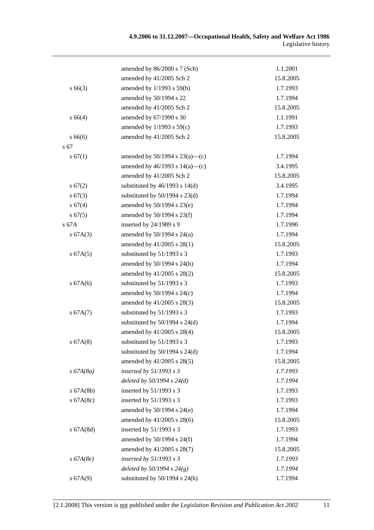|              | amended by 86/2000 s 7 (Sch)        | 1.1.2001  |
|--------------|-------------------------------------|-----------|
|              | amended by 41/2005 Sch 2            | 15.8.2005 |
| $s\,66(3)$   | amended by 1/1993 s 59(b)           | 1.7.1993  |
|              | amended by 50/1994 s 22             | 1.7.1994  |
|              | amended by 41/2005 Sch 2            | 15.8.2005 |
| s 66(4)      | amended by 67/1990 s 30             | 1.1.1991  |
|              | amended by $1/1993$ s $59(c)$       | 1.7.1993  |
| s66(6)       | amended by 41/2005 Sch 2            | 15.8.2005 |
| s 67         |                                     |           |
| s 67(1)      | amended by $50/1994$ s $23(a)$ —(c) | 1.7.1994  |
|              | amended by $46/1993$ s $14(a)$ —(c) | 3.4.1995  |
|              | amended by 41/2005 Sch 2            | 15.8.2005 |
| s 67(2)      | substituted by $46/1993$ s $14(d)$  | 3.4.1995  |
| s 67(3)      | substituted by $50/1994$ s $23(d)$  | 1.7.1994  |
| s 67(4)      | amended by 50/1994 s 23(e)          | 1.7.1994  |
| s 67(5)      | amended by 50/1994 s 23(f)          | 1.7.1994  |
| s 67A        | inserted by 24/1989 s 9             | 1.7.1990  |
| s 67A(3)     | amended by $50/1994$ s $24(a)$      | 1.7.1994  |
|              | amended by 41/2005 s 28(1)          | 15.8.2005 |
| s 67A(5)     | substituted by 51/1993 s 3          | 1.7.1993  |
|              | amended by 50/1994 s 24(b)          | 1.7.1994  |
|              | amended by 41/2005 s 28(2)          | 15.8.2005 |
| s 67A(6)     | substituted by 51/1993 s 3          | 1.7.1993  |
|              | amended by $50/1994$ s $24(c)$      | 1.7.1994  |
|              | amended by 41/2005 s 28(3)          | 15.8.2005 |
| s 67A(7)     | substituted by 51/1993 s 3          | 1.7.1993  |
|              | substituted by $50/1994$ s $24(d)$  | 1.7.1994  |
|              | amended by 41/2005 s 28(4)          | 15.8.2005 |
| s 67A(8)     | substituted by 51/1993 s 3          | 1.7.1993  |
|              | substituted by $50/1994$ s $24(d)$  | 1.7.1994  |
|              | amended by 41/2005 s 28(5)          | 15.8.2005 |
| $s\,67A(8a)$ | inserted by $51/1993$ s 3           | 1.7.1993  |
|              | deleted by $50/1994 s 24(d)$        | 1.7.1994  |
| $s$ 67A(8b)  | inserted by 51/1993 s 3             | 1.7.1993  |
| s $67A(8c)$  | inserted by 51/1993 s 3             | 1.7.1993  |
|              | amended by 50/1994 s 24(e)          | 1.7.1994  |
|              | amended by 41/2005 s 28(6)          | 15.8.2005 |
| s 67A(8d)    | inserted by $51/1993$ s 3           | 1.7.1993  |
|              | amended by 50/1994 s 24(f)          | 1.7.1994  |
|              | amended by 41/2005 s 28(7)          | 15.8.2005 |
| $s\,67A(8e)$ | inserted by $51/1993$ s 3           | 1.7.1993  |
|              | deleted by $50/1994 s 24(g)$        | 1.7.1994  |
| s 67A(9)     | substituted by $50/1994$ s $24(h)$  | 1.7.1994  |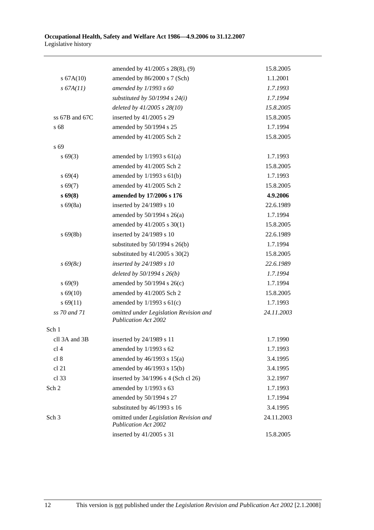|                  | amended by 41/2005 s 28(8), (9)                                       | 15.8.2005  |
|------------------|-----------------------------------------------------------------------|------------|
| s 67A(10)        | amended by 86/2000 s 7 (Sch)                                          | 1.1.2001   |
| s 67A(11)        | amended by $1/1993 s 60$                                              | 1.7.1993   |
|                  | substituted by $50/1994$ s $24(i)$                                    | 1.7.1994   |
|                  | deleted by $41/2005$ s $28(10)$                                       | 15.8.2005  |
| ss 67B and 67C   | inserted by 41/2005 s 29                                              | 15.8.2005  |
| s 68             | amended by 50/1994 s 25                                               | 1.7.1994   |
|                  | amended by 41/2005 Sch 2                                              | 15.8.2005  |
| s 69             |                                                                       |            |
| $s\,69(3)$       | amended by $1/1993$ s $61(a)$                                         | 1.7.1993   |
|                  | amended by 41/2005 Sch 2                                              | 15.8.2005  |
| s 69(4)          | amended by $1/1993$ s $61(b)$                                         | 1.7.1993   |
| $s\,69(7)$       | amended by 41/2005 Sch 2                                              | 15.8.2005  |
| $s\,69(8)$       | amended by 17/2006 s 176                                              | 4.9.2006   |
| $s\,69(8a)$      | inserted by 24/1989 s 10                                              | 22.6.1989  |
|                  | amended by $50/1994$ s $26(a)$                                        | 1.7.1994   |
|                  | amended by 41/2005 s 30(1)                                            | 15.8.2005  |
| $s\,69(8b)$      | inserted by 24/1989 s 10                                              | 22.6.1989  |
|                  | substituted by $50/1994$ s $26(b)$                                    | 1.7.1994   |
|                  | substituted by $41/2005$ s $30(2)$                                    | 15.8.2005  |
| $s\,69(8c)$      | inserted by 24/1989 s 10                                              | 22.6.1989  |
|                  | deleted by $50/1994 s 26(b)$                                          | 1.7.1994   |
| $s\,69(9)$       | amended by $50/1994$ s $26(c)$                                        | 1.7.1994   |
| $s\,69(10)$      | amended by 41/2005 Sch 2                                              | 15.8.2005  |
| s 69(11)         | amended by $1/1993$ s $61(c)$                                         | 1.7.1993   |
| ss 70 and 71     | omitted under Legislation Revision and<br><b>Publication Act 2002</b> | 24.11.2003 |
| Sch 1            |                                                                       |            |
| cll 3A and 3B    | inserted by 24/1989 s 11                                              | 1.7.1990   |
| cl <sub>4</sub>  | amended by 1/1993 s 62                                                | 1.7.1993   |
| cl 8             | amended by $46/1993$ s $15(a)$                                        | 3.4.1995   |
| cl 21            | amended by 46/1993 s 15(b)                                            | 3.4.1995   |
| cl 33            | inserted by 34/1996 s 4 (Sch cl 26)                                   | 3.2.1997   |
| Sch 2            | amended by 1/1993 s 63                                                | 1.7.1993   |
|                  | amended by 50/1994 s 27                                               | 1.7.1994   |
|                  | substituted by 46/1993 s 16                                           | 3.4.1995   |
| Sch <sub>3</sub> | omitted under Legislation Revision and<br><b>Publication Act 2002</b> | 24.11.2003 |
|                  | inserted by 41/2005 s 31                                              | 15.8.2005  |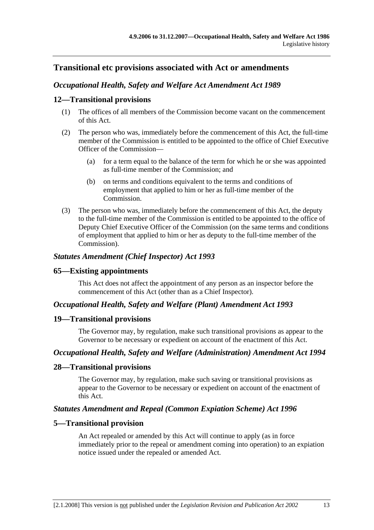# **Transitional etc provisions associated with Act or amendments**

# *Occupational Health, Safety and Welfare Act Amendment Act 1989*

# **12—Transitional provisions**

- (1) The offices of all members of the Commission become vacant on the commencement of this Act.
- (2) The person who was, immediately before the commencement of this Act, the full-time member of the Commission is entitled to be appointed to the office of Chief Executive Officer of the Commission—
	- (a) for a term equal to the balance of the term for which he or she was appointed as full-time member of the Commission; and
	- (b) on terms and conditions equivalent to the terms and conditions of employment that applied to him or her as full-time member of the Commission.
- (3) The person who was, immediately before the commencement of this Act, the deputy to the full-time member of the Commission is entitled to be appointed to the office of Deputy Chief Executive Officer of the Commission (on the same terms and conditions of employment that applied to him or her as deputy to the full-time member of the Commission).

### *Statutes Amendment (Chief Inspector) Act 1993*

#### **65—Existing appointments**

This Act does not affect the appointment of any person as an inspector before the commencement of this Act (other than as a Chief Inspector).

#### *Occupational Health, Safety and Welfare (Plant) Amendment Act 1993*

#### **19—Transitional provisions**

The Governor may, by regulation, make such transitional provisions as appear to the Governor to be necessary or expedient on account of the enactment of this Act.

# *Occupational Health, Safety and Welfare (Administration) Amendment Act 1994*

#### **28—Transitional provisions**

The Governor may, by regulation, make such saving or transitional provisions as appear to the Governor to be necessary or expedient on account of the enactment of this Act.

# *Statutes Amendment and Repeal (Common Expiation Scheme) Act 1996*

# **5—Transitional provision**

An Act repealed or amended by this Act will continue to apply (as in force immediately prior to the repeal or amendment coming into operation) to an expiation notice issued under the repealed or amended Act.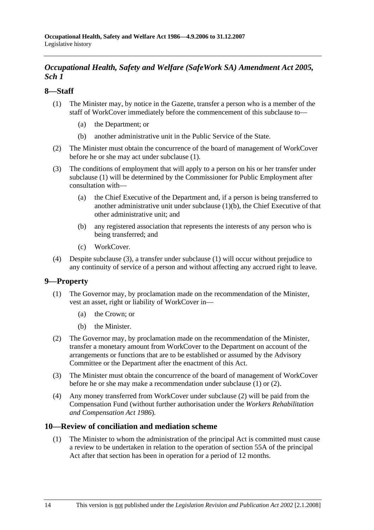# *Occupational Health, Safety and Welfare (SafeWork SA) Amendment Act 2005, Sch 1*

# **8—Staff**

- (1) The Minister may, by notice in the Gazette, transfer a person who is a member of the staff of WorkCover immediately before the commencement of this subclause to—
	- (a) the Department; or
	- (b) another administrative unit in the Public Service of the State.
- (2) The Minister must obtain the concurrence of the board of management of WorkCover before he or she may act under subclause (1).
- (3) The conditions of employment that will apply to a person on his or her transfer under subclause (1) will be determined by the Commissioner for Public Employment after consultation with—
	- (a) the Chief Executive of the Department and, if a person is being transferred to another administrative unit under subclause  $(1)(b)$ , the Chief Executive of that other administrative unit; and
	- (b) any registered association that represents the interests of any person who is being transferred; and
	- (c) WorkCover.
- (4) Despite subclause (3), a transfer under subclause (1) will occur without prejudice to any continuity of service of a person and without affecting any accrued right to leave.

# **9—Property**

- (1) The Governor may, by proclamation made on the recommendation of the Minister, vest an asset, right or liability of WorkCover in—
	- (a) the Crown; or
	- (b) the Minister.
- (2) The Governor may, by proclamation made on the recommendation of the Minister, transfer a monetary amount from WorkCover to the Department on account of the arrangements or functions that are to be established or assumed by the Advisory Committee or the Department after the enactment of this Act.
- (3) The Minister must obtain the concurrence of the board of management of WorkCover before he or she may make a recommendation under subclause (1) or (2).
- (4) Any money transferred from WorkCover under subclause (2) will be paid from the Compensation Fund (without further authorisation under the *Workers Rehabilitation and Compensation Act 1986*).

# **10—Review of conciliation and mediation scheme**

 (1) The Minister to whom the administration of the principal Act is committed must cause a review to be undertaken in relation to the operation of section 55A of the principal Act after that section has been in operation for a period of 12 months.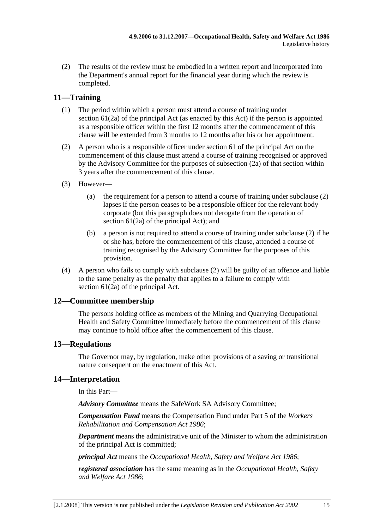(2) The results of the review must be embodied in a written report and incorporated into the Department's annual report for the financial year during which the review is completed.

# **11—Training**

- (1) The period within which a person must attend a course of training under section 61(2a) of the principal Act (as enacted by this Act) if the person is appointed as a responsible officer within the first 12 months after the commencement of this clause will be extended from 3 months to 12 months after his or her appointment.
- (2) A person who is a responsible officer under section 61 of the principal Act on the commencement of this clause must attend a course of training recognised or approved by the Advisory Committee for the purposes of subsection (2a) of that section within 3 years after the commencement of this clause.
- (3) However—
	- (a) the requirement for a person to attend a course of training under subclause (2) lapses if the person ceases to be a responsible officer for the relevant body corporate (but this paragraph does not derogate from the operation of section 61(2a) of the principal Act); and
	- (b) a person is not required to attend a course of training under subclause (2) if he or she has, before the commencement of this clause, attended a course of training recognised by the Advisory Committee for the purposes of this provision.
- (4) A person who fails to comply with subclause (2) will be guilty of an offence and liable to the same penalty as the penalty that applies to a failure to comply with section 61(2a) of the principal Act.

# **12—Committee membership**

The persons holding office as members of the Mining and Quarrying Occupational Health and Safety Committee immediately before the commencement of this clause may continue to hold office after the commencement of this clause.

# **13—Regulations**

The Governor may, by regulation, make other provisions of a saving or transitional nature consequent on the enactment of this Act.

# **14—Interpretation**

In this Part—

*Advisory Committee* means the SafeWork SA Advisory Committee;

*Compensation Fund* means the Compensation Fund under Part 5 of the *Workers Rehabilitation and Compensation Act 1986*;

*Department* means the administrative unit of the Minister to whom the administration of the principal Act is committed;

*principal Act* means the *Occupational Health, Safety and Welfare Act 1986*;

*registered association* has the same meaning as in the *Occupational Health, Safety and Welfare Act 1986*;